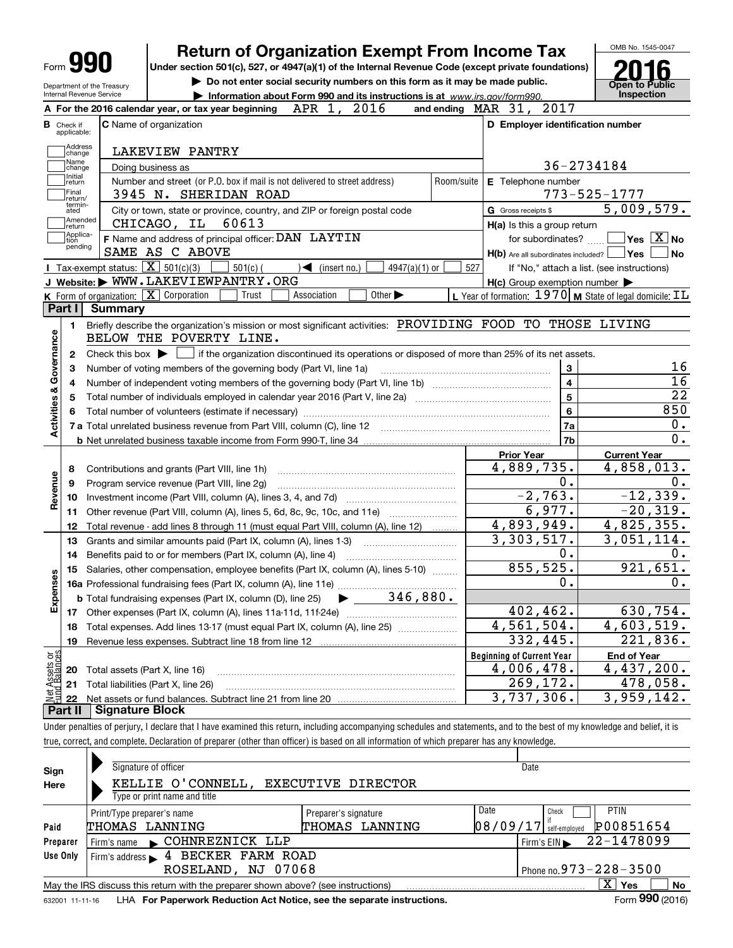|                                            | <b>Return of Organization Exempt From Income Tax</b>                                                                                        |            |                                                             | OMB No. 1545-0047                                                                                                                                     |
|--------------------------------------------|---------------------------------------------------------------------------------------------------------------------------------------------|------------|-------------------------------------------------------------|-------------------------------------------------------------------------------------------------------------------------------------------------------|
| <b>Form 990</b>                            | Under section 501(c), 527, or 4947(a)(1) of the Internal Revenue Code (except private foundations)                                          |            |                                                             |                                                                                                                                                       |
|                                            | Do not enter social security numbers on this form as it may be made public.<br>Department of the Treasury                                   |            |                                                             | <b>Open to Public</b>                                                                                                                                 |
| Internal Revenue Service                   | Information about Form 990 and its instructions is at www.irs.gov/form990.                                                                  |            |                                                             | Inspection                                                                                                                                            |
|                                            | A For the 2016 calendar year, or tax year beginning $APR$ 1, 2016                                                                           |            | and ending $\n  MAR\n  31, 2017\n$                          |                                                                                                                                                       |
| <b>B</b> Check if                          | <b>C</b> Name of organization                                                                                                               |            | D Employer identification number                            |                                                                                                                                                       |
| applicable:                                |                                                                                                                                             |            |                                                             |                                                                                                                                                       |
| Address<br>change                          | LAKEVIEW PANTRY                                                                                                                             |            |                                                             |                                                                                                                                                       |
| Name<br>change                             | Doing business as                                                                                                                           |            |                                                             | 36-2734184                                                                                                                                            |
| Initial<br> return                         | Number and street (or P.O. box if mail is not delivered to street address)                                                                  | Room/suite | E Telephone number                                          |                                                                                                                                                       |
| Final<br>return/                           | 3945 N. SHERIDAN ROAD                                                                                                                       |            |                                                             | 773-525-1777                                                                                                                                          |
| termin-<br>ated                            | City or town, state or province, country, and ZIP or foreign postal code                                                                    |            | G Gross receipts \$                                         | 5,009,579.                                                                                                                                            |
| Amended<br> return                         | 60613<br>CHICAGO, IL                                                                                                                        |            | H(a) Is this a group return                                 |                                                                                                                                                       |
| Applica-<br>tion                           | F Name and address of principal officer: DAN LAYTIN                                                                                         |            | for subordinates?                                           | $\overline{\ }$ Yes $\overline{\rm X}$ No                                                                                                             |
| pending                                    | SAME AS C ABOVE                                                                                                                             |            | $H(b)$ Are all subordinates included? $\Box$ Yes            | No l                                                                                                                                                  |
|                                            | Tax-exempt status: $\boxed{\mathbf{X}}$ 501(c)(3)<br>$\sqrt{\bullet}$ (insert no.)<br>$501(c)$ (<br>$4947(a)(1)$ or                         | 527        |                                                             | If "No," attach a list. (see instructions)                                                                                                            |
|                                            | J Website: WWW.LAKEVIEWPANTRY.ORG                                                                                                           |            | $H(c)$ Group exemption number $\blacktriangleright$         |                                                                                                                                                       |
|                                            | <b>K</b> Form of organization: $\boxed{\mathbf{X}}$ Corporation<br>Trust<br>Association<br>Other $\blacktriangleright$                      |            | L Year of formation: $1970$ M State of legal domicile: $IL$ |                                                                                                                                                       |
| Part I                                     | <b>Summary</b>                                                                                                                              |            |                                                             |                                                                                                                                                       |
| 1.                                         | Briefly describe the organization's mission or most significant activities: PROVIDING FOOD TO THOSE LIVING                                  |            |                                                             |                                                                                                                                                       |
|                                            | BELOW THE POVERTY LINE.                                                                                                                     |            |                                                             |                                                                                                                                                       |
| 2                                          | Check this box $\blacktriangleright$ $\Box$ if the organization discontinued its operations or disposed of more than 25% of its net assets. |            |                                                             |                                                                                                                                                       |
|                                            |                                                                                                                                             |            | 3                                                           | 16                                                                                                                                                    |
| 3                                          | Number of voting members of the governing body (Part VI, line 1a)                                                                           |            | $\overline{\mathbf{4}}$                                     | $\overline{16}$                                                                                                                                       |
| 4                                          |                                                                                                                                             |            | $\overline{\mathbf{5}}$                                     |                                                                                                                                                       |
| 5                                          |                                                                                                                                             |            |                                                             | $\overline{22}$<br>850                                                                                                                                |
| Activities & Governance                    | Total number of volunteers (estimate if necessary) manufacture content content to a manufacture content of the                              |            | $6\phantom{a}$                                              | 0.                                                                                                                                                    |
|                                            |                                                                                                                                             |            | 7a                                                          | $\overline{0}$ .                                                                                                                                      |
|                                            |                                                                                                                                             |            | 7b                                                          |                                                                                                                                                       |
|                                            |                                                                                                                                             |            |                                                             |                                                                                                                                                       |
|                                            |                                                                                                                                             |            | <b>Prior Year</b>                                           | <b>Current Year</b>                                                                                                                                   |
| 8                                          | Contributions and grants (Part VIII, line 1h)                                                                                               |            | 4,889,735.                                                  |                                                                                                                                                       |
| 9                                          | Program service revenue (Part VIII, line 2g)                                                                                                |            | 0.                                                          |                                                                                                                                                       |
| 10                                         |                                                                                                                                             |            | $-2,763.$                                                   |                                                                                                                                                       |
| 11                                         | Other revenue (Part VIII, column (A), lines 5, 6d, 8c, 9c, 10c, and 11e)                                                                    |            | 6,977.                                                      |                                                                                                                                                       |
| 12                                         | Total revenue - add lines 8 through 11 (must equal Part VIII, column (A), line 12)                                                          |            | 4,893,949.                                                  |                                                                                                                                                       |
| 13                                         | Grants and similar amounts paid (Part IX, column (A), lines 1-3) <i>mummumumumum</i>                                                        |            | 3,303,517.                                                  |                                                                                                                                                       |
| 14                                         | Benefits paid to or for members (Part IX, column (A), line 4)                                                                               |            | 0.                                                          |                                                                                                                                                       |
| 15                                         |                                                                                                                                             |            | 855, 525.                                                   |                                                                                                                                                       |
|                                            | Salaries, other compensation, employee benefits (Part IX, column (A), lines 5-10)                                                           |            | $\mathbf 0$ .                                               |                                                                                                                                                       |
|                                            |                                                                                                                                             |            |                                                             |                                                                                                                                                       |
| 17                                         | 346,880.<br><b>b</b> Total fundraising expenses (Part IX, column (D), line 25)                                                              |            |                                                             |                                                                                                                                                       |
| Revenue<br>8<br>Expense                    |                                                                                                                                             |            | 402,462.                                                    |                                                                                                                                                       |
| 18                                         | Total expenses. Add lines 13-17 (must equal Part IX, column (A), line 25)                                                                   |            | 4,561,504.                                                  |                                                                                                                                                       |
| 19                                         | Revenue less expenses. Subtract line 18 from line 12                                                                                        |            | 332,445.                                                    |                                                                                                                                                       |
|                                            |                                                                                                                                             |            | <b>Beginning of Current Year</b>                            | <b>End of Year</b>                                                                                                                                    |
| 20                                         | Total assets (Part X, line 16)                                                                                                              |            | 4,006,478.                                                  | 4,858,013.<br>0.<br>$-12,339.$<br>$-20, 319.$<br>4,825,355.<br>3,051,114.<br>0.<br>921,651.<br>0.<br>630,754.<br>4,603,519.<br>221,836.<br>4,437,200. |
| Net Assets or<br>Eund Balances<br>21<br>22 | Total liabilities (Part X, line 26)                                                                                                         |            | 269,172.<br>3,737,306.                                      | 478,058.<br>3,959,142.                                                                                                                                |

| Sign<br>Here | Signature of officer<br>KELLIE O'CONNELL, EXECUTIVE DIRECTOR<br>Type or print name and title                                  |                                        |                   | Date                                               |  |  |  |  |  |  |
|--------------|-------------------------------------------------------------------------------------------------------------------------------|----------------------------------------|-------------------|----------------------------------------------------|--|--|--|--|--|--|
| Paid         | Print/Type preparer's name<br>THOMAS LANNING                                                                                  | Preparer's signature<br>THOMAS LANNING | Date<br> 08/09/17 | <b>PTIN</b><br>Check<br>P00851654<br>self-employed |  |  |  |  |  |  |
| Preparer     | COHNREZNICK LLP<br>Firm's name                                                                                                |                                        |                   | 22-1478099<br>Firm's $EIN$                         |  |  |  |  |  |  |
| Use Only     | 4 BECKER FARM ROAD<br>Firm's address                                                                                          |                                        |                   |                                                    |  |  |  |  |  |  |
|              | ROSELAND, NJ 07068                                                                                                            | Phone no. $973 - 228 - 3500$           |                   |                                                    |  |  |  |  |  |  |
|              | $\overline{\mathrm{X}}$ Yes<br><b>No</b><br>May the IRS discuss this return with the preparer shown above? (see instructions) |                                        |                   |                                                    |  |  |  |  |  |  |
|              | Form 990 (2016)<br>LHA For Paperwork Reduction Act Notice, see the separate instructions.<br>632001 11-11-16                  |                                        |                   |                                                    |  |  |  |  |  |  |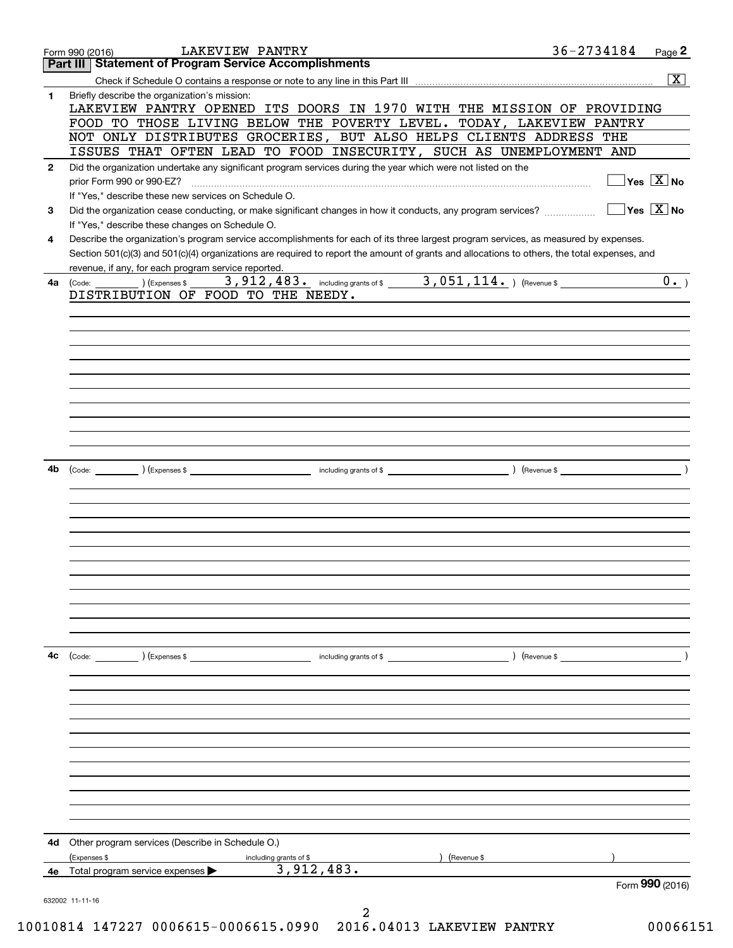|              | LAKEVIEW PANTRY<br>Form 990 (2016)                                                                           |                        | 36-2734184                                                                                                                                   | Page 2                                 |
|--------------|--------------------------------------------------------------------------------------------------------------|------------------------|----------------------------------------------------------------------------------------------------------------------------------------------|----------------------------------------|
|              | <b>Statement of Program Service Accomplishments</b><br>Part III                                              |                        |                                                                                                                                              |                                        |
|              |                                                                                                              |                        |                                                                                                                                              | $\overline{\mathbf{x}}$                |
| 1            | Briefly describe the organization's mission:                                                                 |                        |                                                                                                                                              |                                        |
|              |                                                                                                              |                        | LAKEVIEW PANTRY OPENED ITS DOORS IN 1970 WITH THE MISSION OF PROVIDING                                                                       |                                        |
|              |                                                                                                              |                        | FOOD TO THOSE LIVING BELOW THE POVERTY LEVEL. TODAY, LAKEVIEW PANTRY                                                                         |                                        |
|              |                                                                                                              |                        | NOT ONLY DISTRIBUTES GROCERIES, BUT ALSO HELPS CLIENTS ADDRESS THE                                                                           |                                        |
|              |                                                                                                              |                        | ISSUES THAT OFTEN LEAD TO FOOD INSECURITY, SUCH AS UNEMPLOYMENT AND                                                                          |                                        |
| $\mathbf{2}$ | Did the organization undertake any significant program services during the year which were not listed on the |                        |                                                                                                                                              | $\exists$ Yes $\boxed{\text{X}}$ No    |
|              | prior Form 990 or 990-EZ?<br>If "Yes," describe these new services on Schedule O.                            |                        |                                                                                                                                              |                                        |
| 3            |                                                                                                              |                        | Did the organization cease conducting, or make significant changes in how it conducts, any program services?                                 | $\sqrt{}$ Yes $\sqrt{}$ X $\sqrt{}$ No |
|              | If "Yes," describe these changes on Schedule O.                                                              |                        |                                                                                                                                              |                                        |
| 4            |                                                                                                              |                        | Describe the organization's program service accomplishments for each of its three largest program services, as measured by expenses.         |                                        |
|              |                                                                                                              |                        | Section 501(c)(3) and 501(c)(4) organizations are required to report the amount of grants and allocations to others, the total expenses, and |                                        |
|              | revenue, if any, for each program service reported.                                                          |                        |                                                                                                                                              |                                        |
| 4a           | (Code: ) (Expenses \$                                                                                        |                        | 3,912,483. including grants of \$ 3,051,114. ) (Revenue \$                                                                                   | 0.                                     |
|              | DISTRIBUTION OF FOOD TO THE NEEDY.                                                                           |                        |                                                                                                                                              |                                        |
|              |                                                                                                              |                        |                                                                                                                                              |                                        |
|              |                                                                                                              |                        |                                                                                                                                              |                                        |
|              |                                                                                                              |                        |                                                                                                                                              |                                        |
|              |                                                                                                              |                        |                                                                                                                                              |                                        |
|              |                                                                                                              |                        |                                                                                                                                              |                                        |
|              |                                                                                                              |                        |                                                                                                                                              |                                        |
|              |                                                                                                              |                        |                                                                                                                                              |                                        |
|              |                                                                                                              |                        |                                                                                                                                              |                                        |
|              |                                                                                                              |                        |                                                                                                                                              |                                        |
|              |                                                                                                              |                        |                                                                                                                                              |                                        |
|              |                                                                                                              |                        |                                                                                                                                              |                                        |
| 4b           |                                                                                                              |                        |                                                                                                                                              |                                        |
|              |                                                                                                              |                        |                                                                                                                                              |                                        |
|              |                                                                                                              |                        |                                                                                                                                              |                                        |
|              |                                                                                                              |                        |                                                                                                                                              |                                        |
|              |                                                                                                              |                        |                                                                                                                                              |                                        |
|              |                                                                                                              |                        |                                                                                                                                              |                                        |
|              |                                                                                                              |                        |                                                                                                                                              |                                        |
|              |                                                                                                              |                        |                                                                                                                                              |                                        |
|              |                                                                                                              |                        |                                                                                                                                              |                                        |
|              |                                                                                                              |                        |                                                                                                                                              |                                        |
|              |                                                                                                              |                        |                                                                                                                                              |                                        |
|              |                                                                                                              |                        |                                                                                                                                              |                                        |
|              |                                                                                                              |                        |                                                                                                                                              |                                        |
| 4c           | (Code: ) (Expenses \$                                                                                        | including grants of \$ | ) (Revenue \$                                                                                                                                |                                        |
|              |                                                                                                              |                        |                                                                                                                                              |                                        |
|              |                                                                                                              |                        |                                                                                                                                              |                                        |
|              |                                                                                                              |                        |                                                                                                                                              |                                        |
|              |                                                                                                              |                        |                                                                                                                                              |                                        |
|              |                                                                                                              |                        |                                                                                                                                              |                                        |
|              |                                                                                                              |                        |                                                                                                                                              |                                        |
|              |                                                                                                              |                        |                                                                                                                                              |                                        |
|              |                                                                                                              |                        |                                                                                                                                              |                                        |
|              |                                                                                                              |                        |                                                                                                                                              |                                        |
|              |                                                                                                              |                        |                                                                                                                                              |                                        |
|              |                                                                                                              |                        |                                                                                                                                              |                                        |
| 4d           | Other program services (Describe in Schedule O.)                                                             |                        |                                                                                                                                              |                                        |
|              | (Expenses \$                                                                                                 | including grants of \$ | (Revenue \$                                                                                                                                  |                                        |
| 4е           | Total program service expenses                                                                               | 3,912,483.             |                                                                                                                                              |                                        |
|              |                                                                                                              |                        |                                                                                                                                              | Form 990 (2016)                        |
|              | 632002 11-11-16                                                                                              |                        |                                                                                                                                              |                                        |
|              |                                                                                                              | 2                      |                                                                                                                                              |                                        |

10010814 147227 0006615-0006615.0990 2016.04013 LAKEVIEW PANTRY 00066151 10010814 147227 0006615-0006615.0990 2016.04013 LAKEVIEW PANTRY 00066151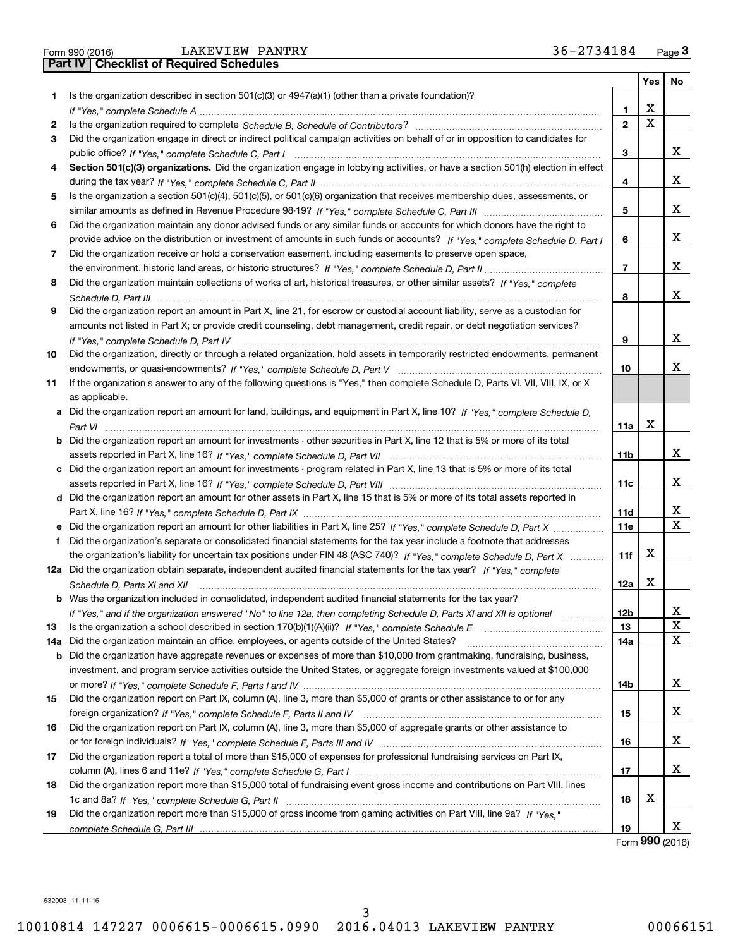| Form 990 (2016) |  |  |
|-----------------|--|--|

|    |                                                                                                                                      |                 | Yes         | No          |
|----|--------------------------------------------------------------------------------------------------------------------------------------|-----------------|-------------|-------------|
| 1. | Is the organization described in section $501(c)(3)$ or $4947(a)(1)$ (other than a private foundation)?                              |                 |             |             |
|    |                                                                                                                                      | 1.              | X           |             |
| 2  |                                                                                                                                      | $\overline{2}$  | $\mathbf X$ |             |
| 3  | Did the organization engage in direct or indirect political campaign activities on behalf of or in opposition to candidates for      |                 |             |             |
|    |                                                                                                                                      | 3               |             | х           |
| 4  | Section 501(c)(3) organizations. Did the organization engage in lobbying activities, or have a section 501(h) election in effect     |                 |             |             |
|    |                                                                                                                                      | 4               |             | х           |
| 5  | Is the organization a section 501(c)(4), 501(c)(5), or 501(c)(6) organization that receives membership dues, assessments, or         |                 |             |             |
|    |                                                                                                                                      | 5               |             | х           |
| 6  | Did the organization maintain any donor advised funds or any similar funds or accounts for which donors have the right to            |                 |             |             |
|    | provide advice on the distribution or investment of amounts in such funds or accounts? If "Yes," complete Schedule D, Part I         | 6               |             | х           |
| 7  | Did the organization receive or hold a conservation easement, including easements to preserve open space,                            |                 |             |             |
|    |                                                                                                                                      | $\overline{7}$  |             | х           |
| 8  | Did the organization maintain collections of works of art, historical treasures, or other similar assets? If "Yes," complete         |                 |             |             |
|    |                                                                                                                                      | 8               |             | х           |
| 9  | Did the organization report an amount in Part X, line 21, for escrow or custodial account liability, serve as a custodian for        |                 |             |             |
|    | amounts not listed in Part X; or provide credit counseling, debt management, credit repair, or debt negotiation services?            |                 |             |             |
|    | If "Yes," complete Schedule D, Part IV                                                                                               | 9               |             | х           |
| 10 | Did the organization, directly or through a related organization, hold assets in temporarily restricted endowments, permanent        |                 |             |             |
|    |                                                                                                                                      | 10              |             | x           |
| 11 | If the organization's answer to any of the following questions is "Yes," then complete Schedule D, Parts VI, VIII, VIII, IX, or X    |                 |             |             |
|    | as applicable.                                                                                                                       |                 |             |             |
|    | a Did the organization report an amount for land, buildings, and equipment in Part X, line 10? If "Yes," complete Schedule D,        |                 |             |             |
|    |                                                                                                                                      | 11a             | X           |             |
|    | <b>b</b> Did the organization report an amount for investments - other securities in Part X, line 12 that is 5% or more of its total |                 |             |             |
|    |                                                                                                                                      | 11 <sub>b</sub> |             | х           |
|    | c Did the organization report an amount for investments - program related in Part X, line 13 that is 5% or more of its total         |                 |             |             |
|    |                                                                                                                                      | 11c             |             | х           |
|    | d Did the organization report an amount for other assets in Part X, line 15 that is 5% or more of its total assets reported in       |                 |             |             |
|    |                                                                                                                                      | <b>11d</b>      |             | x           |
|    | e Did the organization report an amount for other liabilities in Part X, line 25? If "Yes," complete Schedule D, Part X              | 11e             |             | $\mathbf X$ |
|    | Did the organization's separate or consolidated financial statements for the tax year include a footnote that addresses              |                 |             |             |
|    | the organization's liability for uncertain tax positions under FIN 48 (ASC 740)? If "Yes," complete Schedule D, Part X               | 11f             | х           |             |
|    | 12a Did the organization obtain separate, independent audited financial statements for the tax year? If "Yes." complete              |                 |             |             |
|    | Schedule D, Parts XI and XII                                                                                                         | 12a             | X           |             |
|    | <b>b</b> Was the organization included in consolidated, independent audited financial statements for the tax year?                   |                 |             |             |
|    | If "Yes," and if the organization answered "No" to line 12a, then completing Schedule D, Parts XI and XII is optional                | 12b             |             | ᅀ           |
| 13 |                                                                                                                                      | 13              |             | $\mathbf X$ |
|    | 14a Did the organization maintain an office, employees, or agents outside of the United States?                                      | 14a             |             | X           |
|    | b Did the organization have aggregate revenues or expenses of more than \$10,000 from grantmaking, fundraising, business,            |                 |             |             |
|    | investment, and program service activities outside the United States, or aggregate foreign investments valued at \$100,000           |                 |             |             |
|    |                                                                                                                                      | 14b             |             | x           |
| 15 | Did the organization report on Part IX, column (A), line 3, more than \$5,000 of grants or other assistance to or for any            |                 |             |             |
|    |                                                                                                                                      | 15              |             | x           |
| 16 | Did the organization report on Part IX, column (A), line 3, more than \$5,000 of aggregate grants or other assistance to             |                 |             |             |
|    |                                                                                                                                      | 16              |             | x           |
| 17 | Did the organization report a total of more than \$15,000 of expenses for professional fundraising services on Part IX,              |                 |             |             |
|    |                                                                                                                                      | 17              |             | x           |
| 18 | Did the organization report more than \$15,000 total of fundraising event gross income and contributions on Part VIII, lines         |                 |             |             |
|    |                                                                                                                                      | 18              | x           |             |
| 19 | Did the organization report more than \$15,000 of gross income from gaming activities on Part VIII, line 9a? If "Yes."               |                 |             |             |
|    |                                                                                                                                      | 19              |             | x           |

Form **990** (2016) Form (2016) **990**

632003 11-11-16 632003 11-11-16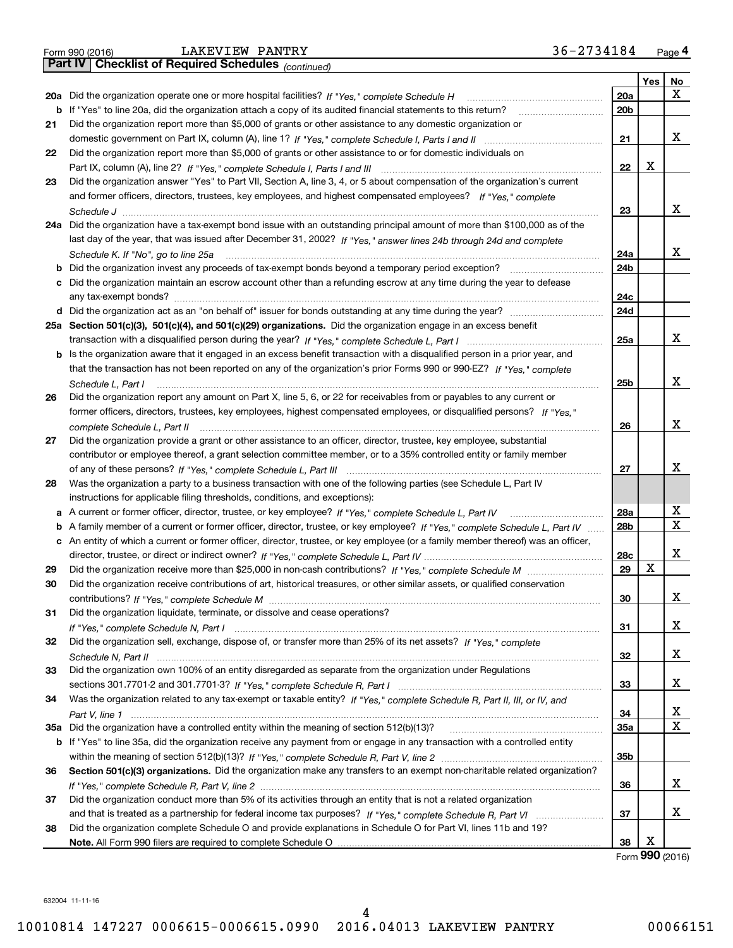|  | Form 990 (2016) |
|--|-----------------|
|  |                 |

*(continued)*

|    |                                                                                                                                                      |                 | Yes | No          |
|----|------------------------------------------------------------------------------------------------------------------------------------------------------|-----------------|-----|-------------|
|    | 20a Did the organization operate one or more hospital facilities? If "Yes," complete Schedule H                                                      | 20a             |     | х           |
|    | b If "Yes" to line 20a, did the organization attach a copy of its audited financial statements to this return?                                       | 20 <sub>b</sub> |     |             |
| 21 | Did the organization report more than \$5,000 of grants or other assistance to any domestic organization or                                          |                 |     |             |
|    |                                                                                                                                                      | 21              |     | x           |
| 22 | Did the organization report more than \$5,000 of grants or other assistance to or for domestic individuals on                                        |                 |     |             |
|    |                                                                                                                                                      | 22              | X   |             |
| 23 | Did the organization answer "Yes" to Part VII, Section A, line 3, 4, or 5 about compensation of the organization's current                           |                 |     |             |
|    | and former officers, directors, trustees, key employees, and highest compensated employees? If "Yes," complete                                       |                 |     |             |
|    |                                                                                                                                                      | 23              |     | X           |
|    | 24a Did the organization have a tax-exempt bond issue with an outstanding principal amount of more than \$100,000 as of the                          |                 |     |             |
|    | last day of the year, that was issued after December 31, 2002? If "Yes," answer lines 24b through 24d and complete                                   |                 |     |             |
|    | Schedule K. If "No", go to line 25a                                                                                                                  | 24a             |     | x           |
| b  | Did the organization invest any proceeds of tax-exempt bonds beyond a temporary period exception?                                                    | 24b             |     |             |
| c  | Did the organization maintain an escrow account other than a refunding escrow at any time during the year to defease                                 |                 |     |             |
|    | any tax-exempt bonds?                                                                                                                                | 24c             |     |             |
|    |                                                                                                                                                      | 24d             |     |             |
|    | 25a Section 501(c)(3), 501(c)(4), and 501(c)(29) organizations. Did the organization engage in an excess benefit                                     |                 |     |             |
|    |                                                                                                                                                      | 25a             |     | x           |
| b  | Is the organization aware that it engaged in an excess benefit transaction with a disqualified person in a prior year, and                           |                 |     |             |
|    | that the transaction has not been reported on any of the organization's prior Forms 990 or 990-EZ? If "Yes," complete                                |                 |     | X           |
|    | Schedule L, Part I                                                                                                                                   | 25b             |     |             |
| 26 | Did the organization report any amount on Part X, line 5, 6, or 22 for receivables from or payables to any current or                                |                 |     |             |
|    | former officers, directors, trustees, key employees, highest compensated employees, or disqualified persons? If "Yes."                               | 26              |     | X           |
| 27 | complete Schedule L, Part II<br>Did the organization provide a grant or other assistance to an officer, director, trustee, key employee, substantial |                 |     |             |
|    | contributor or employee thereof, a grant selection committee member, or to a 35% controlled entity or family member                                  |                 |     |             |
|    |                                                                                                                                                      | 27              |     | X           |
| 28 | Was the organization a party to a business transaction with one of the following parties (see Schedule L, Part IV                                    |                 |     |             |
|    | instructions for applicable filing thresholds, conditions, and exceptions):                                                                          |                 |     |             |
| а  | A current or former officer, director, trustee, or key employee? If "Yes," complete Schedule L, Part IV                                              | 28a             |     | X           |
| b  | A family member of a current or former officer, director, trustee, or key employee? If "Yes," complete Schedule L, Part IV                           | 28b             |     | $\mathbf X$ |
| c  | An entity of which a current or former officer, director, trustee, or key employee (or a family member thereof) was an officer,                      |                 |     |             |
|    |                                                                                                                                                      | 28c             |     | X           |
| 29 |                                                                                                                                                      | 29              | X   |             |
| 30 | Did the organization receive contributions of art, historical treasures, or other similar assets, or qualified conservation                          |                 |     |             |
|    |                                                                                                                                                      | 30              |     | X           |
| 31 | Did the organization liquidate, terminate, or dissolve and cease operations?                                                                         |                 |     |             |
|    |                                                                                                                                                      | 31              |     | х           |
| 32 | Did the organization sell, exchange, dispose of, or transfer more than 25% of its net assets? If "Yes," complete                                     |                 |     |             |
|    |                                                                                                                                                      | 32              |     | х           |
| 33 | Did the organization own 100% of an entity disregarded as separate from the organization under Regulations                                           |                 |     |             |
|    |                                                                                                                                                      | 33              |     | х           |
| 34 | Was the organization related to any tax-exempt or taxable entity? If "Yes," complete Schedule R, Part II, III, or IV, and                            |                 |     |             |
|    |                                                                                                                                                      | 34              |     | х           |
|    | 35a Did the organization have a controlled entity within the meaning of section 512(b)(13)?                                                          | <b>35a</b>      |     | X           |
|    | b If "Yes" to line 35a, did the organization receive any payment from or engage in any transaction with a controlled entity                          |                 |     |             |
|    |                                                                                                                                                      | 35b             |     |             |
| 36 | Section 501(c)(3) organizations. Did the organization make any transfers to an exempt non-charitable related organization?                           |                 |     |             |
|    |                                                                                                                                                      | 36              |     | x           |
| 37 | Did the organization conduct more than 5% of its activities through an entity that is not a related organization                                     |                 |     |             |
|    |                                                                                                                                                      | 37              |     | х           |
| 38 | Did the organization complete Schedule O and provide explanations in Schedule O for Part VI, lines 11b and 19?                                       |                 |     |             |
|    |                                                                                                                                                      | 38              | X   |             |

Form **990** (2016)

632004 11-11-16 632004 11-11-16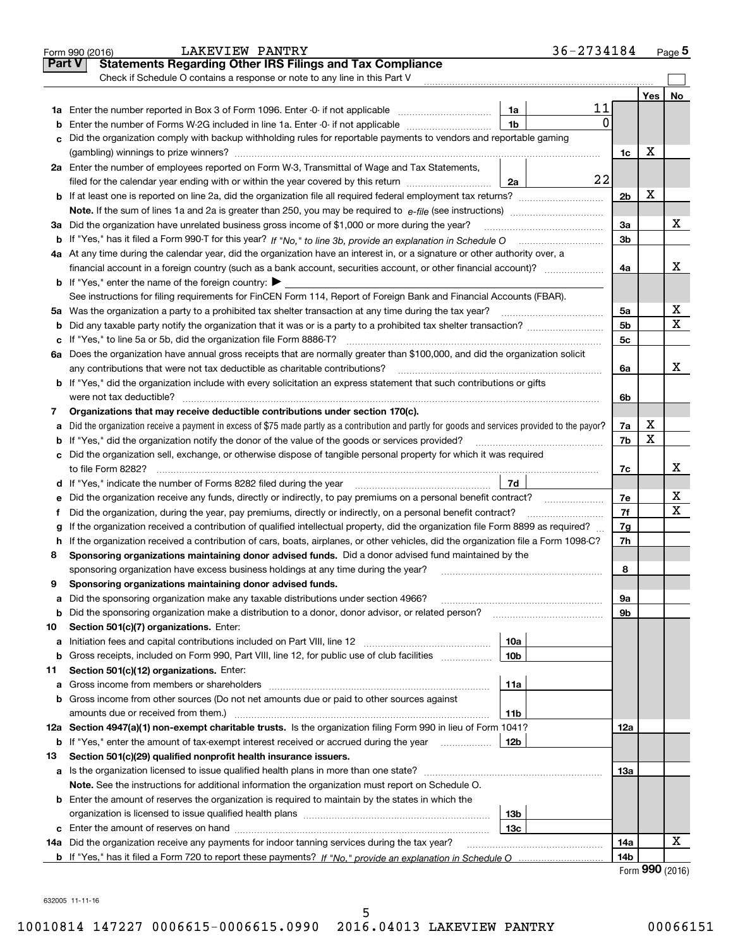|               | <b>LAKEVIEW PANTRY</b><br>Form 990 (2016)                                                                                                       |                 | 36-2734184 |                |     | Page 5                  |
|---------------|-------------------------------------------------------------------------------------------------------------------------------------------------|-----------------|------------|----------------|-----|-------------------------|
| <b>Part V</b> | <b>Statements Regarding Other IRS Filings and Tax Compliance</b>                                                                                |                 |            |                |     |                         |
|               | Check if Schedule O contains a response or note to any line in this Part V                                                                      |                 |            |                |     |                         |
|               |                                                                                                                                                 |                 |            |                | Yes | No                      |
|               |                                                                                                                                                 | 1a              | 11         |                |     |                         |
| b             | Enter the number of Forms W-2G included in line 1a. Enter -0- if not applicable                                                                 | 1 <sub>b</sub>  | $\Omega$   |                |     |                         |
|               | Did the organization comply with backup withholding rules for reportable payments to vendors and reportable gaming                              |                 |            |                |     |                         |
|               |                                                                                                                                                 |                 |            | 1c             | х   |                         |
|               | 2a Enter the number of employees reported on Form W-3, Transmittal of Wage and Tax Statements,                                                  |                 |            |                |     |                         |
|               | filed for the calendar year ending with or within the year covered by this return                                                               | 2a              | 22         |                |     |                         |
|               |                                                                                                                                                 |                 |            | 2 <sub>b</sub> | X   |                         |
|               | <b>Note.</b> If the sum of lines 1a and 2a is greater than 250, you may be required to $e$ -file (see instructions)                             |                 |            |                |     |                         |
|               | 3a Did the organization have unrelated business gross income of \$1,000 or more during the year?                                                |                 |            | 3a             |     | X                       |
|               |                                                                                                                                                 |                 |            | 3 <sub>b</sub> |     |                         |
|               | 4a At any time during the calendar year, did the organization have an interest in, or a signature or other authority over, a                    |                 |            |                |     |                         |
|               |                                                                                                                                                 |                 |            | 4a             |     | х                       |
|               | <b>b</b> If "Yes," enter the name of the foreign country: $\blacktriangleright$                                                                 |                 |            |                |     |                         |
|               | See instructions for filing requirements for FinCEN Form 114, Report of Foreign Bank and Financial Accounts (FBAR).                             |                 |            |                |     |                         |
|               | 5a Was the organization a party to a prohibited tax shelter transaction at any time during the tax year?                                        |                 |            | 5a             |     | x                       |
| b             |                                                                                                                                                 |                 |            | 5 <sub>b</sub> |     | $\overline{\mathbf{x}}$ |
|               |                                                                                                                                                 |                 |            | 5 <sub>c</sub> |     |                         |
|               | 6a Does the organization have annual gross receipts that are normally greater than \$100,000, and did the organization solicit                  |                 |            |                |     |                         |
|               | any contributions that were not tax deductible as charitable contributions?                                                                     |                 |            | 6a             |     | x                       |
| b             | If "Yes," did the organization include with every solicitation an express statement that such contributions or gifts                            |                 |            |                |     |                         |
|               | were not tax deductible?                                                                                                                        |                 |            | 6b             |     |                         |
| 7             | Organizations that may receive deductible contributions under section 170(c).                                                                   |                 |            |                |     |                         |
| а             | Did the organization receive a payment in excess of \$75 made partly as a contribution and partly for goods and services provided to the payor? |                 |            | 7a             | х   |                         |
| b             | If "Yes," did the organization notify the donor of the value of the goods or services provided?                                                 |                 |            | 7b             | X   |                         |
|               | c Did the organization sell, exchange, or otherwise dispose of tangible personal property for which it was required                             |                 |            |                |     |                         |
|               | to file Form 8282?                                                                                                                              |                 |            | 7c             |     | х                       |
|               |                                                                                                                                                 | 7d              |            |                |     |                         |
| е             | Did the organization receive any funds, directly or indirectly, to pay premiums on a personal benefit contract?                                 |                 |            | 7e             |     | x                       |
| Ť.            | Did the organization, during the year, pay premiums, directly or indirectly, on a personal benefit contract?                                    |                 |            | 7f             |     | $\overline{\mathbf{x}}$ |
|               | If the organization received a contribution of qualified intellectual property, did the organization file Form 8899 as required?                |                 |            | 7g             |     |                         |
| g<br>h        | If the organization received a contribution of cars, boats, airplanes, or other vehicles, did the organization file a Form 1098-C?              |                 |            | 7h             |     |                         |
| 8             | Sponsoring organizations maintaining donor advised funds. Did a donor advised fund maintained by the                                            |                 |            |                |     |                         |
|               | sponsoring organization have excess business holdings at any time during the year?                                                              |                 |            | 8              |     |                         |
| 9             | Sponsoring organizations maintaining donor advised funds.                                                                                       |                 |            |                |     |                         |
| а             | Did the sponsoring organization make any taxable distributions under section 4966?                                                              |                 |            | 9а             |     |                         |
| b             | Did the sponsoring organization make a distribution to a donor, donor advisor, or related person?                                               |                 |            | 9b             |     |                         |
| 10            | Section 501(c)(7) organizations. Enter:                                                                                                         |                 |            |                |     |                         |
| а             |                                                                                                                                                 | 10a             |            |                |     |                         |
| b             | Gross receipts, included on Form 990, Part VIII, line 12, for public use of club facilities                                                     | 10 <sub>b</sub> |            |                |     |                         |
| 11            | Section 501(c)(12) organizations. Enter:                                                                                                        |                 |            |                |     |                         |
| а             |                                                                                                                                                 | 11a             |            |                |     |                         |
| b             | Gross income from other sources (Do not net amounts due or paid to other sources against                                                        |                 |            |                |     |                         |
|               | amounts due or received from them.)                                                                                                             | 11b             |            |                |     |                         |
|               | 12a Section 4947(a)(1) non-exempt charitable trusts. Is the organization filing Form 990 in lieu of Form 1041?                                  |                 |            | 12a            |     |                         |
| b             | If "Yes," enter the amount of tax-exempt interest received or accrued during the year                                                           | 12b             |            |                |     |                         |
| 13            | Section 501(c)(29) qualified nonprofit health insurance issuers.                                                                                |                 |            |                |     |                         |
| а             | Is the organization licensed to issue qualified health plans in more than one state?                                                            |                 |            | 13а            |     |                         |
|               | Note. See the instructions for additional information the organization must report on Schedule O.                                               |                 |            |                |     |                         |
|               | <b>b</b> Enter the amount of reserves the organization is required to maintain by the states in which the                                       |                 |            |                |     |                         |
|               |                                                                                                                                                 | 13 <sub>b</sub> |            |                |     |                         |
| c             | Enter the amount of reserves on hand                                                                                                            | 13c             |            |                |     |                         |
| 14a           | Did the organization receive any payments for indoor tanning services during the tax year?                                                      |                 |            | 14a            |     | x                       |
|               |                                                                                                                                                 |                 |            | 14b            |     |                         |
|               |                                                                                                                                                 |                 |            |                | QQQ |                         |

Form **990**( <sup>2016</sup>) Form (2016) **990**

632005 11-11-16 632005 11-11-16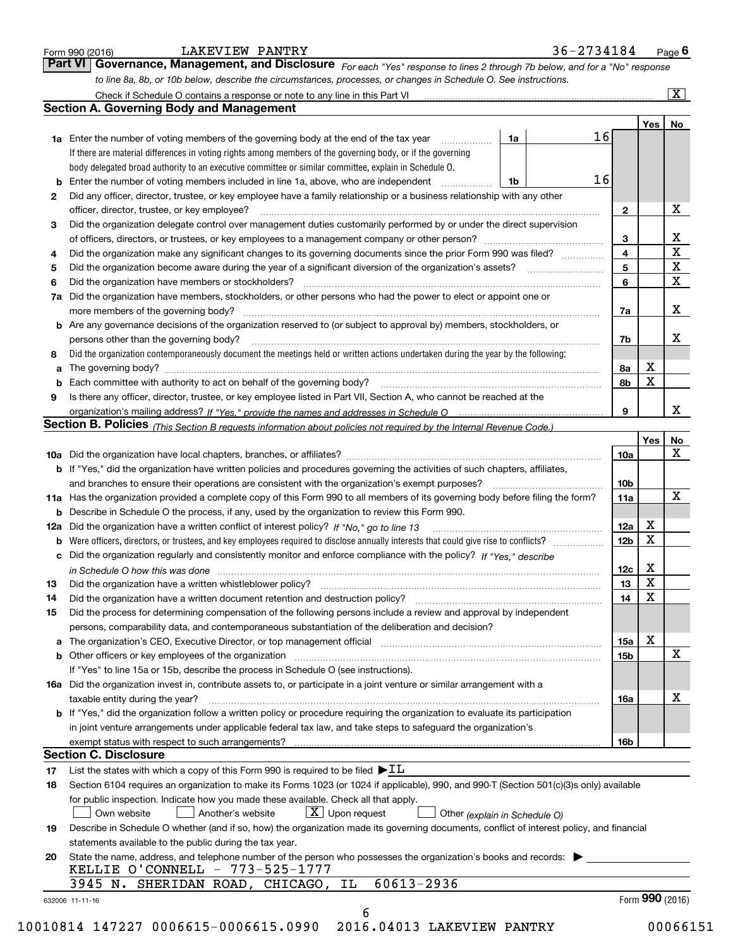|    | to line 8a, 8b, or 10b below, describe the circumstances, processes, or changes in Schedule O. See instructions.                                                                                                               |                 |                         | $\overline{\mathbf{x}}$ |
|----|--------------------------------------------------------------------------------------------------------------------------------------------------------------------------------------------------------------------------------|-----------------|-------------------------|-------------------------|
|    | <b>Section A. Governing Body and Management</b>                                                                                                                                                                                |                 |                         |                         |
|    |                                                                                                                                                                                                                                |                 | Yes                     | No                      |
|    | 16<br>1a<br><b>1a</b> Enter the number of voting members of the governing body at the end of the tax year <i>manumum</i>                                                                                                       |                 |                         |                         |
|    | If there are material differences in voting rights among members of the governing body, or if the governing                                                                                                                    |                 |                         |                         |
|    | body delegated broad authority to an executive committee or similar committee, explain in Schedule O.                                                                                                                          |                 |                         |                         |
|    | 16<br><b>b</b> Enter the number of voting members included in line 1a, above, who are independent <i>manument</i><br>1b                                                                                                        |                 |                         |                         |
| 2  | Did any officer, director, trustee, or key employee have a family relationship or a business relationship with any other                                                                                                       |                 |                         |                         |
|    | officer, director, trustee, or key employee?                                                                                                                                                                                   | $\mathbf{2}$    |                         | Х                       |
| 3  | Did the organization delegate control over management duties customarily performed by or under the direct supervision                                                                                                          |                 |                         |                         |
|    |                                                                                                                                                                                                                                | 3               |                         |                         |
| 4  | Did the organization make any significant changes to its governing documents since the prior Form 990 was filed?                                                                                                               | 4               |                         | $rac{X}{X}$             |
| 5  |                                                                                                                                                                                                                                | 5               |                         |                         |
| 6  | Did the organization have members or stockholders?                                                                                                                                                                             | 6               |                         | $\overline{\mathbf{x}}$ |
|    | 7a Did the organization have members, stockholders, or other persons who had the power to elect or appoint one or                                                                                                              |                 |                         |                         |
|    |                                                                                                                                                                                                                                | 7a              |                         | X                       |
|    | <b>b</b> Are any governance decisions of the organization reserved to (or subject to approval by) members, stockholders, or                                                                                                    |                 |                         |                         |
|    | persons other than the governing body?                                                                                                                                                                                         | 7b              |                         | х                       |
| 8  | Did the organization contemporaneously document the meetings held or written actions undertaken during the year by the following:                                                                                              |                 |                         |                         |
| а  |                                                                                                                                                                                                                                | 8a              | х                       |                         |
|    |                                                                                                                                                                                                                                | 8b              | $\mathbf x$             |                         |
| 9  | Is there any officer, director, trustee, or key employee listed in Part VII, Section A, who cannot be reached at the                                                                                                           |                 |                         |                         |
|    |                                                                                                                                                                                                                                | 9               |                         | X                       |
|    | Section B. Policies (This Section B requests information about policies not required by the Internal Revenue Code.)                                                                                                            |                 |                         |                         |
|    |                                                                                                                                                                                                                                |                 | Yes                     | No                      |
|    |                                                                                                                                                                                                                                | 10a             |                         | X                       |
|    | b If "Yes," did the organization have written policies and procedures governing the activities of such chapters, affiliates,                                                                                                   |                 |                         |                         |
|    | and branches to ensure their operations are consistent with the organization's exempt purposes?                                                                                                                                | 10 <sub>b</sub> |                         |                         |
|    | 11a Has the organization provided a complete copy of this Form 990 to all members of its governing body before filing the form?                                                                                                | 11a             |                         | X                       |
|    | <b>b</b> Describe in Schedule O the process, if any, used by the organization to review this Form 990.                                                                                                                         |                 |                         |                         |
|    |                                                                                                                                                                                                                                | 12a             | Х                       |                         |
|    | <b>b</b> Were officers, directors, or trustees, and key employees required to disclose annually interests that could give rise to conflicts?                                                                                   | 12 <sub>b</sub> | X                       |                         |
|    | c Did the organization regularly and consistently monitor and enforce compliance with the policy? If "Yes," describe                                                                                                           |                 |                         |                         |
|    | in Schedule O how this was done manufactured and contain an according of the state of the state of the state o                                                                                                                 | 12c             | х                       |                         |
| 13 | Did the organization have a written whistleblower policy?                                                                                                                                                                      | 13              | $\overline{\mathbf{x}}$ |                         |
| 14 | Did the organization have a written document retention and destruction policy?                                                                                                                                                 | 14              | X                       |                         |
| 15 | Did the process for determining compensation of the following persons include a review and approval by independent                                                                                                             |                 |                         |                         |
|    | persons, comparability data, and contemporaneous substantiation of the deliberation and decision?                                                                                                                              |                 |                         |                         |
|    | a The organization's CEO, Executive Director, or top management official [11] [12] The organization's CEO, Executive Director, or top management official [12] [12] [12] [12] The organization's CEO, Executive Director, or t | 15a             | x                       |                         |
|    | b Other officers or key employees of the organization manufactured content to the organization manufactured by Other officers or key employees of the organization manufactured content of the organization manufactured by Ot | 15b             |                         | X                       |
|    | If "Yes" to line 15a or 15b, describe the process in Schedule O (see instructions).                                                                                                                                            |                 |                         |                         |
|    | 16a Did the organization invest in, contribute assets to, or participate in a joint venture or similar arrangement with a                                                                                                      |                 |                         |                         |
|    | taxable entity during the year?                                                                                                                                                                                                | 16a             |                         | x                       |
|    | b If "Yes," did the organization follow a written policy or procedure requiring the organization to evaluate its participation                                                                                                 |                 |                         |                         |
|    | in joint venture arrangements under applicable federal tax law, and take steps to safeguard the organization's                                                                                                                 |                 |                         |                         |
|    |                                                                                                                                                                                                                                | 16b             |                         |                         |
|    | <b>Section C. Disclosure</b>                                                                                                                                                                                                   |                 |                         |                         |
| 17 | List the states with which a copy of this Form 990 is required to be filed $\blacktriangleright$ IL                                                                                                                            |                 |                         |                         |
| 18 | Section 6104 requires an organization to make its Forms 1023 (or 1024 if applicable), 990, and 990-T (Section 501(c)(3)s only) available                                                                                       |                 |                         |                         |
|    | for public inspection. Indicate how you made these available. Check all that apply.                                                                                                                                            |                 |                         |                         |
|    | $\lfloor x \rfloor$ Upon request<br>Own website<br>Another's website<br>Other (explain in Schedule O)                                                                                                                          |                 |                         |                         |
| 19 | Describe in Schedule O whether (and if so, how) the organization made its governing documents, conflict of interest policy, and financial                                                                                      |                 |                         |                         |
|    | statements available to the public during the tax year.                                                                                                                                                                        |                 |                         |                         |
| 20 | State the name, address, and telephone number of the person who possesses the organization's books and records:                                                                                                                |                 |                         |                         |
|    | KELLIE O'CONNELL - 773-525-1777                                                                                                                                                                                                |                 |                         |                         |
|    | 60613-2936<br>3945 N. SHERIDAN ROAD, CHICAGO,<br>IL                                                                                                                                                                            |                 |                         |                         |
|    |                                                                                                                                                                                                                                |                 |                         |                         |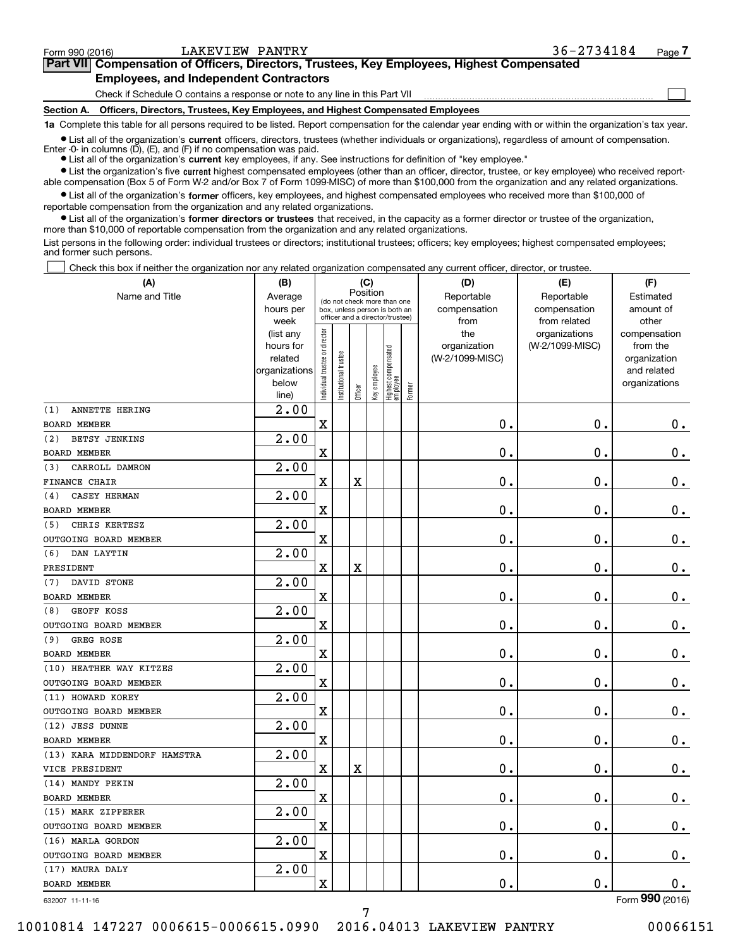**(A)**

 $\mathcal{L}^{\text{max}}$ 

| Form 990 (2016) | LAKEVIEW PANTRY                               |                                                                                            | 36-2734184 | Page 7 |
|-----------------|-----------------------------------------------|--------------------------------------------------------------------------------------------|------------|--------|
|                 |                                               | Part VII Compensation of Officers, Directors, Trustees, Key Employees, Highest Compensated |            |        |
|                 | <b>Employees, and Independent Contractors</b> |                                                                                            |            |        |

Check if Schedule O contains a response or note to any line in this Part VII <u>mand all communication communication</u>

**Section A. Officers, Directors, Trustees, Key Employees, and Highest Compensated Employees Section A. Officers, Directors, Trustees, Key Employees, and Highest Compensated Employees**

1a Complete this table for all persons required to be listed. Report compensation for the calendar year ending with or within the organization's tax year.

List all of the organization's current officers, directors, trustees (whether individuals or organizations), regardless of amount of compensation. Enter -0- in columns (D), (E), and (F) if no compensation was paid.

● List all of the organization's current key employees, if any. See instructions for definition of "key employee."

• List the organization's five current highest compensated employees (other than an officer, director, trustee, or key employee) who received reportable compensation (Box 5 of Form W-2 and/or Box 7 of Form 1099-MISC) of more than \$100,000 from the organization and any related organizations.

List all of the organization's former officers, key employees, and highest compensated employees who received more than \$100,000 of reportable compensation from the organization and any related organizations. reportable compensation from the organization and any related organizations.

List all of the organization's former directors or trustees that received, in the capacity as a former director or trustee of the organization, more than \$10 , <sup>000</sup>of reportable compensation from the organization and any related organizations. more than \$10,000 of reportable compensation from the organization and any related organizations.

List persons in the following order: individual trustees or directors; institutional trustees; officers; key employees; highest compensated employees; and former such persons. and former such persons.

Check this box if neither the organization nor any related organization compensated any current officer, director, or trustee.  $\mathcal{L}^{\text{max}}$ 

| (A)                          | (B)<br>(C)             |                                         |                               |         |              |                                         |        | (D)                 | (E)                              | (F)                      |
|------------------------------|------------------------|-----------------------------------------|-------------------------------|---------|--------------|-----------------------------------------|--------|---------------------|----------------------------------|--------------------------|
| Name and Title               | Average                | Position<br>(do not check more than one |                               |         |              |                                         |        | Reportable          | Reportable                       | Estimated                |
|                              | hours per              |                                         | box, unless person is both an |         |              | officer and a director/trustee)         |        | compensation        | compensation                     | amount of                |
|                              | week                   |                                         |                               |         |              |                                         |        | from                | from related                     | other                    |
|                              | (list any<br>hours for |                                         |                               |         |              |                                         |        | the<br>organization | organizations<br>(W-2/1099-MISC) | compensation<br>from the |
|                              | related                |                                         |                               |         |              |                                         |        | (W-2/1099-MISC)     |                                  | organization             |
|                              | organizations          |                                         |                               |         |              |                                         |        |                     |                                  | and related              |
|                              | below                  | Individual trustee or director          | nstitutional trustee          |         | Key employee |                                         |        |                     |                                  | organizations            |
|                              | line)                  |                                         |                               | Officer |              | <br>  Highest compensated<br>  employee | Former |                     |                                  |                          |
| ANNETTE HERING<br>(1)        | $\overline{2.00}$      |                                         |                               |         |              |                                         |        |                     |                                  |                          |
| <b>BOARD MEMBER</b>          |                        | $\mathbf X$                             |                               |         |              |                                         |        | 0.                  | $\mathbf 0$ .                    | $0_{.}$                  |
| BETSY JENKINS<br>(2)         | 2.00                   |                                         |                               |         |              |                                         |        |                     |                                  |                          |
| <b>BOARD MEMBER</b>          |                        | $\overline{\textbf{X}}$                 |                               |         |              |                                         |        | 0.                  | $\mathbf 0$ .                    | 0.                       |
| CARROLL DAMRON<br>(3)        | 2.00                   |                                         |                               |         |              |                                         |        |                     |                                  |                          |
| <b>FINANCE CHAIR</b>         |                        | X                                       |                               | X       |              |                                         |        | 0.                  | $\mathbf 0$ .                    | $0_{.}$                  |
| CASEY HERMAN<br>(4)          | 2.00                   |                                         |                               |         |              |                                         |        |                     |                                  |                          |
| BOARD MEMBER                 |                        | $\mathbf X$                             |                               |         |              |                                         |        | 0.                  | $\mathbf 0$ .                    | $\mathbf 0$ .            |
| CHRIS KERTESZ<br>(5)         | 2.00                   |                                         |                               |         |              |                                         |        |                     |                                  |                          |
| OUTGOING BOARD MEMBER        |                        | X                                       |                               |         |              |                                         |        | 0.                  | Ο.                               | $\mathbf 0$ .            |
| DAN LAYTIN<br>(6)            | 2.00                   |                                         |                               |         |              |                                         |        |                     |                                  |                          |
| PRESIDENT                    |                        | $\mathbf X$                             |                               | X       |              |                                         |        | 0.                  | $\mathbf 0$ .                    | $\mathbf 0$ .            |
| DAVID STONE<br>(7)           | 2.00                   |                                         |                               |         |              |                                         |        |                     |                                  |                          |
| <b>BOARD MEMBER</b>          |                        | $\mathbf X$                             |                               |         |              |                                         |        | 0.                  | $\mathbf 0$ .                    | $\mathbf 0$ .            |
| GEOFF KOSS<br>(8)            | $\overline{2.00}$      |                                         |                               |         |              |                                         |        |                     |                                  |                          |
| OUTGOING BOARD MEMBER        |                        | $\mathbf X$                             |                               |         |              |                                         |        | 0.                  | $\mathbf 0$ .                    | $\mathbf 0$ .            |
| GREG ROSE<br>(9)             | 2.00                   |                                         |                               |         |              |                                         |        |                     |                                  |                          |
| <b>BOARD MEMBER</b>          |                        | $\overline{\textbf{X}}$                 |                               |         |              |                                         |        | 0.                  | $\mathbf 0$ .                    | $0$ .                    |
| (10) HEATHER WAY KITZES      | 2.00                   |                                         |                               |         |              |                                         |        |                     |                                  |                          |
| OUTGOING BOARD MEMBER        |                        | X                                       |                               |         |              |                                         |        | 0.                  | $\mathbf 0$ .                    | $0$ .                    |
| (11) HOWARD KOREY            | 2.00                   |                                         |                               |         |              |                                         |        |                     |                                  |                          |
| OUTGOING BOARD MEMBER        |                        | $\mathbf X$                             |                               |         |              |                                         |        | 0.                  | $\mathbf 0$ .                    | $\mathbf 0$ .            |
| (12) JESS DUNNE              | 2.00                   |                                         |                               |         |              |                                         |        |                     |                                  |                          |
| <b>BOARD MEMBER</b>          |                        | X                                       |                               |         |              |                                         |        | 0.                  | $\mathbf 0$ .                    | $\mathbf 0$ .            |
| (13) KARA MIDDENDORF HAMSTRA | 2.00                   |                                         |                               |         |              |                                         |        |                     |                                  |                          |
| VICE PRESIDENT               |                        | $\mathbf X$                             |                               | X       |              |                                         |        | 0.                  | $\mathbf 0$ .                    | $\mathbf 0$ .            |
| (14) MANDY PEKIN             | 2.00                   |                                         |                               |         |              |                                         |        |                     |                                  |                          |
| <b>BOARD MEMBER</b>          |                        | $\mathbf X$                             |                               |         |              |                                         |        | 0.                  | $\mathbf 0$ .                    | $\mathbf 0$ .            |
| (15) MARK ZIPPERER           | $\overline{2.00}$      |                                         |                               |         |              |                                         |        |                     |                                  |                          |
| OUTGOING BOARD MEMBER        |                        | $\mathbf X$                             |                               |         |              |                                         |        | 0.                  | $\mathbf 0$ .                    | $\mathbf 0$ .            |
| (16) MARLA GORDON            | 2.00                   |                                         |                               |         |              |                                         |        |                     |                                  |                          |
| OUTGOING BOARD MEMBER        |                        | $\overline{\textbf{X}}$                 |                               |         |              |                                         |        | 0.                  | $\mathbf 0$ .                    | 0.                       |
| (17) MAURA DALY              | 2.00                   |                                         |                               |         |              |                                         |        |                     |                                  |                          |
| <b>BOARD MEMBER</b>          |                        | X                                       |                               |         |              |                                         |        | 0.                  | 0.                               | $\mathbf 0$ .            |
| 632007 11-11-16              |                        |                                         |                               |         |              |                                         |        |                     |                                  | Form 990 (2016)          |

10010814 147227 0006615-0006615.0990 2016.04013 LAKEVIEW PANTRY 10010814 147227 0006615-0006615.0990 2016.04013 LAKEVIEW PANTRY 00066151

7 7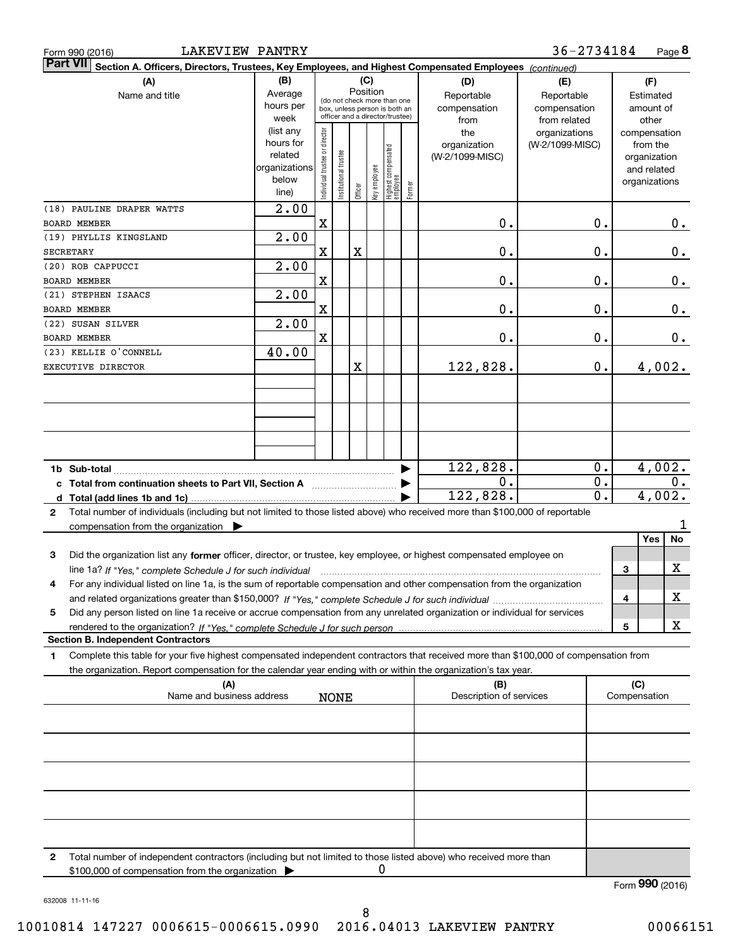| Form 990 (2016)     | <b>LAKEVIEW PANTRY</b>                                                                                                                                                                                                                                          |                                                                              |                                |                      |                                                                                                                    |              |                                 |                                   |                                                | 36-2734184                                       |                 |                                                                                   | Page 8           |
|---------------------|-----------------------------------------------------------------------------------------------------------------------------------------------------------------------------------------------------------------------------------------------------------------|------------------------------------------------------------------------------|--------------------------------|----------------------|--------------------------------------------------------------------------------------------------------------------|--------------|---------------------------------|-----------------------------------|------------------------------------------------|--------------------------------------------------|-----------------|-----------------------------------------------------------------------------------|------------------|
|                     | Part VII Section A. Officers, Directors, Trustees, Key Employees, and Highest Compensated Employees (continued)<br>(A)                                                                                                                                          |                                                                              |                                |                      |                                                                                                                    |              |                                 |                                   |                                                |                                                  |                 | (F)                                                                               |                  |
|                     | (B)<br>Average<br>hours per                                                                                                                                                                                                                                     |                                                                              |                                |                      | (C)<br>Position<br>(do not check more than one<br>box, unless person is both an<br>officer and a director/trustee) |              |                                 | (D)<br>Reportable<br>compensation | (E)<br>Reportable<br>compensation              | Estimated<br>amount of                           |                 |                                                                                   |                  |
|                     |                                                                                                                                                                                                                                                                 | week<br>(list any<br>hours for<br>related<br>organizations<br>below<br>line) | Individual trustee or director | nstitutional trustee | Officer                                                                                                            | Key employee | Highest compensated<br>employee | Former                            | from<br>the<br>organization<br>(W-2/1099-MISC) | from related<br>organizations<br>(W-2/1099-MISC) |                 | other<br>compensation<br>from the<br>organization<br>and related<br>organizations |                  |
| <b>BOARD MEMBER</b> | (18) PAULINE DRAPER WATTS                                                                                                                                                                                                                                       | 2.00                                                                         | $\mathbf X$                    |                      |                                                                                                                    |              |                                 |                                   | 0.                                             | 0.                                               |                 |                                                                                   | $0$ .            |
| SECRETARY           | (19) PHYLLIS KINGSLAND                                                                                                                                                                                                                                          | 2.00                                                                         | $\mathbf X$                    |                      | X                                                                                                                  |              |                                 |                                   | 0.                                             | 0.                                               |                 |                                                                                   | 0.               |
| <b>BOARD MEMBER</b> | (20) ROB CAPPUCCI                                                                                                                                                                                                                                               | 2.00                                                                         | X                              |                      |                                                                                                                    |              |                                 |                                   | 0.                                             | 0.                                               |                 |                                                                                   | 0.               |
|                     | (21) STEPHEN ISAACS                                                                                                                                                                                                                                             | 2.00                                                                         |                                |                      |                                                                                                                    |              |                                 |                                   |                                                |                                                  |                 |                                                                                   |                  |
| <b>BOARD MEMBER</b> | (22) SUSAN SILVER                                                                                                                                                                                                                                               | 2.00                                                                         | $\mathbf X$                    |                      |                                                                                                                    |              |                                 |                                   | 0.                                             | 0.                                               |                 |                                                                                   | 0.               |
| <b>BOARD MEMBER</b> |                                                                                                                                                                                                                                                                 |                                                                              | $\mathbf X$                    |                      |                                                                                                                    |              |                                 |                                   | 0.                                             | 0.                                               |                 |                                                                                   | $0$ .            |
|                     | (23) KELLIE O'CONNELL<br>EXECUTIVE DIRECTOR                                                                                                                                                                                                                     | 40.00                                                                        |                                |                      | X                                                                                                                  |              |                                 |                                   | 122,828.                                       | 0.                                               |                 | 4,002.                                                                            |                  |
|                     |                                                                                                                                                                                                                                                                 |                                                                              |                                |                      |                                                                                                                    |              |                                 |                                   |                                                |                                                  |                 |                                                                                   |                  |
|                     |                                                                                                                                                                                                                                                                 |                                                                              |                                |                      |                                                                                                                    |              |                                 |                                   | 122,828.                                       | 0.                                               |                 | 4,002.                                                                            |                  |
|                     | c Total from continuation sheets to Part VII, Section A <b>Constant Contact Part</b>                                                                                                                                                                            |                                                                              |                                |                      |                                                                                                                    |              |                                 |                                   | 0.                                             | 0.                                               |                 |                                                                                   | $\overline{0}$ . |
|                     |                                                                                                                                                                                                                                                                 |                                                                              |                                |                      |                                                                                                                    |              |                                 |                                   | 122,828.                                       | 0.                                               |                 | 4,002.                                                                            |                  |
| $\mathbf{2}$        | Total number of individuals (including but not limited to those listed above) who received more than \$100,000 of reportable<br>compensation from the organization $\blacktriangleright$                                                                        |                                                                              |                                |                      |                                                                                                                    |              |                                 |                                   |                                                |                                                  |                 |                                                                                   |                  |
| 3                   | Did the organization list any former officer, director, or trustee, key employee, or highest compensated employee on<br>line 1a? If "Yes," complete Schedule J for such individual manufactured contained and the Yes," complete Schedule J for such individual |                                                                              |                                |                      |                                                                                                                    |              |                                 |                                   |                                                |                                                  | 3               | <b>Yes</b>                                                                        | No<br>X          |
| 4                   | For any individual listed on line 1a, is the sum of reportable compensation and other compensation from the organization                                                                                                                                        |                                                                              |                                |                      |                                                                                                                    |              |                                 |                                   |                                                |                                                  | 4               |                                                                                   | х                |
| 5                   | Did any person listed on line 1a receive or accrue compensation from any unrelated organization or individual for services                                                                                                                                      |                                                                              |                                |                      |                                                                                                                    |              |                                 |                                   |                                                |                                                  | 5               |                                                                                   | X                |
|                     | <b>Section B. Independent Contractors</b>                                                                                                                                                                                                                       |                                                                              |                                |                      |                                                                                                                    |              |                                 |                                   |                                                |                                                  |                 |                                                                                   |                  |
| 1                   | Complete this table for your five highest compensated independent contractors that received more than \$100,000 of compensation from<br>the organization. Report compensation for the calendar year ending with or within the organization's tax year.          |                                                                              |                                |                      |                                                                                                                    |              |                                 |                                   |                                                |                                                  |                 |                                                                                   |                  |
|                     | (A)<br>Name and business address                                                                                                                                                                                                                                |                                                                              |                                | <b>NONE</b>          |                                                                                                                    |              |                                 |                                   | (B)<br>Description of services                 |                                                  | Compensation    | (C)                                                                               |                  |
|                     |                                                                                                                                                                                                                                                                 |                                                                              |                                |                      |                                                                                                                    |              |                                 |                                   |                                                |                                                  |                 |                                                                                   |                  |
|                     |                                                                                                                                                                                                                                                                 |                                                                              |                                |                      |                                                                                                                    |              |                                 |                                   |                                                |                                                  |                 |                                                                                   |                  |
|                     |                                                                                                                                                                                                                                                                 |                                                                              |                                |                      |                                                                                                                    |              |                                 |                                   |                                                |                                                  |                 |                                                                                   |                  |
| 2                   |                                                                                                                                                                                                                                                                 |                                                                              |                                |                      |                                                                                                                    |              |                                 |                                   |                                                |                                                  |                 |                                                                                   |                  |
|                     | Total number of independent contractors (including but not limited to those listed above) who received more than<br>\$100,000 of compensation from the organization                                                                                             |                                                                              |                                |                      |                                                                                                                    | 0            |                                 |                                   |                                                |                                                  | Form 990 (2016) |                                                                                   |                  |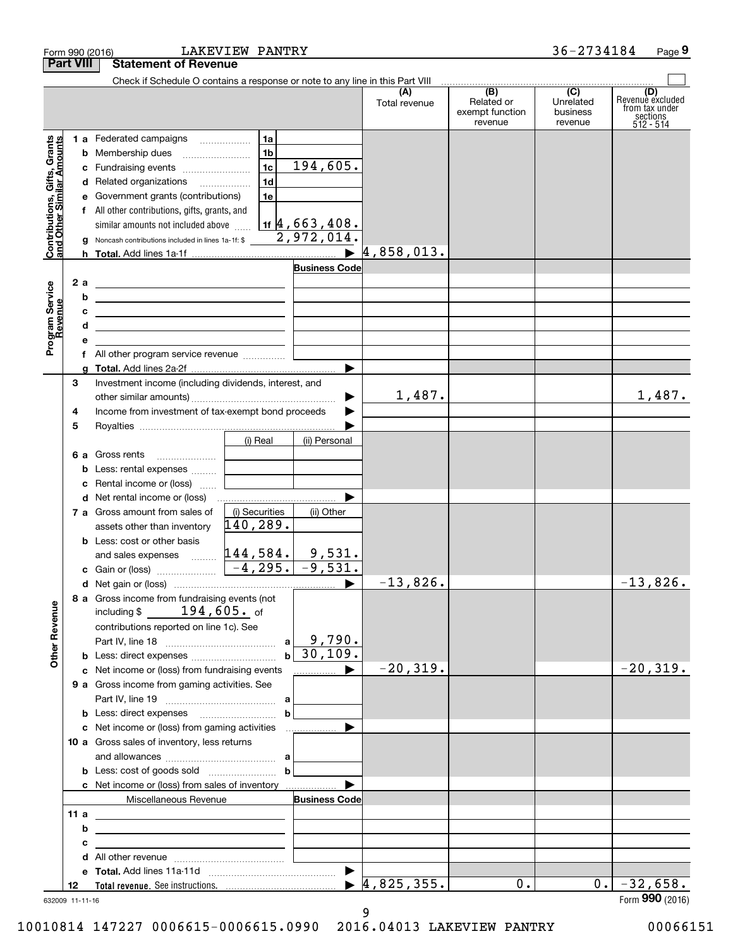| <b>Part VIII</b><br><b>Statement of Revenue</b><br>Check if Schedule O contains a response or note to any line in this Part VIII<br>(B)<br>(C)<br>(A)<br>Related or<br>Unrelated<br>Total revenue<br>exempt function<br>business<br>revenue<br>revenue<br>1 a Federated campaigns<br>1a<br>ts, Grants<br>Amounts<br>1 <sub>b</sub><br><b>b</b> Membership dues<br>194,605.<br>1 <sub>c</sub><br>c Fundraising events<br>Gifts,<br>Contributions, Gift<br>and Other Similar<br>1 <sub>d</sub><br>d Related organizations<br>1e<br>e Government grants (contributions)<br>f All other contributions, gifts, grants, and<br>$1$ if $4$ , 663, 408.<br>similar amounts not included above<br>2,972,014.<br>g Noncash contributions included in lines 1a-1f: \$<br>$\blacktriangleright$ 4,858,013. |                                                                    |
|------------------------------------------------------------------------------------------------------------------------------------------------------------------------------------------------------------------------------------------------------------------------------------------------------------------------------------------------------------------------------------------------------------------------------------------------------------------------------------------------------------------------------------------------------------------------------------------------------------------------------------------------------------------------------------------------------------------------------------------------------------------------------------------------|--------------------------------------------------------------------|
|                                                                                                                                                                                                                                                                                                                                                                                                                                                                                                                                                                                                                                                                                                                                                                                                |                                                                    |
|                                                                                                                                                                                                                                                                                                                                                                                                                                                                                                                                                                                                                                                                                                                                                                                                |                                                                    |
|                                                                                                                                                                                                                                                                                                                                                                                                                                                                                                                                                                                                                                                                                                                                                                                                | (D)<br>Revenue excluded<br>from tax under<br>sections<br>512 - 514 |
|                                                                                                                                                                                                                                                                                                                                                                                                                                                                                                                                                                                                                                                                                                                                                                                                |                                                                    |
|                                                                                                                                                                                                                                                                                                                                                                                                                                                                                                                                                                                                                                                                                                                                                                                                |                                                                    |
|                                                                                                                                                                                                                                                                                                                                                                                                                                                                                                                                                                                                                                                                                                                                                                                                |                                                                    |
|                                                                                                                                                                                                                                                                                                                                                                                                                                                                                                                                                                                                                                                                                                                                                                                                |                                                                    |
|                                                                                                                                                                                                                                                                                                                                                                                                                                                                                                                                                                                                                                                                                                                                                                                                |                                                                    |
|                                                                                                                                                                                                                                                                                                                                                                                                                                                                                                                                                                                                                                                                                                                                                                                                |                                                                    |
|                                                                                                                                                                                                                                                                                                                                                                                                                                                                                                                                                                                                                                                                                                                                                                                                |                                                                    |
|                                                                                                                                                                                                                                                                                                                                                                                                                                                                                                                                                                                                                                                                                                                                                                                                |                                                                    |
|                                                                                                                                                                                                                                                                                                                                                                                                                                                                                                                                                                                                                                                                                                                                                                                                |                                                                    |
| <b>Business Code</b>                                                                                                                                                                                                                                                                                                                                                                                                                                                                                                                                                                                                                                                                                                                                                                           |                                                                    |
| 2a<br><u> 1980 - Andrea Andrew Maria (h. 1980).</u>                                                                                                                                                                                                                                                                                                                                                                                                                                                                                                                                                                                                                                                                                                                                            |                                                                    |
| Program Service<br>Revenue<br>b<br><u> 1989 - Johann Barn, mars ann an t-Amhain ann an t-Amhain an t-Amhain an t-Amhain an t-Amhain an t-Amhain an t-</u>                                                                                                                                                                                                                                                                                                                                                                                                                                                                                                                                                                                                                                      |                                                                    |
| <u> 1989 - Johann John Stone, markin film yn y brening yn y brening yn y brening yn y brening yn y brening yn y b</u>                                                                                                                                                                                                                                                                                                                                                                                                                                                                                                                                                                                                                                                                          |                                                                    |
| d<br><u> 1989 - Johann Stein, marwolaethau a bhann an t-Amhainn an t-Amhainn an t-Amhainn an t-Amhainn an t-Amhainn an</u>                                                                                                                                                                                                                                                                                                                                                                                                                                                                                                                                                                                                                                                                     |                                                                    |
|                                                                                                                                                                                                                                                                                                                                                                                                                                                                                                                                                                                                                                                                                                                                                                                                |                                                                    |
| f All other program service revenue                                                                                                                                                                                                                                                                                                                                                                                                                                                                                                                                                                                                                                                                                                                                                            |                                                                    |
| ▶                                                                                                                                                                                                                                                                                                                                                                                                                                                                                                                                                                                                                                                                                                                                                                                              |                                                                    |
| Investment income (including dividends, interest, and<br>3                                                                                                                                                                                                                                                                                                                                                                                                                                                                                                                                                                                                                                                                                                                                     |                                                                    |
| 1,487.<br>▶                                                                                                                                                                                                                                                                                                                                                                                                                                                                                                                                                                                                                                                                                                                                                                                    | 1,487.                                                             |
| Income from investment of tax-exempt bond proceeds<br>4<br>▶                                                                                                                                                                                                                                                                                                                                                                                                                                                                                                                                                                                                                                                                                                                                   |                                                                    |
| 5                                                                                                                                                                                                                                                                                                                                                                                                                                                                                                                                                                                                                                                                                                                                                                                              |                                                                    |
| (i) Real<br>(ii) Personal                                                                                                                                                                                                                                                                                                                                                                                                                                                                                                                                                                                                                                                                                                                                                                      |                                                                    |
| 6 a Gross rents<br>$\ldots \ldots \ldots \ldots \ldots$                                                                                                                                                                                                                                                                                                                                                                                                                                                                                                                                                                                                                                                                                                                                        |                                                                    |
| <b>b</b> Less: rental expenses                                                                                                                                                                                                                                                                                                                                                                                                                                                                                                                                                                                                                                                                                                                                                                 |                                                                    |
| c Rental income or (loss)                                                                                                                                                                                                                                                                                                                                                                                                                                                                                                                                                                                                                                                                                                                                                                      |                                                                    |
| d Net rental income or (loss)                                                                                                                                                                                                                                                                                                                                                                                                                                                                                                                                                                                                                                                                                                                                                                  |                                                                    |
| (i) Securities<br><b>7 a</b> Gross amount from sales of<br>(ii) Other                                                                                                                                                                                                                                                                                                                                                                                                                                                                                                                                                                                                                                                                                                                          |                                                                    |
| 140,289.<br>assets other than inventory                                                                                                                                                                                                                                                                                                                                                                                                                                                                                                                                                                                                                                                                                                                                                        |                                                                    |
| <b>b</b> Less: cost or other basis                                                                                                                                                                                                                                                                                                                                                                                                                                                                                                                                                                                                                                                                                                                                                             |                                                                    |
| and sales expenses $\frac{144,584}{}$<br>9,531.                                                                                                                                                                                                                                                                                                                                                                                                                                                                                                                                                                                                                                                                                                                                                |                                                                    |
| $-4,295.$<br>$-9,531.$<br>c Gain or (loss)                                                                                                                                                                                                                                                                                                                                                                                                                                                                                                                                                                                                                                                                                                                                                     |                                                                    |
| $-13,826.$<br>▶                                                                                                                                                                                                                                                                                                                                                                                                                                                                                                                                                                                                                                                                                                                                                                                | $-13,826$ .                                                        |
| 8 a Gross income from fundraising events (not<br><b>Other Revenue</b><br>including $$$ 194,605. of                                                                                                                                                                                                                                                                                                                                                                                                                                                                                                                                                                                                                                                                                             |                                                                    |
| contributions reported on line 1c). See                                                                                                                                                                                                                                                                                                                                                                                                                                                                                                                                                                                                                                                                                                                                                        |                                                                    |
| $a \begin{bmatrix} 9 \\ 790 \end{bmatrix}$ .                                                                                                                                                                                                                                                                                                                                                                                                                                                                                                                                                                                                                                                                                                                                                   |                                                                    |
| b 30,109.<br><b>b</b> Less: direct expenses                                                                                                                                                                                                                                                                                                                                                                                                                                                                                                                                                                                                                                                                                                                                                    |                                                                    |
| $-20, 319.$<br>c Net income or (loss) from fundraising events<br>__________ ▶                                                                                                                                                                                                                                                                                                                                                                                                                                                                                                                                                                                                                                                                                                                  | $-20,319.$                                                         |
| 9 a Gross income from gaming activities. See                                                                                                                                                                                                                                                                                                                                                                                                                                                                                                                                                                                                                                                                                                                                                   |                                                                    |
| a                                                                                                                                                                                                                                                                                                                                                                                                                                                                                                                                                                                                                                                                                                                                                                                              |                                                                    |
| $\mathbf b$                                                                                                                                                                                                                                                                                                                                                                                                                                                                                                                                                                                                                                                                                                                                                                                    |                                                                    |
| c Net income or (loss) from gaming activities<br>▶                                                                                                                                                                                                                                                                                                                                                                                                                                                                                                                                                                                                                                                                                                                                             |                                                                    |
| 10 a Gross sales of inventory, less returns                                                                                                                                                                                                                                                                                                                                                                                                                                                                                                                                                                                                                                                                                                                                                    |                                                                    |
| a                                                                                                                                                                                                                                                                                                                                                                                                                                                                                                                                                                                                                                                                                                                                                                                              |                                                                    |
| b                                                                                                                                                                                                                                                                                                                                                                                                                                                                                                                                                                                                                                                                                                                                                                                              |                                                                    |
| c Net income or (loss) from sales of inventory                                                                                                                                                                                                                                                                                                                                                                                                                                                                                                                                                                                                                                                                                                                                                 |                                                                    |
| Miscellaneous Revenue<br><b>Business Code</b>                                                                                                                                                                                                                                                                                                                                                                                                                                                                                                                                                                                                                                                                                                                                                  |                                                                    |
| 11 a<br>the control of the control of the control of the control of the control of                                                                                                                                                                                                                                                                                                                                                                                                                                                                                                                                                                                                                                                                                                             |                                                                    |
| b                                                                                                                                                                                                                                                                                                                                                                                                                                                                                                                                                                                                                                                                                                                                                                                              |                                                                    |
| <u> 1989 - Johann Stein, mars an deutscher Stein († 1989)</u><br>с                                                                                                                                                                                                                                                                                                                                                                                                                                                                                                                                                                                                                                                                                                                             |                                                                    |
|                                                                                                                                                                                                                                                                                                                                                                                                                                                                                                                                                                                                                                                                                                                                                                                                |                                                                    |
| $\blacktriangleright$                                                                                                                                                                                                                                                                                                                                                                                                                                                                                                                                                                                                                                                                                                                                                                          |                                                                    |
| 4,825,355.<br>0.<br>0.1<br>12                                                                                                                                                                                                                                                                                                                                                                                                                                                                                                                                                                                                                                                                                                                                                                  | $-32,658.$                                                         |
| 632009 11-11-16                                                                                                                                                                                                                                                                                                                                                                                                                                                                                                                                                                                                                                                                                                                                                                                | Form 990 (2016)                                                    |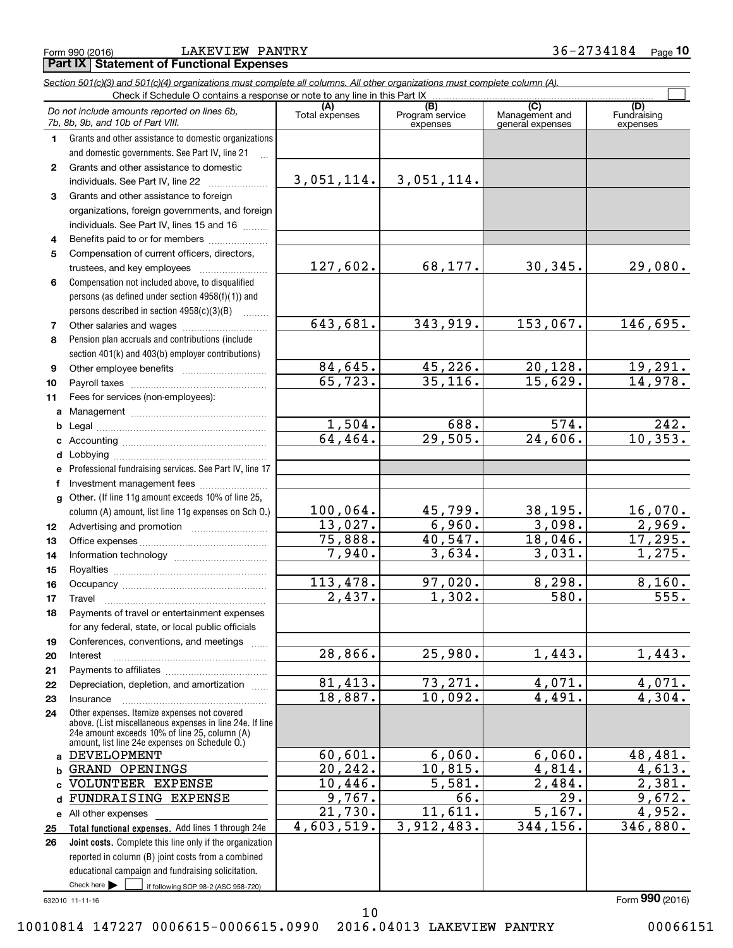**Part IX | Statement of Functional Expenses** 

Form990(2016) LAKEVIEW PANTRY 36-2734184 Page **<sup>10</sup> 10** Form 990 (2016) LAKEVIEW PANTRY 3 6-2 7 3 4  $184$  Page

|              | Section 501(c)(3) and 501(c)(4) organizations must complete all columns. All other organizations must complete column (A).<br>Check if Schedule O contains a response or note to any line in this Part IX |                                 |                             |                                    |                         |
|--------------|-----------------------------------------------------------------------------------------------------------------------------------------------------------------------------------------------------------|---------------------------------|-----------------------------|------------------------------------|-------------------------|
|              | Do not include amounts reported on lines 6b,                                                                                                                                                              | (A)                             | (B)                         | (C)                                | (D)                     |
|              | 7b, 8b, 9b, and 10b of Part VIII.                                                                                                                                                                         | Total expenses                  | Program service<br>expenses | Management and<br>general expenses | Fundraising<br>expenses |
| $\mathbf 1$  | Grants and other assistance to domestic organizations                                                                                                                                                     |                                 |                             |                                    |                         |
|              | and domestic governments. See Part IV, line 21                                                                                                                                                            |                                 |                             |                                    |                         |
| $\mathbf{2}$ | Grants and other assistance to domestic                                                                                                                                                                   |                                 |                             |                                    |                         |
|              | individuals. See Part IV, line 22                                                                                                                                                                         | 3,051,114.                      | 3,051,114.                  |                                    |                         |
| 3.           | Grants and other assistance to foreign                                                                                                                                                                    |                                 |                             |                                    |                         |
|              | organizations, foreign governments, and foreign                                                                                                                                                           |                                 |                             |                                    |                         |
|              | individuals. See Part IV, lines 15 and 16                                                                                                                                                                 |                                 |                             |                                    |                         |
| 4            | Benefits paid to or for members                                                                                                                                                                           |                                 |                             |                                    |                         |
| 5            | Compensation of current officers, directors,                                                                                                                                                              | 127,602.                        | 68, 177.                    | 30, 345.                           | 29,080.                 |
| 6            | trustees, and key employees<br>Compensation not included above, to disqualified                                                                                                                           |                                 |                             |                                    |                         |
|              | persons (as defined under section 4958(f)(1)) and                                                                                                                                                         |                                 |                             |                                    |                         |
|              | persons described in section 4958(c)(3)(B)                                                                                                                                                                |                                 |                             |                                    |                         |
| 7            |                                                                                                                                                                                                           | 643,681.                        | 343,919.                    | 153,067.                           | 146,695.                |
| 8            | Pension plan accruals and contributions (include                                                                                                                                                          |                                 |                             |                                    |                         |
|              | section 401(k) and 403(b) employer contributions)                                                                                                                                                         |                                 |                             |                                    |                         |
| 9            |                                                                                                                                                                                                           | 84,645.                         | 45, 226.                    | 20, 128.                           | 19,291.                 |
| 10           |                                                                                                                                                                                                           | 65, 723.                        | 35,116.                     | 15,629.                            | 14,978.                 |
| 11           | Fees for services (non-employees):                                                                                                                                                                        |                                 |                             |                                    |                         |
|              |                                                                                                                                                                                                           |                                 |                             |                                    |                         |
| b            |                                                                                                                                                                                                           | 1,504.                          | 688.                        | $\overline{574.}$                  | 242.                    |
|              |                                                                                                                                                                                                           | 64,464.                         | 29,505.                     | 24,606.                            | 10, 353.                |
| d            |                                                                                                                                                                                                           |                                 |                             |                                    |                         |
| е            | Professional fundraising services. See Part IV, line 17                                                                                                                                                   |                                 |                             |                                    |                         |
| f            | Investment management fees                                                                                                                                                                                |                                 |                             |                                    |                         |
| q            | Other. (If line 11g amount exceeds 10% of line 25,                                                                                                                                                        |                                 |                             |                                    |                         |
|              | column (A) amount, list line 11g expenses on Sch O.)                                                                                                                                                      | 100,064.<br>13,027.             | 45,799.<br>6,960.           | 38,195.<br>3,098.                  | 16,070.                 |
| 12           |                                                                                                                                                                                                           | $\overline{75}$ , 888.          | 40,547.                     | 18,046.                            | 2,969.<br>17,295.       |
| 13           |                                                                                                                                                                                                           | 7,940.                          | 3,634.                      | 3,031.                             | 1,275.                  |
| 14<br>15     |                                                                                                                                                                                                           |                                 |                             |                                    |                         |
| 16           |                                                                                                                                                                                                           | 113,478.                        | 97,020.                     | 8,298.                             | 8,160.                  |
| 17           |                                                                                                                                                                                                           | $\overline{2,437}$ .            | $\overline{1,302}$ .        | 580.                               | 555.                    |
| 18           | Payments of travel or entertainment expenses                                                                                                                                                              |                                 |                             |                                    |                         |
|              | for any federal, state, or local public officials                                                                                                                                                         |                                 |                             |                                    |                         |
| 19           | Conferences, conventions, and meetings<br><b>Section</b>                                                                                                                                                  |                                 |                             |                                    |                         |
| 20           | Interest                                                                                                                                                                                                  | 28,866.                         | 25,980.                     | 1,443.                             | 1,443.                  |
| 21           |                                                                                                                                                                                                           |                                 |                             |                                    |                         |
| 22           | Depreciation, depletion, and amortization                                                                                                                                                                 | 81,413.                         | 73,271.                     | 4,071.                             | 4,071.                  |
| 23           | Insurance                                                                                                                                                                                                 | 18,887.                         | 10,092.                     | 4,491.                             | 4,304.                  |
| 24           | Other expenses. Itemize expenses not covered                                                                                                                                                              |                                 |                             |                                    |                         |
|              | above. (List miscellaneous expenses in line 24e. If line<br>24e amount exceeds 10% of line 25, column (A)                                                                                                 |                                 |                             |                                    |                         |
|              | amount, list line 24e expenses on Schedule O.)                                                                                                                                                            |                                 |                             |                                    |                         |
| a            | <b>DEVELOPMENT</b>                                                                                                                                                                                        | 60,601.                         | 6,060.                      | 6,060.                             | 48, 481.                |
| b            | GRAND OPENINGS                                                                                                                                                                                            | 20, 242.                        | 10,815.                     | 4,814.                             | 4,613.                  |
|              | VOLUNTEER EXPENSE                                                                                                                                                                                         | 10,446.                         | 5,581.                      | 2,484.<br>$\overline{29}$ .        | 2,381.                  |
|              | FUNDRAISING EXPENSE                                                                                                                                                                                       | 9,767.<br>$\overline{21,730}$ . | 66.<br>11,611.              | 5,167.                             | 9,672.<br>4,952.        |
|              | e All other expenses                                                                                                                                                                                      | 4,603,519.                      | 3,912,483.                  | 344,156.                           | 346,880.                |
| 25<br>26     | Total functional expenses. Add lines 1 through 24e<br>Joint costs. Complete this line only if the organization                                                                                            |                                 |                             |                                    |                         |
|              | reported in column (B) joint costs from a combined                                                                                                                                                        |                                 |                             |                                    |                         |
|              | educational campaign and fundraising solicitation.                                                                                                                                                        |                                 |                             |                                    |                         |
|              | Check here<br>if following SOP 98-2 (ASC 958-720)                                                                                                                                                         |                                 |                             |                                    |                         |
|              | 632010 11-11-16                                                                                                                                                                                           |                                 |                             |                                    | Form 990 (2016)         |
|              |                                                                                                                                                                                                           | 10                              |                             |                                    |                         |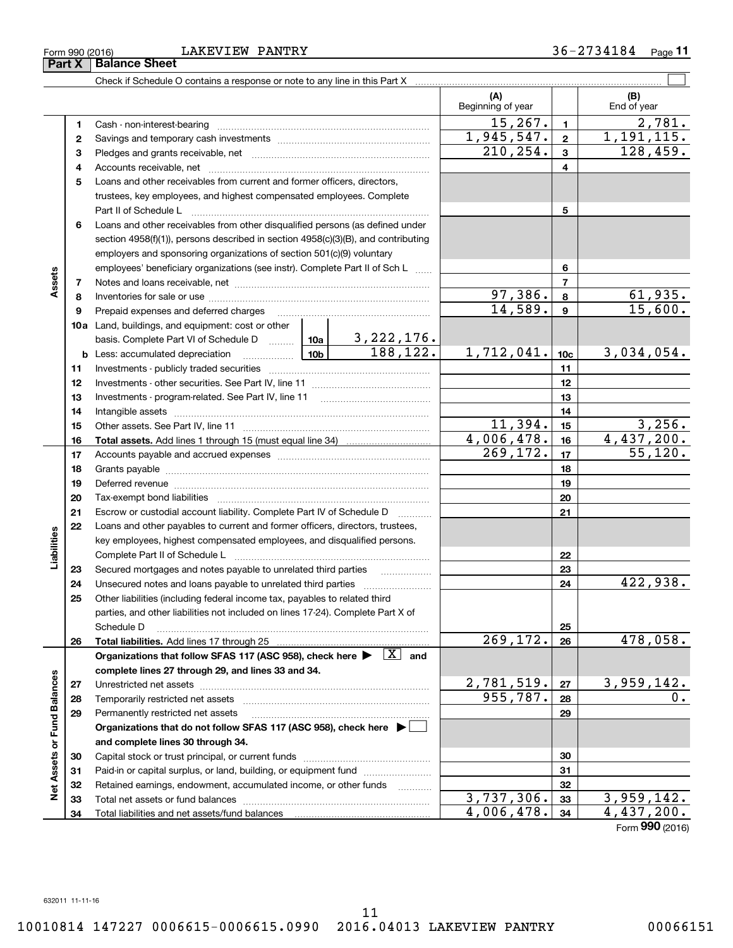#### Form990(2016) LAKEVIEW PANTRY 36-2734184 Page **<sup>11</sup>** Form 990 (2016) Page **11** LAKEVIEW PANTRY

|                             |    |                                                                                                                                                               |            |                          | (A)<br>Beginning of year |                 | (B)<br>End of year    |
|-----------------------------|----|---------------------------------------------------------------------------------------------------------------------------------------------------------------|------------|--------------------------|--------------------------|-----------------|-----------------------|
|                             | 1  |                                                                                                                                                               |            |                          | 15, 267.                 | $\mathbf{1}$    | 2,781.                |
|                             | 2  |                                                                                                                                                               | 1,945,547. | $\mathbf{2}$             | 1,191,115.               |                 |                       |
|                             | 3  |                                                                                                                                                               | 210, 254.  | $\mathbf{3}$             | 128,459.                 |                 |                       |
|                             | 4  |                                                                                                                                                               |            | $\overline{4}$           |                          |                 |                       |
|                             | 5  | Loans and other receivables from current and former officers, directors,                                                                                      |            |                          |                          |                 |                       |
|                             |    | trustees, key employees, and highest compensated employees. Complete                                                                                          |            |                          |                          |                 |                       |
|                             |    | Part II of Schedule L                                                                                                                                         |            |                          |                          | 5               |                       |
|                             | 6  | Loans and other receivables from other disqualified persons (as defined under                                                                                 |            |                          |                          |                 |                       |
|                             |    | section 4958(f)(1)), persons described in section 4958(c)(3)(B), and contributing                                                                             |            |                          |                          |                 |                       |
|                             |    | employers and sponsoring organizations of section 501(c)(9) voluntary                                                                                         |            |                          |                          |                 |                       |
|                             |    | employees' beneficiary organizations (see instr). Complete Part II of Sch L                                                                                   |            |                          |                          | 6               |                       |
| Assets                      | 7  |                                                                                                                                                               |            |                          |                          | $\overline{7}$  |                       |
|                             | 8  |                                                                                                                                                               |            |                          | 97,386.                  | 8               | 61,935.               |
|                             | 9  | Prepaid expenses and deferred charges                                                                                                                         |            |                          | 14,589.                  | $\mathbf{9}$    | 15,600.               |
|                             |    | 10a Land, buildings, and equipment: cost or other                                                                                                             |            |                          |                          |                 |                       |
|                             |    | basis. Complete Part VI of Schedule D  10a                                                                                                                    |            | <u>3,222,176.</u>        |                          |                 |                       |
|                             |    | │ 10b │<br><b>b</b> Less: accumulated depreciation                                                                                                            |            | 188, 122.                | 1,712,041.               | 10 <sub>c</sub> | 3,034,054.            |
|                             | 11 |                                                                                                                                                               |            |                          |                          | 11              |                       |
|                             | 12 |                                                                                                                                                               |            |                          |                          | 12              |                       |
|                             | 13 |                                                                                                                                                               |            |                          |                          | 13              |                       |
|                             | 14 |                                                                                                                                                               |            |                          | 14                       |                 |                       |
|                             | 15 |                                                                                                                                                               |            |                          | 11,394.                  | 15              | 3,256.                |
|                             | 16 |                                                                                                                                                               |            |                          | 4,006,478.               | 16              | 4,437,200.            |
|                             | 17 |                                                                                                                                                               |            |                          | 269, 172.                | 17              | $\overline{55,120}$ . |
|                             | 18 |                                                                                                                                                               |            |                          |                          | 18              |                       |
|                             | 19 |                                                                                                                                                               |            |                          |                          | 19              |                       |
|                             | 20 |                                                                                                                                                               |            |                          |                          | 20              |                       |
|                             | 21 | Escrow or custodial account liability. Complete Part IV of Schedule D                                                                                         |            | .                        |                          | 21              |                       |
|                             | 22 | Loans and other payables to current and former officers, directors, trustees,                                                                                 |            |                          |                          |                 |                       |
|                             |    | key employees, highest compensated employees, and disqualified persons.                                                                                       |            |                          |                          |                 |                       |
| Liabilities                 |    |                                                                                                                                                               |            |                          |                          | 22              |                       |
|                             | 23 | Secured mortgages and notes payable to unrelated third parties                                                                                                |            |                          |                          | 23              | 422,938.              |
|                             | 24 |                                                                                                                                                               |            |                          |                          | 24              |                       |
|                             | 25 | Other liabilities (including federal income tax, payables to related third<br>parties, and other liabilities not included on lines 17-24). Complete Part X of |            |                          |                          |                 |                       |
|                             |    | Schedule D                                                                                                                                                    |            |                          |                          | 25              |                       |
|                             | 26 |                                                                                                                                                               |            |                          | 269,172.                 | 26              | 478,058.              |
|                             |    | Organizations that follow SFAS 117 (ASC 958), check here $\blacktriangleright \begin{array}{ c } \hline X & \text{and} \end{array}$                           |            |                          |                          |                 |                       |
|                             |    | complete lines 27 through 29, and lines 33 and 34.                                                                                                            |            |                          |                          |                 |                       |
|                             | 27 |                                                                                                                                                               |            |                          | 2,781,519.               | 27              | 3,959,142.            |
|                             | 28 |                                                                                                                                                               |            |                          | 955,787.                 | 28              | 0.                    |
|                             | 29 | Permanently restricted net assets                                                                                                                             |            |                          |                          | 29              |                       |
|                             |    | Organizations that do not follow SFAS 117 (ASC 958), check here ▶ □                                                                                           |            |                          |                          |                 |                       |
| Net Assets or Fund Balances |    | and complete lines 30 through 34.                                                                                                                             |            |                          |                          |                 |                       |
|                             | 30 |                                                                                                                                                               |            |                          |                          | 30              |                       |
|                             | 31 | Paid-in or capital surplus, or land, building, or equipment fund                                                                                              |            |                          |                          | 31              |                       |
|                             | 32 | Retained earnings, endowment, accumulated income, or other funds                                                                                              |            | $\overline{\phantom{a}}$ |                          | 32              |                       |
|                             | 33 | Total net assets or fund balances                                                                                                                             |            |                          | 3,737,306.               | 33              | 3,959,142.            |
|                             | 34 |                                                                                                                                                               |            |                          | 4,006,478.               | 34              | 4,437,200.            |

Form **990** (2016)

**Part X Balance Sheet**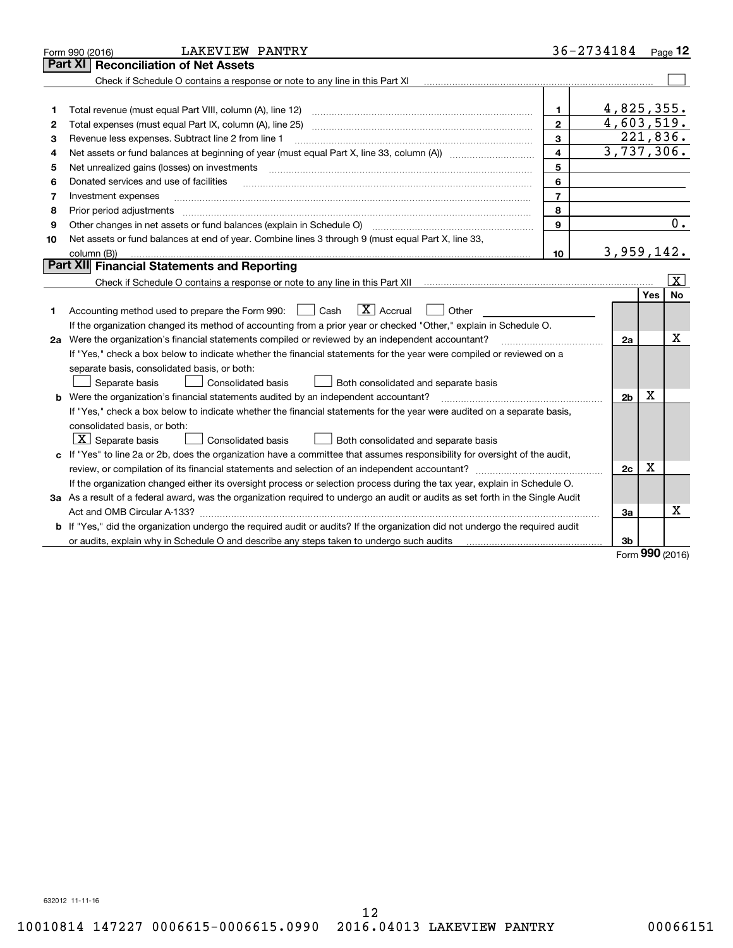|    | <b>LAKEVIEW PANTRY</b><br>Form 990 (2016)                                                                                                                                                                                                            |                         | 36-2734184     |            | Page $12$       |
|----|------------------------------------------------------------------------------------------------------------------------------------------------------------------------------------------------------------------------------------------------------|-------------------------|----------------|------------|-----------------|
|    | Part XI<br><b>Reconciliation of Net Assets</b>                                                                                                                                                                                                       |                         |                |            |                 |
|    |                                                                                                                                                                                                                                                      |                         |                |            |                 |
|    |                                                                                                                                                                                                                                                      |                         |                |            |                 |
| 1  | Total revenue (must equal Part VIII, column (A), line 12)                                                                                                                                                                                            | 1.                      | 4,825,355.     |            |                 |
| 2  | Total expenses (must equal Part IX, column (A), line 25)                                                                                                                                                                                             | $\overline{2}$          | 4,603,519.     |            |                 |
| 3  | Revenue less expenses. Subtract line 2 from line 1                                                                                                                                                                                                   | 3                       |                | 221,836.   |                 |
| 4  |                                                                                                                                                                                                                                                      | $\overline{\mathbf{4}}$ | 3,737,306.     |            |                 |
| 5  | Net unrealized gains (losses) on investments                                                                                                                                                                                                         | 5                       |                |            |                 |
| 6  | Donated services and use of facilities                                                                                                                                                                                                               | 6                       |                |            |                 |
| 7  | Investment expenses                                                                                                                                                                                                                                  | $\overline{7}$          |                |            |                 |
| 8  | Prior period adjustments                                                                                                                                                                                                                             | 8                       |                |            |                 |
| 9  | Other changes in net assets or fund balances (explain in Schedule O)                                                                                                                                                                                 | $\mathbf{Q}$            |                |            | 0.              |
| 10 | Net assets or fund balances at end of year. Combine lines 3 through 9 (must equal Part X, line 33,                                                                                                                                                   |                         |                |            |                 |
|    | column (B))                                                                                                                                                                                                                                          | 10                      | 3,959,142.     |            |                 |
|    | Part XII Financial Statements and Reporting                                                                                                                                                                                                          |                         |                |            |                 |
|    |                                                                                                                                                                                                                                                      |                         |                |            | $\vert X \vert$ |
| 1. | $\boxed{\mathbf{X}}$ Accrual<br>Accounting method used to prepare the Form 990: <u>June</u> Cash<br>Other                                                                                                                                            |                         |                | <b>Yes</b> | <b>No</b>       |
|    | If the organization changed its method of accounting from a prior year or checked "Other," explain in Schedule O.                                                                                                                                    |                         |                |            | х               |
|    | 2a Were the organization's financial statements compiled or reviewed by an independent accountant?                                                                                                                                                   |                         | 2a             |            |                 |
|    | If "Yes," check a box below to indicate whether the financial statements for the year were compiled or reviewed on a<br>separate basis, consolidated basis, or both:<br>Both consolidated and separate basis<br>Separate basis<br>Consolidated basis |                         |                |            |                 |
|    | <b>b</b> Were the organization's financial statements audited by an independent accountant?                                                                                                                                                          |                         | 2 <sub>b</sub> | х          |                 |
|    | If "Yes," check a box below to indicate whether the financial statements for the year were audited on a separate basis,                                                                                                                              |                         |                |            |                 |
|    | consolidated basis, or both:<br>$X$ Separate basis<br>Consolidated basis<br>Both consolidated and separate basis                                                                                                                                     |                         |                |            |                 |
|    | c If "Yes" to line 2a or 2b, does the organization have a committee that assumes responsibility for oversight of the audit,                                                                                                                          |                         |                |            |                 |
|    |                                                                                                                                                                                                                                                      |                         | 2c             | Х          |                 |
|    | If the organization changed either its oversight process or selection process during the tax year, explain in Schedule O.                                                                                                                            |                         |                |            |                 |
|    | 3a As a result of a federal award, was the organization required to undergo an audit or audits as set forth in the Single Audit                                                                                                                      |                         |                |            |                 |
|    | Act and OMB Circular A-133?                                                                                                                                                                                                                          |                         | За             |            | x               |
|    | <b>b</b> If "Yes," did the organization undergo the required audit or audits? If the organization did not undergo the required audit                                                                                                                 |                         |                |            |                 |
|    | or audits, explain why in Schedule O and describe any steps taken to undergo such audits                                                                                                                                                             |                         | 3b             | $\Omega$   |                 |

Form **990** (2016) Form (2016) **990**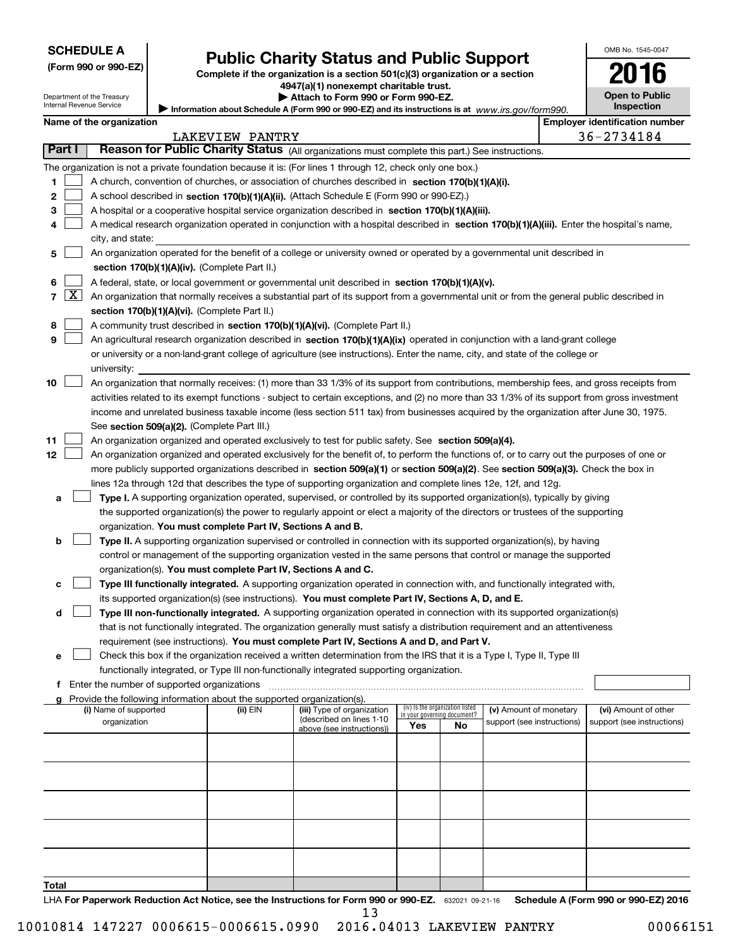Department of the Treasury Internal Revenue Service

| (Form 990 or 990-EZ) |  |  |  |  |
|----------------------|--|--|--|--|
|----------------------|--|--|--|--|

# **Public Charity Status and Public Support (Form 990 or 990-EZ) Public Charity Status and Public Support**

**Complete if the organization is a section 501(c)(3 ) organization or a section Complete if the organization is a section 501(c)(3) organization or a section <sup>4947</sup>(a)(1 ) nonexempt charitable trust. 4947(a)(1) nonexempt charitable trust. IFFORM SCHEDULE A**<br>
(Form 990 or 990-EZ)<br>
Department of the Treasury<br>
Internal Revenue Service<br> **INTERNAL REVENUE DEPARTED BEET A** (Form 990 or 990-EZ) and its instructions is at www.irs.gov/ft<br> **Name of the organization** 

Department of the Treasury **| Attach to Form 990 or Form 990-EZ. | Attach to Form 990 or Form 990-EZ.** 

| Information about Schedule A (Form 990 or 990-EZ) and its instructions is at www.irs.gov/form990. |  |
|---------------------------------------------------------------------------------------------------|--|
|---------------------------------------------------------------------------------------------------|--|

| <b>Open to Public</b><br><b>Inspection</b> |
|--------------------------------------------|

OMB No. 1545-0047 OMB No. 1545-0047

|       |                     | Name of the organization                                                                                                                      |                 |                            |     |                                 |                            | <b>Employer identification number</b> |
|-------|---------------------|-----------------------------------------------------------------------------------------------------------------------------------------------|-----------------|----------------------------|-----|---------------------------------|----------------------------|---------------------------------------|
|       |                     |                                                                                                                                               | LAKEVIEW PANTRY |                            |     |                                 |                            | 36-2734184                            |
|       | Part I              | Reason for Public Charity Status (All organizations must complete this part.) See instructions.                                               |                 |                            |     |                                 |                            |                                       |
|       |                     | The organization is not a private foundation because it is: (For lines 1 through 12, check only one box.)                                     |                 |                            |     |                                 |                            |                                       |
| 1     |                     | A church, convention of churches, or association of churches described in section 170(b)(1)(A)(i).                                            |                 |                            |     |                                 |                            |                                       |
| 2     |                     | A school described in section 170(b)(1)(A)(ii). (Attach Schedule E (Form 990 or 990-EZ).)                                                     |                 |                            |     |                                 |                            |                                       |
| з     |                     | A hospital or a cooperative hospital service organization described in section 170(b)(1)(A)(iii).                                             |                 |                            |     |                                 |                            |                                       |
|       |                     | A medical research organization operated in conjunction with a hospital described in section 170(b)(1)(A)(iii). Enter the hospital's name,    |                 |                            |     |                                 |                            |                                       |
|       |                     | city, and state:                                                                                                                              |                 |                            |     |                                 |                            |                                       |
| 5     |                     | An organization operated for the benefit of a college or university owned or operated by a governmental unit described in                     |                 |                            |     |                                 |                            |                                       |
|       |                     | section 170(b)(1)(A)(iv). (Complete Part II.)                                                                                                 |                 |                            |     |                                 |                            |                                       |
| 6     |                     | A federal, state, or local government or governmental unit described in section 170(b)(1)(A)(v).                                              |                 |                            |     |                                 |                            |                                       |
| 7     | $\lfloor x \rfloor$ | An organization that normally receives a substantial part of its support from a governmental unit or from the general public described in     |                 |                            |     |                                 |                            |                                       |
|       |                     | section 170(b)(1)(A)(vi). (Complete Part II.)                                                                                                 |                 |                            |     |                                 |                            |                                       |
| 8     |                     | A community trust described in section 170(b)(1)(A)(vi). (Complete Part II.)                                                                  |                 |                            |     |                                 |                            |                                       |
| 9     |                     | An agricultural research organization described in section 170(b)(1)(A)(ix) operated in conjunction with a land-grant college                 |                 |                            |     |                                 |                            |                                       |
|       |                     | or university or a non-land-grant college of agriculture (see instructions). Enter the name, city, and state of the college or                |                 |                            |     |                                 |                            |                                       |
|       |                     | university:                                                                                                                                   |                 |                            |     |                                 |                            |                                       |
| 10    |                     | An organization that normally receives: (1) more than 33 1/3% of its support from contributions, membership fees, and gross receipts from     |                 |                            |     |                                 |                            |                                       |
|       |                     | activities related to its exempt functions - subject to certain exceptions, and (2) no more than 33 1/3% of its support from gross investment |                 |                            |     |                                 |                            |                                       |
|       |                     | income and unrelated business taxable income (less section 511 tax) from businesses acquired by the organization after June 30, 1975.         |                 |                            |     |                                 |                            |                                       |
|       |                     | See section 509(a)(2). (Complete Part III.)                                                                                                   |                 |                            |     |                                 |                            |                                       |
| 11    |                     | An organization organized and operated exclusively to test for public safety. See section 509(a)(4).                                          |                 |                            |     |                                 |                            |                                       |
| 12    |                     | An organization organized and operated exclusively for the benefit of, to perform the functions of, or to carry out the purposes of one or    |                 |                            |     |                                 |                            |                                       |
|       |                     | more publicly supported organizations described in section 509(a)(1) or section 509(a)(2). See section 509(a)(3). Check the box in            |                 |                            |     |                                 |                            |                                       |
|       |                     | lines 12a through 12d that describes the type of supporting organization and complete lines 12e, 12f, and 12g.                                |                 |                            |     |                                 |                            |                                       |
| а     |                     | Type I. A supporting organization operated, supervised, or controlled by its supported organization(s), typically by giving                   |                 |                            |     |                                 |                            |                                       |
|       |                     | the supported organization(s) the power to regularly appoint or elect a majority of the directors or trustees of the supporting               |                 |                            |     |                                 |                            |                                       |
|       |                     | organization. You must complete Part IV, Sections A and B.                                                                                    |                 |                            |     |                                 |                            |                                       |
| b     |                     | Type II. A supporting organization supervised or controlled in connection with its supported organization(s), by having                       |                 |                            |     |                                 |                            |                                       |
|       |                     | control or management of the supporting organization vested in the same persons that control or manage the supported                          |                 |                            |     |                                 |                            |                                       |
|       |                     |                                                                                                                                               |                 |                            |     |                                 |                            |                                       |
|       |                     | organization(s). You must complete Part IV, Sections A and C.                                                                                 |                 |                            |     |                                 |                            |                                       |
| c     |                     | Type III functionally integrated. A supporting organization operated in connection with, and functionally integrated with,                    |                 |                            |     |                                 |                            |                                       |
|       |                     | its supported organization(s) (see instructions). You must complete Part IV, Sections A, D, and E.                                            |                 |                            |     |                                 |                            |                                       |
| d     |                     | Type III non-functionally integrated. A supporting organization operated in connection with its supported organization(s)                     |                 |                            |     |                                 |                            |                                       |
|       |                     | that is not functionally integrated. The organization generally must satisfy a distribution requirement and an attentiveness                  |                 |                            |     |                                 |                            |                                       |
|       |                     | requirement (see instructions). You must complete Part IV, Sections A and D, and Part V.                                                      |                 |                            |     |                                 |                            |                                       |
|       |                     | Check this box if the organization received a written determination from the IRS that it is a Type I, Type II, Type III                       |                 |                            |     |                                 |                            |                                       |
|       |                     | functionally integrated, or Type III non-functionally integrated supporting organization.                                                     |                 |                            |     |                                 |                            |                                       |
|       |                     | f Enter the number of supported organizations                                                                                                 |                 |                            |     |                                 |                            |                                       |
|       |                     | g Provide the following information about the supported organization(s).<br>(i) Name of supported                                             | (ii) EIN        | (iii) Type of organization |     | (iv) Is the organization listed | (v) Amount of monetary     | (vi) Amount of other                  |
|       |                     | organization                                                                                                                                  |                 | (described on lines 1-10   |     | in your governing document?     | support (see instructions) | support (see instructions)            |
|       |                     |                                                                                                                                               |                 | above (see instructions))  | Yes | No                              |                            |                                       |
|       |                     |                                                                                                                                               |                 |                            |     |                                 |                            |                                       |
|       |                     |                                                                                                                                               |                 |                            |     |                                 |                            |                                       |
|       |                     |                                                                                                                                               |                 |                            |     |                                 |                            |                                       |
|       |                     |                                                                                                                                               |                 |                            |     |                                 |                            |                                       |
|       |                     |                                                                                                                                               |                 |                            |     |                                 |                            |                                       |
|       |                     |                                                                                                                                               |                 |                            |     |                                 |                            |                                       |
|       |                     |                                                                                                                                               |                 |                            |     |                                 |                            |                                       |
|       |                     |                                                                                                                                               |                 |                            |     |                                 |                            |                                       |
|       |                     |                                                                                                                                               |                 |                            |     |                                 |                            |                                       |
|       |                     |                                                                                                                                               |                 |                            |     |                                 |                            |                                       |
| Total |                     |                                                                                                                                               |                 |                            |     |                                 |                            |                                       |
|       |                     | LHA For Paperwork Reduction Act Notice, see the Instructions for Form 990 or 990-EZ. 632021 09-21-16                                          |                 |                            |     |                                 |                            | Schedule A (Form 990 or 990-EZ) 2016  |

13 13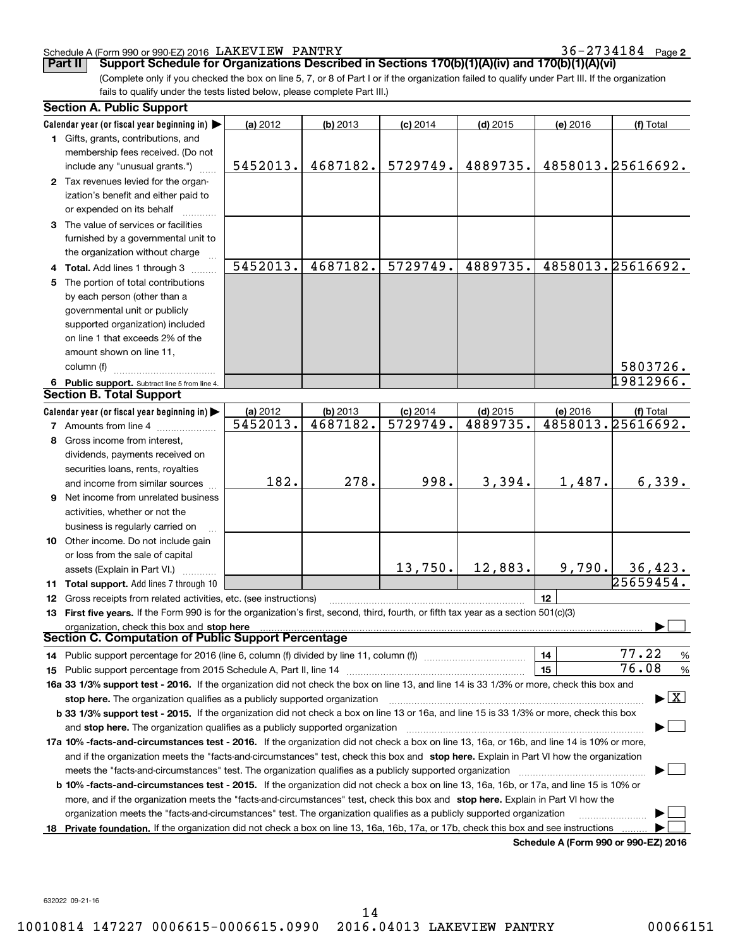### Schedule A (Form 990 or 990-EZ) 2016 LAKEVI EW PANTRY 36-2734184 Page **<sup>2</sup>** Schedule A (Form 990 or 990-EZ) 2016 Page LAKEVIEW PANTRY 36-2734184

|    | Schedule A (Form 990 or 990-EZ) 2016 LAKEVIEW PANTRY<br>Support Schedule for Organizations Described in Sections 170(b)(1)(A)(iv) and 170(b)(1)(A)(vi)<br>Part II                                                                                                                            |          |            |            |            |          | $36 - 2734184$ Page 2                    |
|----|----------------------------------------------------------------------------------------------------------------------------------------------------------------------------------------------------------------------------------------------------------------------------------------------|----------|------------|------------|------------|----------|------------------------------------------|
|    | (Complete only if you checked the box on line 5, 7, or 8 of Part I or if the organization failed to qualify under Part III. If the organization                                                                                                                                              |          |            |            |            |          |                                          |
|    | fails to qualify under the tests listed below, please complete Part III.)                                                                                                                                                                                                                    |          |            |            |            |          |                                          |
|    | <b>Section A. Public Support</b>                                                                                                                                                                                                                                                             |          |            |            |            |          |                                          |
|    |                                                                                                                                                                                                                                                                                              |          |            |            |            |          |                                          |
|    | Calendar year (or fiscal year beginning in) $\blacktriangleright$<br>1 Gifts, grants, contributions, and                                                                                                                                                                                     | (a) 2012 | (b) 2013   | $(c)$ 2014 | $(d)$ 2015 | (e) 2016 | (f) Total                                |
|    | membership fees received. (Do not                                                                                                                                                                                                                                                            |          |            |            |            |          |                                          |
|    | include any "unusual grants.")                                                                                                                                                                                                                                                               | 5452013. | 4687182.   | 5729749.   | 4889735.   |          | 4858013.25616692.                        |
|    | 2 Tax revenues levied for the organ-                                                                                                                                                                                                                                                         |          |            |            |            |          |                                          |
|    | ization's benefit and either paid to<br>or expended on its behalf                                                                                                                                                                                                                            |          |            |            |            |          |                                          |
|    | 3 The value of services or facilities                                                                                                                                                                                                                                                        |          |            |            |            |          |                                          |
|    | furnished by a governmental unit to<br>the organization without charge                                                                                                                                                                                                                       |          |            |            |            |          |                                          |
|    | 4 Total. Add lines 1 through 3                                                                                                                                                                                                                                                               | 5452013. | 4687182.   | 5729749.   | 4889735.   |          | 4858013.25616692.                        |
|    | 5 The portion of total contributions                                                                                                                                                                                                                                                         |          |            |            |            |          |                                          |
|    | by each person (other than a                                                                                                                                                                                                                                                                 |          |            |            |            |          |                                          |
|    | governmental unit or publicly                                                                                                                                                                                                                                                                |          |            |            |            |          |                                          |
|    | supported organization) included                                                                                                                                                                                                                                                             |          |            |            |            |          |                                          |
|    | on line 1 that exceeds 2% of the                                                                                                                                                                                                                                                             |          |            |            |            |          |                                          |
|    | amount shown on line 11,                                                                                                                                                                                                                                                                     |          |            |            |            |          |                                          |
|    | column (f)                                                                                                                                                                                                                                                                                   |          |            |            |            |          | 5803726.                                 |
|    | 6 Public support. Subtract line 5 from line 4.                                                                                                                                                                                                                                               |          |            |            |            |          | 19812966.                                |
|    | <b>Section B. Total Support</b>                                                                                                                                                                                                                                                              |          |            |            |            |          |                                          |
|    | Calendar year (or fiscal year beginning in)                                                                                                                                                                                                                                                  | (a) 2012 | $(b)$ 2013 | $(c)$ 2014 | $(d)$ 2015 | (e) 2016 | (f) Total                                |
|    | 7 Amounts from line 4                                                                                                                                                                                                                                                                        | 5452013. | 4687182.   | 5729749.   | 4889735.   |          | 4858013.25616692.                        |
|    | 8 Gross income from interest,                                                                                                                                                                                                                                                                |          |            |            |            |          |                                          |
|    | dividends, payments received on                                                                                                                                                                                                                                                              |          |            |            |            |          |                                          |
|    | securities loans, rents, royalties                                                                                                                                                                                                                                                           |          |            |            |            |          |                                          |
|    | and income from similar sources                                                                                                                                                                                                                                                              | 182.     | 278.       | 998.       | 3,394.     | 1,487.   | 6,339.                                   |
| 9. | Net income from unrelated business                                                                                                                                                                                                                                                           |          |            |            |            |          |                                          |
|    | activities, whether or not the                                                                                                                                                                                                                                                               |          |            |            |            |          |                                          |
|    | business is regularly carried on                                                                                                                                                                                                                                                             |          |            |            |            |          |                                          |
|    | <b>10</b> Other income. Do not include gain                                                                                                                                                                                                                                                  |          |            |            |            |          |                                          |
|    | or loss from the sale of capital                                                                                                                                                                                                                                                             |          |            |            |            |          |                                          |
|    | assets (Explain in Part VI.)<br>.                                                                                                                                                                                                                                                            |          |            | 13,750.    | 12,883.    | 9,790.   | 36,423.<br>25659454                      |
|    | <b>11 Total support.</b> Add lines 7 through 10                                                                                                                                                                                                                                              |          |            |            |            |          |                                          |
|    | <b>12</b> Gross receipts from related activities, etc. (see instructions)                                                                                                                                                                                                                    |          |            |            |            | 12       |                                          |
|    | 13 First five years. If the Form 990 is for the organization's first, second, third, fourth, or fifth tax year as a section 501(c)(3)                                                                                                                                                        |          |            |            |            |          |                                          |
|    | organization, check this box and stop here manufactured and content to the state of the state of the state of the state of the state of the state of the state of the state of the state of the state of the state of the stat<br><b>Section C. Computation of Public Support Percentage</b> |          |            |            |            |          |                                          |
|    |                                                                                                                                                                                                                                                                                              |          |            |            |            | 14       | 77.22<br>$\%$                            |
|    |                                                                                                                                                                                                                                                                                              |          |            |            |            | 15       | 76.08<br>%                               |
|    | 16a 33 1/3% support test - 2016. If the organization did not check the box on line 13, and line 14 is 33 1/3% or more, check this box and                                                                                                                                                    |          |            |            |            |          |                                          |
|    |                                                                                                                                                                                                                                                                                              |          |            |            |            |          | $\blacktriangleright$ $\boxed{\text{X}}$ |
|    | <b>b 33 1/3% support test - 2015.</b> If the organization did not check a box on line 13 or 16a, and line 15 is 33 1/3% or more, check this box                                                                                                                                              |          |            |            |            |          |                                          |
|    |                                                                                                                                                                                                                                                                                              |          |            |            |            |          |                                          |
|    | 17a 10% -facts-and-circumstances test - 2016. If the organization did not check a box on line 13, 16a, or 16b, and line 14 is 10% or more,                                                                                                                                                   |          |            |            |            |          |                                          |
|    | and if the organization meets the "facts-and-circumstances" test, check this box and stop here. Explain in Part VI how the organization                                                                                                                                                      |          |            |            |            |          |                                          |
|    | meets the "facts-and-circumstances" test. The organization qualifies as a publicly supported organization manufaction manufactured in the organization manufactured in the organization manufactured in the organization manuf                                                               |          |            |            |            |          |                                          |
|    | b 10% -facts-and-circumstances test - 2015. If the organization did not check a box on line 13, 16a, 16b, or 17a, and line 15 is 10% or                                                                                                                                                      |          |            |            |            |          |                                          |
|    | more, and if the organization meets the "facts-and-circumstances" test, check this box and stop here. Explain in Part VI how the                                                                                                                                                             |          |            |            |            |          |                                          |
|    |                                                                                                                                                                                                                                                                                              |          |            |            |            |          |                                          |
|    | organization meets the "facts-and-circumstances" test. The organization qualifies as a publicly supported organization                                                                                                                                                                       |          |            |            |            |          |                                          |

**Schedule A (Form 990 or 990-EZ) <sup>2016</sup> Schedule A (Form 990 or 990-EZ) 2016**

632022 09-21-16 632022 09-21-16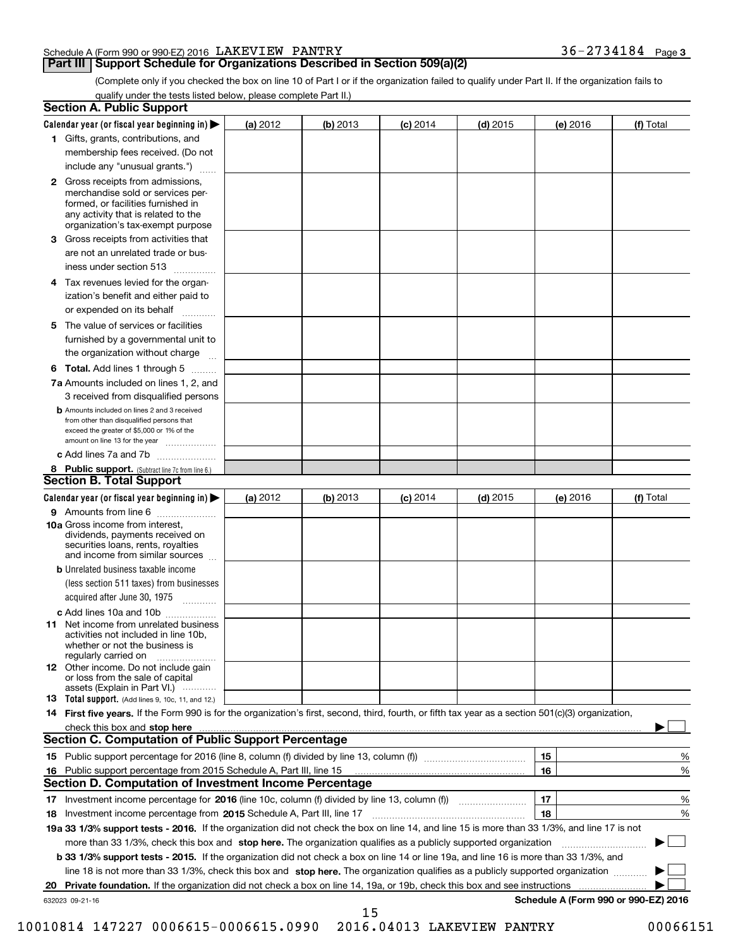### Schedule A (Form 990 or 990-EZ) 2016 LAKEVIEW PANTRY 36-2734184 Page 3

### **Part III** Support Schedule for Organizations Described in Section 509(a)(2)

**3**

(Complete only if you checked the box on line 10 of Part I or if the organization failed to qualify under Part II. If the organization fails to qualify under the tests listed below, please complete Part II.) qualify under the tests listed below, please complete Part II.)

|     | <b>Section A. Public Support</b>                                                                                                                                                         |          |          |            |            |                                      |           |
|-----|------------------------------------------------------------------------------------------------------------------------------------------------------------------------------------------|----------|----------|------------|------------|--------------------------------------|-----------|
|     | Calendar year (or fiscal year beginning in) $\blacktriangleright$                                                                                                                        | (a) 2012 | (b) 2013 | $(c)$ 2014 | $(d)$ 2015 | (e) 2016                             | (f) Total |
|     | 1 Gifts, grants, contributions, and                                                                                                                                                      |          |          |            |            |                                      |           |
|     | membership fees received. (Do not                                                                                                                                                        |          |          |            |            |                                      |           |
|     | include any "unusual grants.")                                                                                                                                                           |          |          |            |            |                                      |           |
|     | 2 Gross receipts from admissions,<br>merchandise sold or services per-<br>formed, or facilities furnished in<br>any activity that is related to the<br>organization's tax-exempt purpose |          |          |            |            |                                      |           |
|     | 3 Gross receipts from activities that<br>are not an unrelated trade or bus-                                                                                                              |          |          |            |            |                                      |           |
|     | iness under section 513                                                                                                                                                                  |          |          |            |            |                                      |           |
|     | 4 Tax revenues levied for the organ-                                                                                                                                                     |          |          |            |            |                                      |           |
|     | ization's benefit and either paid to<br>or expended on its behalf<br>.                                                                                                                   |          |          |            |            |                                      |           |
|     | 5 The value of services or facilities                                                                                                                                                    |          |          |            |            |                                      |           |
|     | furnished by a governmental unit to                                                                                                                                                      |          |          |            |            |                                      |           |
|     | the organization without charge                                                                                                                                                          |          |          |            |            |                                      |           |
|     | <b>6 Total.</b> Add lines 1 through 5                                                                                                                                                    |          |          |            |            |                                      |           |
|     | 7a Amounts included on lines 1, 2, and                                                                                                                                                   |          |          |            |            |                                      |           |
|     | 3 received from disqualified persons                                                                                                                                                     |          |          |            |            |                                      |           |
|     | <b>b</b> Amounts included on lines 2 and 3 received<br>from other than disqualified persons that<br>exceed the greater of \$5,000 or 1% of the<br>amount on line 13 for the year         |          |          |            |            |                                      |           |
|     | c Add lines 7a and 7b                                                                                                                                                                    |          |          |            |            |                                      |           |
|     | 8 Public support. (Subtract line 7c from line 6.)                                                                                                                                        |          |          |            |            |                                      |           |
|     | <b>Section B. Total Support</b>                                                                                                                                                          |          |          |            |            |                                      |           |
|     | Calendar year (or fiscal year beginning in) $\blacktriangleright$                                                                                                                        | (a) 2012 | (b) 2013 | $(c)$ 2014 | $(d)$ 2015 | (e) 2016                             | (f) Total |
|     | 9 Amounts from line 6                                                                                                                                                                    |          |          |            |            |                                      |           |
|     | <b>10a</b> Gross income from interest,<br>dividends, payments received on<br>securities loans, rents, royalties<br>and income from similar sources                                       |          |          |            |            |                                      |           |
|     | <b>b</b> Unrelated business taxable income                                                                                                                                               |          |          |            |            |                                      |           |
|     | (less section 511 taxes) from businesses<br>acquired after June 30, 1975                                                                                                                 |          |          |            |            |                                      |           |
|     | c Add lines 10a and 10b                                                                                                                                                                  |          |          |            |            |                                      |           |
|     | 11 Net income from unrelated business<br>activities not included in line 10b,<br>whether or not the business is<br>regularly carried on                                                  |          |          |            |            |                                      |           |
|     | <b>12</b> Other income. Do not include gain<br>or loss from the sale of capital<br>assets (Explain in Part VI.)                                                                          |          |          |            |            |                                      |           |
|     | 13 Total support. (Add lines 9, 10c, 11, and 12.)                                                                                                                                        |          |          |            |            |                                      |           |
|     | 14 First five years. If the Form 990 is for the organization's first, second, third, fourth, or fifth tax year as a section 501(c)(3) organization,                                      |          |          |            |            |                                      |           |
|     |                                                                                                                                                                                          |          |          |            |            |                                      |           |
|     | <b>Section C. Computation of Public Support Percentage</b>                                                                                                                               |          |          |            |            |                                      |           |
|     |                                                                                                                                                                                          |          |          |            |            | 15                                   | %         |
| 16. | Public support percentage from 2015 Schedule A, Part III, line 15                                                                                                                        |          |          |            |            | 16                                   | $\%$      |
|     | <b>Section D. Computation of Investment Income Percentage</b>                                                                                                                            |          |          |            |            |                                      |           |
|     | 17 Investment income percentage for 2016 (line 10c, column (f) divided by line 13, column (f)                                                                                            |          |          |            |            | 17                                   | %         |
|     | <b>18</b> Investment income percentage from <b>2015</b> Schedule A, Part III, line 17                                                                                                    |          |          |            |            | 18                                   | %         |
|     | 19a 33 1/3% support tests - 2016. If the organization did not check the box on line 14, and line 15 is more than 33 1/3%, and line 17 is not                                             |          |          |            |            |                                      |           |
|     | more than 33 1/3%, check this box and stop here. The organization qualifies as a publicly supported organization                                                                         |          |          |            |            |                                      |           |
|     | b 33 1/3% support tests - 2015. If the organization did not check a box on line 14 or line 19a, and line 16 is more than 33 1/3%, and                                                    |          |          |            |            |                                      |           |
|     | line 18 is not more than 33 1/3%, check this box and stop here. The organization qualifies as a publicly supported organization                                                          |          |          |            |            |                                      |           |
| 20  |                                                                                                                                                                                          |          |          |            |            |                                      |           |
|     | 632023 09-21-16                                                                                                                                                                          |          |          |            |            | Schedule A (Form 990 or 990-EZ) 2016 |           |

10010814 147227 0006615-0006615.0990 2016.04013 LAKEVIEW PANTRY 00066151 10010814 147227 0006615-0006615.0990 2016.04013 LAKEVIEW PANTRY 00066151

15 15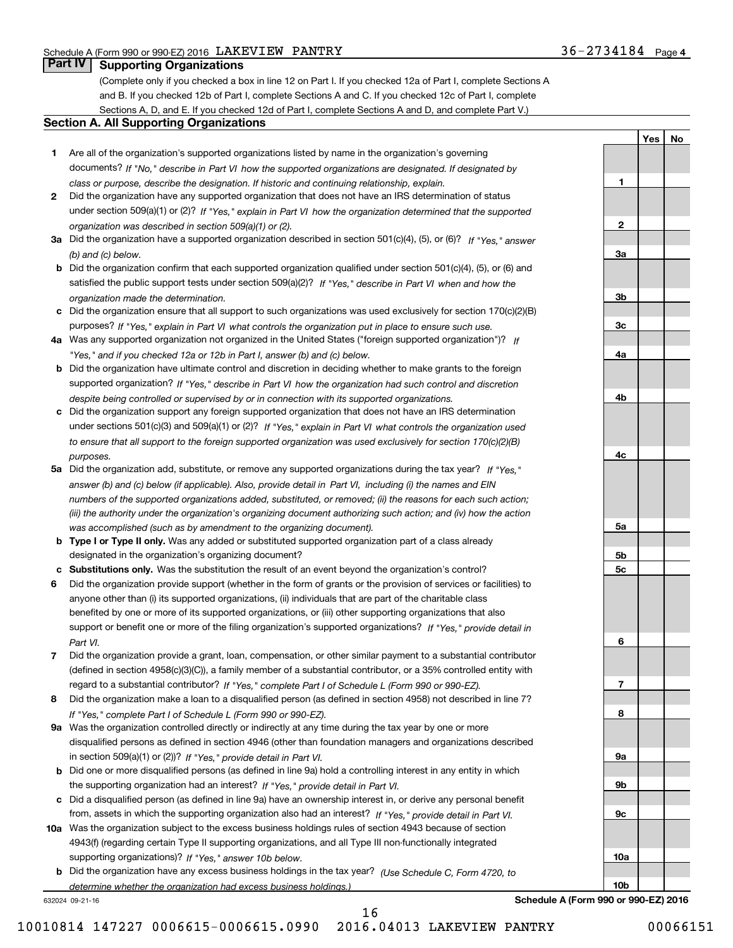**a 3a**

**3b**

**3c**

**4a**

**2**

**1**

**b 4b**

**c 4c**

**c 5c**

**6**

**7**

**8**

**9a**

**9b**

**9c**

**5b**

**5a**

**Yes** I **No Yes**

**No**

#### **Part IV I Supporting Organizations Part IV Supporting Organizations**

(Complete only if you checked a box in line 12 on Part I. If you checked 12a of Part I, complete Sections A and B. If you checked 12b of Part I, complete Sections A and C. If you checked 12c of Part I, complete and B. If you checked 12b of Part I, complete Sections A and C. If you checked 12c of Part I, complete Sections A, D, and E. If you checked 12d of Part I, complete Sections A and D, and complete Part V.)

#### **Section A. All Supporting Organizations Section A. All Supporting Organizations**

- **1** Are all of the organization's supported organizations listed by name in the organization's governing **1**Are all of the organization's supported organizations listed by name in the organization's governing documents? If "No," describe in Part VI how the supported organizations are designated. If designated by class or purpose, describe the designation. If historic and continuing relationship, explain. *class or purpose, describe the designation. If historic and continuing relationship, explain.*
- **2** Did the organization have any supported organization that does not have an IRS determination of status **2**Did the organization have any supported organization that does not have an IRS determination of status under section 509(a)(1) or (2)? If "Yes," explain in Part VI how the organization determined that the supported organization was described in section 509 (a) (1) or (2). *organization was described in section 509(a)(1) or (2).*
- 3a Did the organization have a supported organization described in section 501(c)(4), (5), or (6)? If "Yes, " answer (b) and (c) below. **3** *(b) and (c) below.*
- b Did the organization confirm that each supported organization qualified under section 501(c)(4), (5), or (6) and satisfied the public support tests under section 509(a)(2)? If "Yes," describe in Part VI when and how the organization made the determination. *organization made the determination.*
- c Did the organization ensure that all support to such organizations was used exclusively for section 170(c)(2)(B) purposes? If "Yes," explain in Part VI what controls the organization put in place to ensure such use.
- 4a Was any supported organization not organized in the United States ("foreign supported organization")? If "Yes," and if you checked 12a or 12b in Part I, answer (b) and (c) below.
- **b** Did the organization have ultimate control and discretion in deciding whether to make grants to the foreign supported organization? If "Yes," describe in Part VI how the organization had such control and discretion despite being controlled or supervised by or in connection with its supported organizations. **4** *despite being controlled or supervised by or in connection with its supported organizations.*
- c Did the organization support any foreign supported organization that does not have an IRS determination under sections 501(c)(3) and 509(a)(1) or (2)? If "Yes," explain in Part VI what controls the organization used to ensure that all support to the foreign supported organization was used exclusively for section 170(c)(2)(B) purposes.<br>**4** *purposes.*
- 5a Did the organization add, substitute, or remove any supported organizations during the tax year? If "Yes," answer (b) and (c) below (if applicable). Also, provide detail in Part VI, including (i) the names and EIN numbers of the supported organizations added, substituted, or removed; (ii) the reasons for each such action; (iii) the authority under the organization's organizing document authorizing such action; and (iv) how the action was accomplished (such as by amendment to the organizing document). *was accomplished (such as by amendment to the organizing document).*
- **b Type I or Type II only.** Was any added or substituted supported organization part of a class already designated in the organization's organizing document? designated in the organization's organizing document?
- c Substitutions only. Was the substitution the result of an event beyond the organization's control?
- 6 Did the organization provide support (whether in the form of grants or the provision of services or facilities) to anyone other than (i) its supported organizations, (ii) individuals that are part of the charitable class anyone other than (i) its supported organizations, (ii) individuals that are part of the charitable class benefited by one or more of its supported organizations, or (iii) other supporting organizations that also benefited by one or more of its supported organizations, or (iii) other supporting organizations that also support or benefit one or more of the filing organization's supported organizations? If "Yes," provide detail in Part VI. *Part VI.*
- 7 Did the organization provide a grant, loan, compensation, or other similar payment to a substantial contributor (defined in section 4958(c)(3)(C)), a family member of a substantial contributor, or a 35% controlled entity with regard to a substantial contributor? If "Yes," complete Part I of Schedule L (Form 990 or 990-EZ).
- 8 Did the organization make a loan to a disqualified person (as defined in section 4958) not described in line 7? If Yes, complete Part I of Schedule L (Form 990 or 990-EZ). *If "Yes," complete Part I of Schedule L (Form 990 or 990-EZ).*
- 9a Was the organization controlled directly or indirectly at any time during the tax year by one or more disqualified persons as defined in section 4946 (other than foundation managers and organizations described disqualified persons as defined in section 4946 (other than foundation managers and organizations described in section 509(a)(1) or (2))? If "Yes," provide detail in Part VI.
- **b** Did one or more disqualified persons (as defined in line 9a) hold a controlling interest in any entity in which the supporting organization had an interest? If "Yes," provide detail in Part VI.
- c Did a disqualified person (as defined in line 9a) have an ownership interest in, or derive any personal benefit from, assets in which the supporting organization also had an interest? If "Yes," provide detail in Part VI.
- 10a Was the organization subject to the excess business holdings rules of section 4943 because of section 4943(f) (regarding certain Type II supporting organizations, and all Type III non-functionally integrated 4943(f) (regarding certain Type II supporting organizations, and all Type III non-functionally integrated supporting organizations)? If "Yes," answer 10b below. **10a** 
	- **b** Did the organization have any excess business holdings in the tax year? (Use Schedule C, Form 4720, to *determine whether the organization had excess business holdings.)*

632024 09-21-16

632024 09-21-16 **Schedule A (Form 990 or 990-EZ) <sup>2016</sup> Schedule A (Form 990 or 990-EZ) 2016**

**<sup>10</sup><sup>b</sup> 10b**

**10a**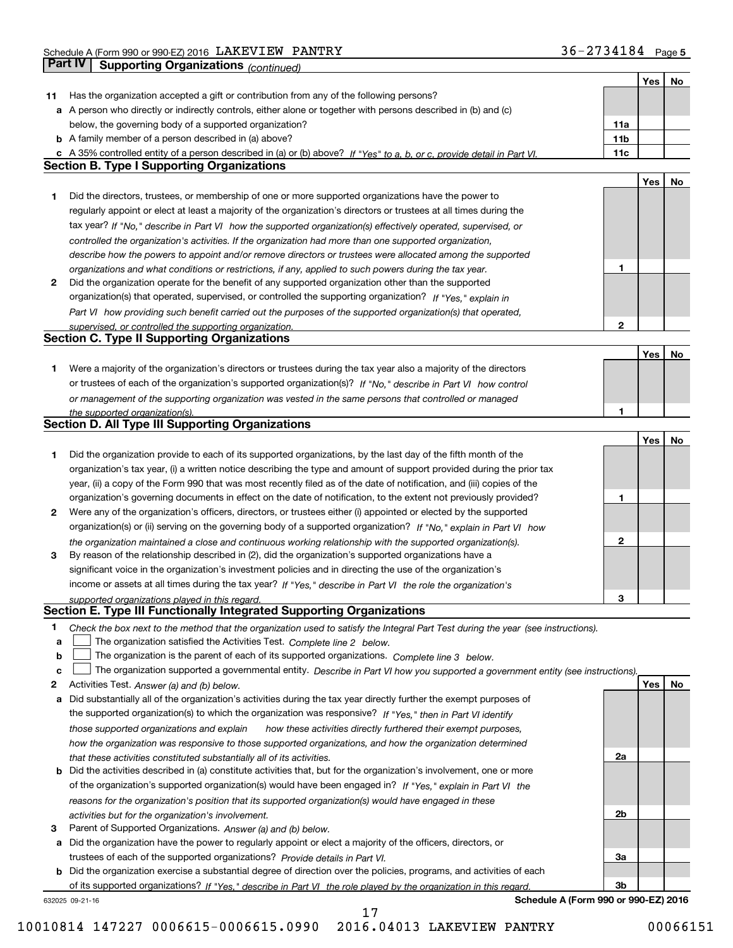|    | Part IV<br><b>Supporting Organizations (continued)</b>                                                                            |                 |     |    |
|----|-----------------------------------------------------------------------------------------------------------------------------------|-----------------|-----|----|
|    |                                                                                                                                   |                 | Yes | No |
| 11 | Has the organization accepted a gift or contribution from any of the following persons?                                           |                 |     |    |
|    | a A person who directly or indirectly controls, either alone or together with persons described in (b) and (c)                    |                 |     |    |
|    | below, the governing body of a supported organization?                                                                            | 11a             |     |    |
|    | <b>b</b> A family member of a person described in (a) above?                                                                      | 11 <sub>b</sub> |     |    |
|    | c A 35% controlled entity of a person described in (a) or (b) above? If "Yes" to a, b, or c, provide detail in Part VI.           | 11c             |     |    |
|    | <b>Section B. Type I Supporting Organizations</b>                                                                                 |                 |     |    |
|    |                                                                                                                                   |                 | Yes | No |
| 1  | Did the directors, trustees, or membership of one or more supported organizations have the power to                               |                 |     |    |
|    | regularly appoint or elect at least a majority of the organization's directors or trustees at all times during the                |                 |     |    |
|    | tax year? If "No," describe in Part VI how the supported organization(s) effectively operated, supervised, or                     |                 |     |    |
|    | controlled the organization's activities. If the organization had more than one supported organization,                           |                 |     |    |
|    | describe how the powers to appoint and/or remove directors or trustees were allocated among the supported                         |                 |     |    |
|    | organizations and what conditions or restrictions, if any, applied to such powers during the tax year.                            | 1               |     |    |
| 2  | Did the organization operate for the benefit of any supported organization other than the supported                               |                 |     |    |
|    | organization(s) that operated, supervised, or controlled the supporting organization? If "Yes," explain in                        |                 |     |    |
|    | Part VI how providing such benefit carried out the purposes of the supported organization(s) that operated,                       |                 |     |    |
|    | supervised, or controlled the supporting organization.                                                                            | $\mathbf{2}$    |     |    |
|    | <b>Section C. Type II Supporting Organizations</b>                                                                                |                 |     |    |
|    |                                                                                                                                   |                 | Yes | No |
| 1  | Were a majority of the organization's directors or trustees during the tax year also a majority of the directors                  |                 |     |    |
|    | or trustees of each of the organization's supported organization(s)? If "No," describe in Part VI how control                     |                 |     |    |
|    | or management of the supporting organization was vested in the same persons that controlled or managed                            |                 |     |    |
|    | the supported organization(s).                                                                                                    | 1               |     |    |
|    | <b>Section D. All Type III Supporting Organizations</b>                                                                           |                 |     |    |
|    |                                                                                                                                   |                 | Yes | No |
| 1  | Did the organization provide to each of its supported organizations, by the last day of the fifth month of the                    |                 |     |    |
|    | organization's tax year, (i) a written notice describing the type and amount of support provided during the prior tax             |                 |     |    |
|    | year, (ii) a copy of the Form 990 that was most recently filed as of the date of notification, and (iii) copies of the            |                 |     |    |
|    | organization's governing documents in effect on the date of notification, to the extent not previously provided?                  | 1               |     |    |
| 2  | Were any of the organization's officers, directors, or trustees either (i) appointed or elected by the supported                  |                 |     |    |
|    | organization(s) or (ii) serving on the governing body of a supported organization? If "No," explain in Part VI how                |                 |     |    |
|    | the organization maintained a close and continuous working relationship with the supported organization(s).                       | $\mathbf{2}$    |     |    |
| 3  | By reason of the relationship described in (2), did the organization's supported organizations have a                             |                 |     |    |
|    | significant voice in the organization's investment policies and in directing the use of the organization's                        |                 |     |    |
|    | income or assets at all times during the tax year? If "Yes," describe in Part VI the role the organization's                      |                 |     |    |
|    | supported organizations played in this regard.                                                                                    | 3               |     |    |
|    | Section E. Type III Functionally Integrated Supporting Organizations                                                              |                 |     |    |
| 1  | Check the box next to the method that the organization used to satisfy the Integral Part Test during the year (see instructions). |                 |     |    |
| a  | The organization satisfied the Activities Test. Complete line 2 below.                                                            |                 |     |    |
| b  | The organization is the parent of each of its supported organizations. Complete line 3 below.                                     |                 |     |    |
| c  | The organization supported a governmental entity. Describe in Part VI how you supported a government entity (see instructions).   |                 |     |    |
| 2  | Activities Test. Answer (a) and (b) below.                                                                                        |                 | Yes | No |
| а  | Did substantially all of the organization's activities during the tax year directly further the exempt purposes of                |                 |     |    |
|    | the supported organization(s) to which the organization was responsive? If "Yes," then in Part VI identify                        |                 |     |    |
|    | those supported organizations and explain<br>how these activities directly furthered their exempt purposes,                       |                 |     |    |
|    | how the organization was responsive to those supported organizations, and how the organization determined                         |                 |     |    |
|    | that these activities constituted substantially all of its activities.                                                            | 2a              |     |    |
|    | <b>b</b> Did the activities described in (a) constitute activities that, but for the organization's involvement, one or more      |                 |     |    |
|    | of the organization's supported organization(s) would have been engaged in? If "Yes," explain in Part VI the                      |                 |     |    |
|    | reasons for the organization's position that its supported organization(s) would have engaged in these                            |                 |     |    |
|    | activities but for the organization's involvement.                                                                                | 2b              |     |    |
| з  | Parent of Supported Organizations. Answer (a) and (b) below.                                                                      |                 |     |    |
| а  | Did the organization have the power to regularly appoint or elect a majority of the officers, directors, or                       |                 |     |    |
|    | trustees of each of the supported organizations? Provide details in Part VI.                                                      | За              |     |    |
|    | <b>b</b> Did the organization exercise a substantial degree of direction over the policies, programs, and activities of each      |                 |     |    |
|    | of its supported organizations? If "Yes." describe in Part VI the role played by the organization in this regard                  | 3b              |     |    |
|    | Schedule A (Form 990 or 990-EZ) 2016<br>632025 09-21-16                                                                           |                 |     |    |

17 17 10010814 147227 0006615-0006615.0990 2016.04013 LAKEVIEW PANTRY 00066151 10010814 147227 0006615-0006615.0990 2016.04013 LAKEVIEW PANTRY 00066151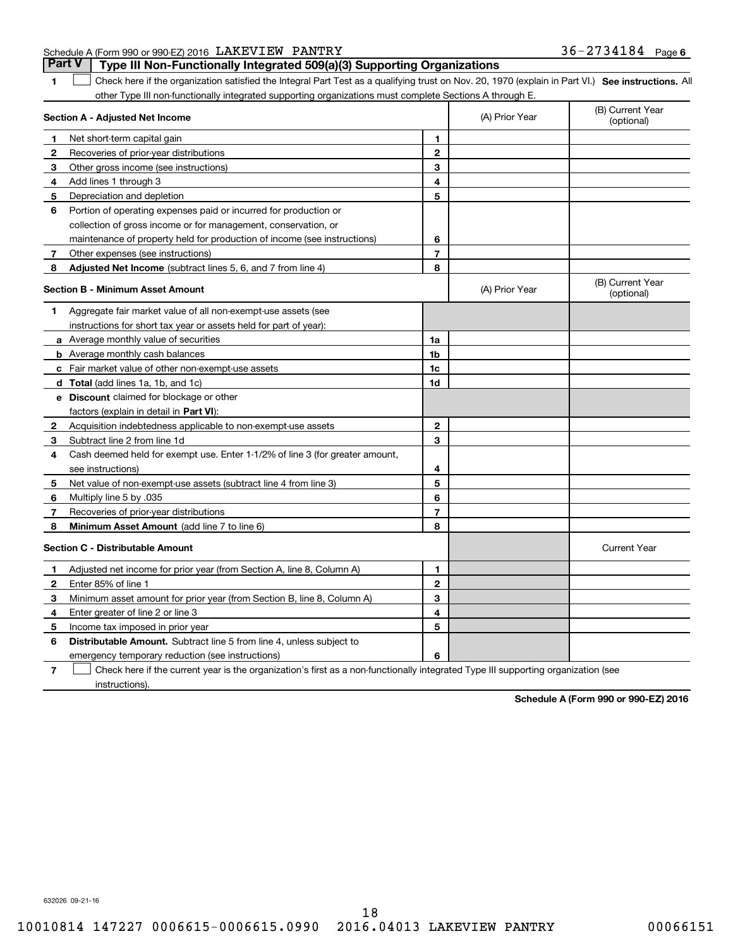| Schedule A (Form 990 or 990-EZ) 2016 LAKEVIEW PANTRY                                  | $36 - 2734184$ Page 6 |  |
|---------------------------------------------------------------------------------------|-----------------------|--|
| <b>Part V</b> Type III Non-Functionally Integrated 509(a)(3) Supporting Organizations |                       |  |

**1**

1 Check here if the organization satisfied the Integral Part Test as a qualifying trust on Nov. 20, 1970 (explain in Part VI.) See instructions. All other Type III non-functionally integrated supporting organizations must complete Sections A through E.

|              | Section A - Adjusted Net Income                                              |                | (A) Prior Year | (B) Current Year<br>(optional) |
|--------------|------------------------------------------------------------------------------|----------------|----------------|--------------------------------|
| 1            | Net short-term capital gain                                                  | 1              |                |                                |
| 2            | Recoveries of prior-year distributions                                       | $\overline{2}$ |                |                                |
| З            | Other gross income (see instructions)                                        | 3              |                |                                |
| 4            | Add lines 1 through 3                                                        | 4              |                |                                |
| 5            | Depreciation and depletion                                                   | 5              |                |                                |
| 6            | Portion of operating expenses paid or incurred for production or             |                |                |                                |
|              | collection of gross income or for management, conservation, or               |                |                |                                |
|              | maintenance of property held for production of income (see instructions)     | 6              |                |                                |
| 7            | Other expenses (see instructions)                                            | $\overline{7}$ |                |                                |
| 8            | <b>Adjusted Net Income</b> (subtract lines 5, 6, and 7 from line 4)          | 8              |                |                                |
|              | <b>Section B - Minimum Asset Amount</b>                                      |                | (A) Prior Year | (B) Current Year<br>(optional) |
| 1.           | Aggregate fair market value of all non-exempt-use assets (see                |                |                |                                |
|              | instructions for short tax year or assets held for part of year):            |                |                |                                |
|              | a Average monthly value of securities                                        | 1a             |                |                                |
|              | <b>b</b> Average monthly cash balances                                       | 1b             |                |                                |
|              | c Fair market value of other non-exempt-use assets                           | 1c             |                |                                |
|              | d Total (add lines 1a, 1b, and 1c)                                           | 1d             |                |                                |
|              | e Discount claimed for blockage or other                                     |                |                |                                |
|              | factors (explain in detail in Part VI):                                      |                |                |                                |
| 2            | Acquisition indebtedness applicable to non-exempt-use assets                 | $\mathbf{2}$   |                |                                |
| 3            | Subtract line 2 from line 1d                                                 | 3              |                |                                |
| 4            | Cash deemed held for exempt use. Enter 1-1/2% of line 3 (for greater amount, |                |                |                                |
|              | see instructions)                                                            | 4              |                |                                |
| 5            | Net value of non-exempt-use assets (subtract line 4 from line 3)             | 5              |                |                                |
| 6            | Multiply line 5 by .035                                                      | 6              |                |                                |
| 7            | Recoveries of prior-year distributions                                       | $\overline{7}$ |                |                                |
| 8            | Minimum Asset Amount (add line 7 to line 6)                                  | 8              |                |                                |
|              | <b>Section C - Distributable Amount</b>                                      |                |                | <b>Current Year</b>            |
| 1            | Adjusted net income for prior year (from Section A, line 8, Column A)        | 1              |                |                                |
| $\mathbf{2}$ | Enter 85% of line 1                                                          | $\overline{2}$ |                |                                |
| 3            | Minimum asset amount for prior year (from Section B, line 8, Column A)       | 3              |                |                                |
| 4            | Enter greater of line 2 or line 3                                            | 4              |                |                                |
| 5            | Income tax imposed in prior year                                             | 5              |                |                                |
| 6            | <b>Distributable Amount.</b> Subtract line 5 from line 4, unless subject to  |                |                |                                |
|              | emergency temporary reduction (see instructions)                             | 6              |                |                                |
|              |                                                                              |                |                |                                |

7 Check here if the current year is the organization's first as a non-functionally integrated Type III supporting organization (see instructions). instructions).**7**

**Schedule A (Form 990 or 990-EZ) <sup>2016</sup> Schedule A (Form 990 or 990-EZ) 2016**

632026 09-21-16 632026 09-21-16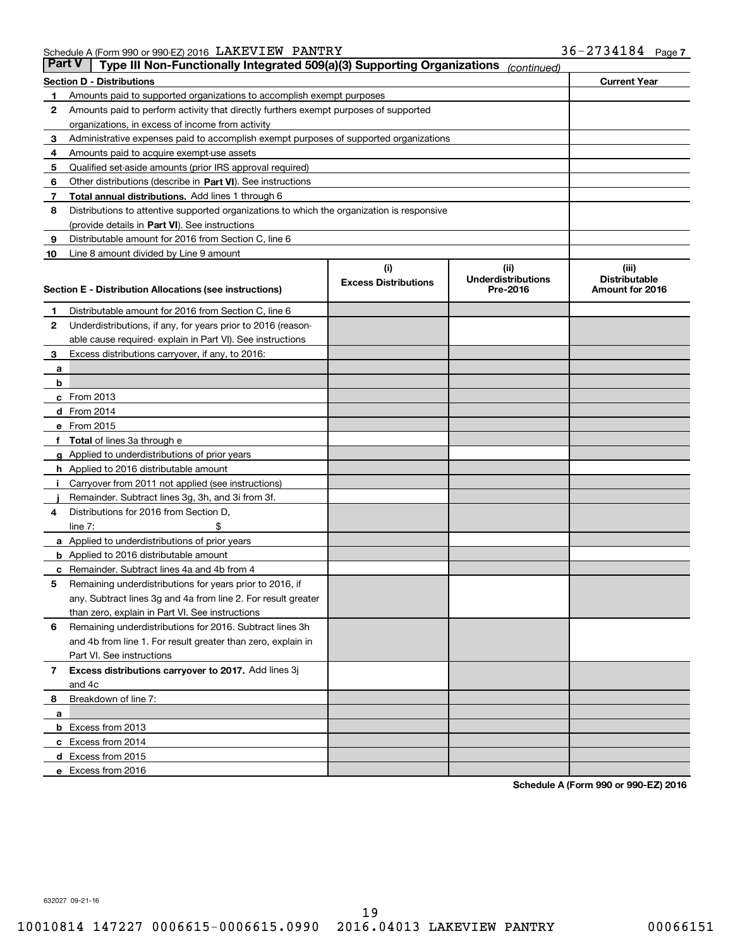|               | Schedule A (Form 990 or 990-EZ) 2016 LAKEVIEW PANTRY                                       |                             |                                       | $36 - 2734184$ Page 7 |  |
|---------------|--------------------------------------------------------------------------------------------|-----------------------------|---------------------------------------|-----------------------|--|
| <b>Part V</b> | Type III Non-Functionally Integrated 509(a)(3) Supporting Organizations                    |                             | (continued)                           |                       |  |
|               | <b>Section D - Distributions</b>                                                           |                             |                                       | <b>Current Year</b>   |  |
| 1             | Amounts paid to supported organizations to accomplish exempt purposes                      |                             |                                       |                       |  |
| 2             | Amounts paid to perform activity that directly furthers exempt purposes of supported       |                             |                                       |                       |  |
|               | organizations, in excess of income from activity                                           |                             |                                       |                       |  |
| 3             | Administrative expenses paid to accomplish exempt purposes of supported organizations      |                             |                                       |                       |  |
| 4             | Amounts paid to acquire exempt-use assets                                                  |                             |                                       |                       |  |
| 5             | Qualified set-aside amounts (prior IRS approval required)                                  |                             |                                       |                       |  |
| 6             | Other distributions (describe in Part VI). See instructions                                |                             |                                       |                       |  |
| 7             | Total annual distributions. Add lines 1 through 6                                          |                             |                                       |                       |  |
| 8             | Distributions to attentive supported organizations to which the organization is responsive |                             |                                       |                       |  |
|               | (provide details in Part VI). See instructions                                             |                             |                                       |                       |  |
| 9             | Distributable amount for 2016 from Section C, line 6                                       |                             |                                       |                       |  |
| 10            | Line 8 amount divided by Line 9 amount                                                     |                             |                                       |                       |  |
|               |                                                                                            | (i)                         | (ii)                                  | (iii)                 |  |
|               |                                                                                            | <b>Excess Distributions</b> | <b>Underdistributions</b><br>Pre-2016 | <b>Distributable</b>  |  |
|               | Section E - Distribution Allocations (see instructions)                                    |                             |                                       | Amount for 2016       |  |
| 1             | Distributable amount for 2016 from Section C, line 6                                       |                             |                                       |                       |  |
| 2             | Underdistributions, if any, for years prior to 2016 (reason-                               |                             |                                       |                       |  |
|               | able cause required- explain in Part VI). See instructions                                 |                             |                                       |                       |  |
| 3             | Excess distributions carryover, if any, to 2016:                                           |                             |                                       |                       |  |
| a             |                                                                                            |                             |                                       |                       |  |
| b             |                                                                                            |                             |                                       |                       |  |
|               | c From 2013                                                                                |                             |                                       |                       |  |
|               | d From 2014                                                                                |                             |                                       |                       |  |
|               | e From 2015                                                                                |                             |                                       |                       |  |
|               | f Total of lines 3a through e                                                              |                             |                                       |                       |  |
|               | g Applied to underdistributions of prior years                                             |                             |                                       |                       |  |
|               | <b>h</b> Applied to 2016 distributable amount                                              |                             |                                       |                       |  |
|               | i Carryover from 2011 not applied (see instructions)                                       |                             |                                       |                       |  |
|               | Remainder. Subtract lines 3g, 3h, and 3i from 3f.                                          |                             |                                       |                       |  |
| 4             | Distributions for 2016 from Section D,                                                     |                             |                                       |                       |  |
|               | line $7:$<br>\$                                                                            |                             |                                       |                       |  |
|               | a Applied to underdistributions of prior years                                             |                             |                                       |                       |  |
|               | <b>b</b> Applied to 2016 distributable amount                                              |                             |                                       |                       |  |
|               | <b>c</b> Remainder. Subtract lines 4a and 4b from 4                                        |                             |                                       |                       |  |
|               | Remaining underdistributions for years prior to 2016, if                                   |                             |                                       |                       |  |
|               | any. Subtract lines 3q and 4a from line 2. For result greater                              |                             |                                       |                       |  |
|               | than zero, explain in Part VI. See instructions                                            |                             |                                       |                       |  |
| 6             | Remaining underdistributions for 2016. Subtract lines 3h                                   |                             |                                       |                       |  |
|               | and 4b from line 1. For result greater than zero, explain in                               |                             |                                       |                       |  |
|               | Part VI. See instructions                                                                  |                             |                                       |                       |  |
| 7             | Excess distributions carryover to 2017. Add lines 3j                                       |                             |                                       |                       |  |
|               | and 4c                                                                                     |                             |                                       |                       |  |
| 8             | Breakdown of line 7:                                                                       |                             |                                       |                       |  |
| a             |                                                                                            |                             |                                       |                       |  |
|               | <b>b</b> Excess from 2013                                                                  |                             |                                       |                       |  |
|               | c Excess from 2014                                                                         |                             |                                       |                       |  |
|               | d Excess from 2015                                                                         |                             |                                       |                       |  |
|               | e Excess from 2016                                                                         |                             |                                       |                       |  |
|               |                                                                                            |                             |                                       |                       |  |

**Schedule A (Form 990 or 990-EZ) <sup>2016</sup> Schedule A (Form 990 or 990-EZ) 2016**

632027 09-21-16 632027 09-21-16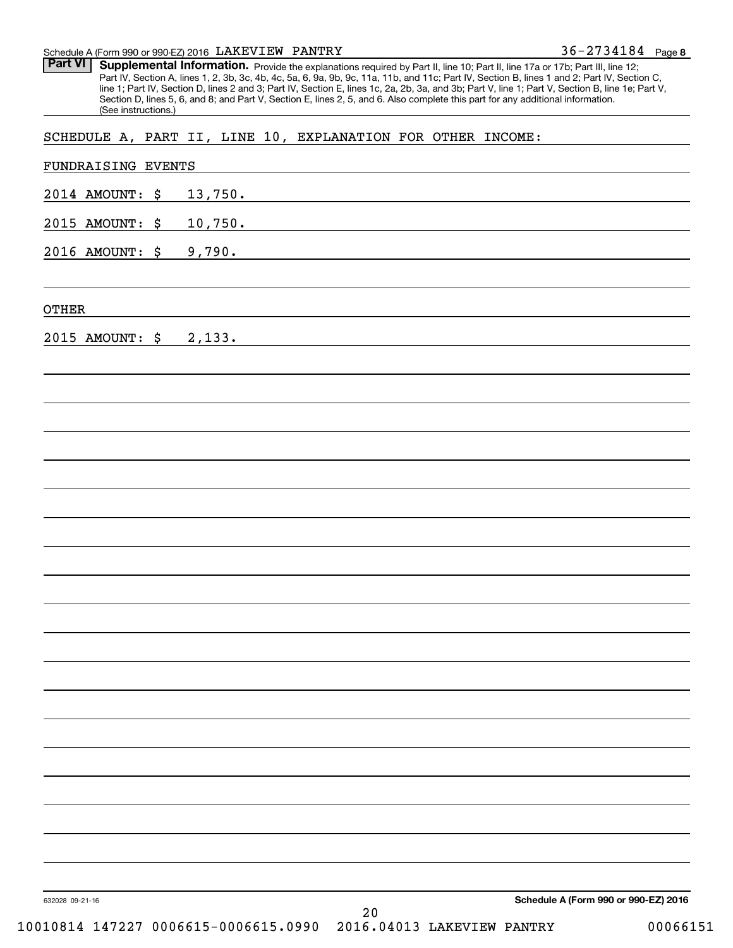Schedule A (Form 990 or 990-EZ) 2016 LAKEVI EW PANTRY 36-2734184 Page **8**  Schedule A (Form 990 or 990-EZ) 2016 Page LAKEVIEW PANTRY

**Part VI** Supplemental Information. Provide the explanations required by Part II, line 10; Part II, line 17a or 17b; Part III, line 12; Part IV, Section A, lines 1, 2, 3b, 3c, 4b, 4c, 5a, 6, 9a, 9b, 9c, 11a, 11b, and 11c; Part IV, Section B, lines 1 and 2; Part IV, Section C,<br>line 1; Part IV, Section D, lines 2 and 3; Part IV, Section E, lines 1c, 2a, 2b, Section D, lines 5 , 6 , and 8 ; and Part V, Section E, lines 2 , 5 , and 6 . Also complete this part for any additional information. Part IV, Section A, lines 1, 2, 3b, 3c, 4b, 4c, 5a, 6, 9a, 9b, 9c, 11a, 11b, and 11c; Part IV, Section B, lines 1 and 2; Part IV, Section C, line 1; Part IV, Section D, lines 2 and 3; Part IV, Section E, lines 1c, 2a, 2b, 3a, and 3b; Part V, line 1; Part V, Section B, line 1e; Part V, Section D, lines 5, 6, and 8; and Part V, Section E, lines 2, 5, and 6. Also complete this part for any additional information. (See instructions.)

SCHEDULE A, PART II , LINE 10 , EXPLANATION FOR OTHER INCOME: SCHEDULE A, PART II, LINE 10, EXPLANATION FOR OTHER INCOME:

| 2014 AMOUNT: \$ | 13,750.                              |
|-----------------|--------------------------------------|
| 2015 AMOUNT: \$ | 10,750.                              |
| 2016 AMOUNT: \$ | 9,790.                               |
|                 |                                      |
| <b>OTHER</b>    |                                      |
| 2015 AMOUNT: \$ | 2,133.                               |
|                 |                                      |
|                 |                                      |
|                 |                                      |
|                 |                                      |
|                 |                                      |
|                 |                                      |
|                 |                                      |
|                 |                                      |
|                 |                                      |
|                 |                                      |
|                 |                                      |
|                 |                                      |
|                 |                                      |
|                 |                                      |
|                 |                                      |
|                 |                                      |
|                 |                                      |
|                 |                                      |
|                 |                                      |
|                 |                                      |
| 632028 09-21-16 | Schedule A (Form 990 or 990-EZ) 2016 |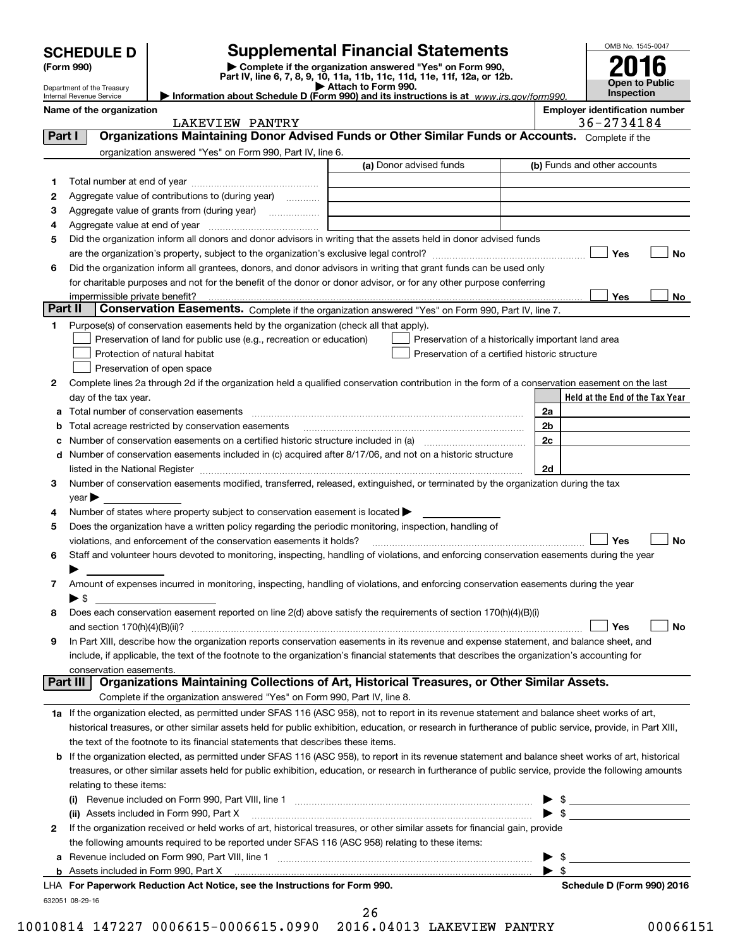| <b>SCHEDULE D</b> |  |
|-------------------|--|
|-------------------|--|

## **SCHEDULE D Supplemental Financial Statements SCHEDULE D Supplemental Financial Statements**

(Form 990) (Form 990, Demplete if the organization answered "Yes" on Form 990,<br>Part IV, line 6, 7, 8, 9, 10, 11a, 11b, 11c, 11d, 11e, 11f, 12a, or 12b. **(Form 990)** (**Form 990,**<br>Part IV, line 6, 7, 8, 9, 10, 11a, 11b, 11c, 11d, 11e, 11f, 12a, or 12b.<br>Department of the Treasury

|  | Attach to Form 990. |  |  |  |
|--|---------------------|--|--|--|
|  | $- - -$             |  |  |  |



|                                                                                  | Department of the Treasury<br>Internal Revenue Service                                                                                                                                                                                                                                                     | Attach to Form 990.<br>Information about Schedule D (Form 990) and its instructions is at www.irs.gov/form990. |                          | <b>Open to Public</b><br><b>Inspection</b>          |  |  |
|----------------------------------------------------------------------------------|------------------------------------------------------------------------------------------------------------------------------------------------------------------------------------------------------------------------------------------------------------------------------------------------------------|----------------------------------------------------------------------------------------------------------------|--------------------------|-----------------------------------------------------|--|--|
|                                                                                  | Name of the organization<br>LAKEVIEW PANTRY                                                                                                                                                                                                                                                                |                                                                                                                |                          | <b>Employer identification number</b><br>36-2734184 |  |  |
| Part I                                                                           | Organizations Maintaining Donor Advised Funds or Other Similar Funds or Accounts. Complete if the                                                                                                                                                                                                          |                                                                                                                |                          |                                                     |  |  |
|                                                                                  | organization answered "Yes" on Form 990, Part IV, line 6.                                                                                                                                                                                                                                                  |                                                                                                                |                          |                                                     |  |  |
|                                                                                  |                                                                                                                                                                                                                                                                                                            | (a) Donor advised funds                                                                                        |                          | (b) Funds and other accounts                        |  |  |
| 1                                                                                |                                                                                                                                                                                                                                                                                                            |                                                                                                                |                          |                                                     |  |  |
| 2                                                                                | Aggregate value of contributions to (during year)                                                                                                                                                                                                                                                          |                                                                                                                |                          |                                                     |  |  |
| з                                                                                |                                                                                                                                                                                                                                                                                                            |                                                                                                                |                          |                                                     |  |  |
| 4                                                                                |                                                                                                                                                                                                                                                                                                            |                                                                                                                |                          |                                                     |  |  |
| 5                                                                                | Did the organization inform all donors and donor advisors in writing that the assets held in donor advised funds                                                                                                                                                                                           |                                                                                                                |                          |                                                     |  |  |
|                                                                                  |                                                                                                                                                                                                                                                                                                            |                                                                                                                |                          | Yes<br>No                                           |  |  |
| 6                                                                                | Did the organization inform all grantees, donors, and donor advisors in writing that grant funds can be used only                                                                                                                                                                                          |                                                                                                                |                          |                                                     |  |  |
|                                                                                  | for charitable purposes and not for the benefit of the donor or donor advisor, or for any other purpose conferring                                                                                                                                                                                         |                                                                                                                |                          |                                                     |  |  |
|                                                                                  | impermissible private benefit?                                                                                                                                                                                                                                                                             |                                                                                                                |                          | Yes<br>No                                           |  |  |
| Part II                                                                          | Conservation Easements. Complete if the organization answered "Yes" on Form 990, Part IV, line 7.                                                                                                                                                                                                          |                                                                                                                |                          |                                                     |  |  |
| 1.                                                                               | Purpose(s) of conservation easements held by the organization (check all that apply).                                                                                                                                                                                                                      |                                                                                                                |                          |                                                     |  |  |
|                                                                                  | Preservation of land for public use (e.g., recreation or education)                                                                                                                                                                                                                                        | Preservation of a historically important land area                                                             |                          |                                                     |  |  |
|                                                                                  | Protection of natural habitat                                                                                                                                                                                                                                                                              | Preservation of a certified historic structure                                                                 |                          |                                                     |  |  |
|                                                                                  | Preservation of open space                                                                                                                                                                                                                                                                                 |                                                                                                                |                          |                                                     |  |  |
| 2                                                                                | Complete lines 2a through 2d if the organization held a qualified conservation contribution in the form of a conservation easement on the last                                                                                                                                                             |                                                                                                                |                          |                                                     |  |  |
|                                                                                  | day of the tax year.                                                                                                                                                                                                                                                                                       |                                                                                                                |                          | Held at the End of the Tax Year                     |  |  |
| a                                                                                | Total number of conservation easements                                                                                                                                                                                                                                                                     |                                                                                                                | 2a                       |                                                     |  |  |
| b                                                                                | Total acreage restricted by conservation easements                                                                                                                                                                                                                                                         |                                                                                                                | 2b                       |                                                     |  |  |
|                                                                                  |                                                                                                                                                                                                                                                                                                            |                                                                                                                | 2c                       |                                                     |  |  |
| d                                                                                | Number of conservation easements included in (c) acquired after 8/17/06, and not on a historic structure                                                                                                                                                                                                   |                                                                                                                |                          |                                                     |  |  |
|                                                                                  |                                                                                                                                                                                                                                                                                                            |                                                                                                                | 2d                       |                                                     |  |  |
| 3                                                                                | Number of conservation easements modified, transferred, released, extinguished, or terminated by the organization during the tax                                                                                                                                                                           |                                                                                                                |                          |                                                     |  |  |
|                                                                                  | year                                                                                                                                                                                                                                                                                                       |                                                                                                                |                          |                                                     |  |  |
| 4                                                                                | Number of states where property subject to conservation easement is located >                                                                                                                                                                                                                              |                                                                                                                |                          |                                                     |  |  |
| 5                                                                                | Does the organization have a written policy regarding the periodic monitoring, inspection, handling of                                                                                                                                                                                                     |                                                                                                                |                          |                                                     |  |  |
|                                                                                  | violations, and enforcement of the conservation easements it holds?                                                                                                                                                                                                                                        |                                                                                                                |                          | Yes<br><b>No</b>                                    |  |  |
| 6                                                                                | Staff and volunteer hours devoted to monitoring, inspecting, handling of violations, and enforcing conservation easements during the year                                                                                                                                                                  |                                                                                                                |                          |                                                     |  |  |
|                                                                                  |                                                                                                                                                                                                                                                                                                            |                                                                                                                |                          |                                                     |  |  |
| 7                                                                                | Amount of expenses incurred in monitoring, inspecting, handling of violations, and enforcing conservation easements during the year                                                                                                                                                                        |                                                                                                                |                          |                                                     |  |  |
|                                                                                  | $\blacktriangleright$ \$                                                                                                                                                                                                                                                                                   |                                                                                                                |                          |                                                     |  |  |
| 8                                                                                | Does each conservation easement reported on line 2(d) above satisfy the requirements of section 170(h)(4)(B)(i)                                                                                                                                                                                            |                                                                                                                |                          |                                                     |  |  |
|                                                                                  |                                                                                                                                                                                                                                                                                                            |                                                                                                                |                          | Yes<br>No                                           |  |  |
| 9                                                                                | In Part XIII, describe how the organization reports conservation easements in its revenue and expense statement, and balance sheet, and                                                                                                                                                                    |                                                                                                                |                          |                                                     |  |  |
|                                                                                  | include, if applicable, the text of the footnote to the organization's financial statements that describes the organization's accounting for                                                                                                                                                               |                                                                                                                |                          |                                                     |  |  |
|                                                                                  | conservation easements.                                                                                                                                                                                                                                                                                    |                                                                                                                |                          |                                                     |  |  |
|                                                                                  | Organizations Maintaining Collections of Art, Historical Treasures, or Other Similar Assets.<br>Part III                                                                                                                                                                                                   |                                                                                                                |                          |                                                     |  |  |
|                                                                                  | Complete if the organization answered "Yes" on Form 990, Part IV, line 8.                                                                                                                                                                                                                                  |                                                                                                                |                          |                                                     |  |  |
|                                                                                  | 1a If the organization elected, as permitted under SFAS 116 (ASC 958), not to report in its revenue statement and balance sheet works of art,                                                                                                                                                              |                                                                                                                |                          |                                                     |  |  |
|                                                                                  | historical treasures, or other similar assets held for public exhibition, education, or research in furtherance of public service, provide, in Part XIII,                                                                                                                                                  |                                                                                                                |                          |                                                     |  |  |
|                                                                                  |                                                                                                                                                                                                                                                                                                            |                                                                                                                |                          |                                                     |  |  |
| the text of the footnote to its financial statements that describes these items. |                                                                                                                                                                                                                                                                                                            |                                                                                                                |                          |                                                     |  |  |
| b                                                                                | If the organization elected, as permitted under SFAS 116 (ASC 958), to report in its revenue statement and balance sheet works of art, historical<br>treasures, or other similar assets held for public exhibition, education, or research in furtherance of public service, provide the following amounts |                                                                                                                |                          |                                                     |  |  |
|                                                                                  |                                                                                                                                                                                                                                                                                                            |                                                                                                                |                          |                                                     |  |  |
|                                                                                  | relating to these items:                                                                                                                                                                                                                                                                                   |                                                                                                                |                          |                                                     |  |  |
|                                                                                  | (i) Revenue included on Form 990, Part VIII, line 1 [2000] [2010] Revenue included on Form 990, Part VIII, line 1                                                                                                                                                                                          |                                                                                                                | $\blacktriangleright$ \$ | $\triangleright$ \$                                 |  |  |
|                                                                                  | (ii) Assets included in Form 990, Part X                                                                                                                                                                                                                                                                   |                                                                                                                |                          |                                                     |  |  |
| 2                                                                                | If the organization received or held works of art, historical treasures, or other similar assets for financial gain, provide                                                                                                                                                                               |                                                                                                                |                          |                                                     |  |  |
|                                                                                  | the following amounts required to be reported under SFAS 116 (ASC 958) relating to these items:                                                                                                                                                                                                            |                                                                                                                |                          |                                                     |  |  |
| а                                                                                |                                                                                                                                                                                                                                                                                                            |                                                                                                                | \$                       |                                                     |  |  |
| b                                                                                | Assets included in Form 990, Part X                                                                                                                                                                                                                                                                        |                                                                                                                | - \$                     |                                                     |  |  |
|                                                                                  | LHA For Paperwork Reduction Act Notice, see the Instructions for Form 990.                                                                                                                                                                                                                                 |                                                                                                                |                          | Schedule D (Form 990) 2016                          |  |  |
|                                                                                  | 632051 08-29-16                                                                                                                                                                                                                                                                                            |                                                                                                                |                          |                                                     |  |  |

26 26

10010814 147227 0006615-0006615.0990 2016.04013 LAKEVIEW PANTRY 00066151 10010814 147227 0006615-0006615.0990 2016.04013 LAKEVIEW PANTRY 00066151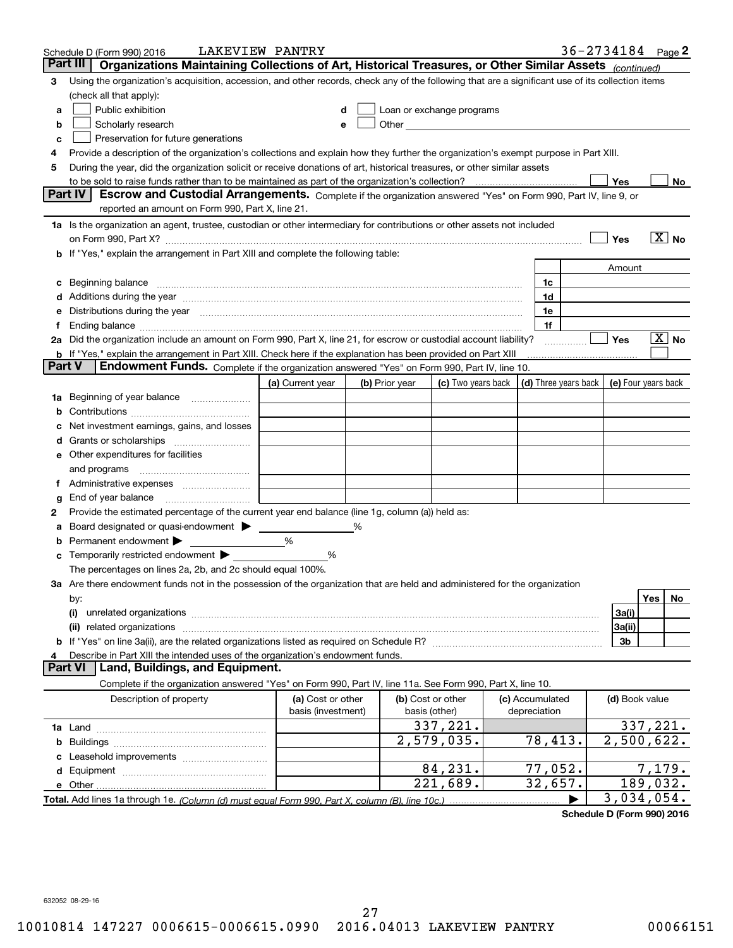|        | Schedule D (Form 990) 2016                                                                                                                                                                                                         | LAKEVIEW PANTRY    |                |                           |                 |         | $36 - 2734184$ Page 2                      |                                     |                       |    |
|--------|------------------------------------------------------------------------------------------------------------------------------------------------------------------------------------------------------------------------------------|--------------------|----------------|---------------------------|-----------------|---------|--------------------------------------------|-------------------------------------|-----------------------|----|
|        | Organizations Maintaining Collections of Art, Historical Treasures, or Other Similar Assets (continued)<br>Part III                                                                                                                |                    |                |                           |                 |         |                                            |                                     |                       |    |
| 3      | Using the organization's acquisition, accession, and other records, check any of the following that are a significant use of its collection items                                                                                  |                    |                |                           |                 |         |                                            |                                     |                       |    |
|        | (check all that apply):                                                                                                                                                                                                            |                    |                |                           |                 |         |                                            |                                     |                       |    |
| а      | Public exhibition                                                                                                                                                                                                                  | d                  |                | Loan or exchange programs |                 |         |                                            |                                     |                       |    |
| b      | Scholarly research                                                                                                                                                                                                                 | е                  |                |                           |                 |         |                                            |                                     |                       |    |
| с      | Preservation for future generations                                                                                                                                                                                                |                    |                |                           |                 |         |                                            |                                     |                       |    |
| 4      | Provide a description of the organization's collections and explain how they further the organization's exempt purpose in Part XIII.                                                                                               |                    |                |                           |                 |         |                                            |                                     |                       |    |
| 5      | During the year, did the organization solicit or receive donations of art, historical treasures, or other similar assets                                                                                                           |                    |                |                           |                 |         |                                            |                                     |                       |    |
|        | to be sold to raise funds rather than to be maintained as part of the organization's collection?                                                                                                                                   |                    |                |                           | . <u>.</u>      |         |                                            | Yes                                 |                       | No |
|        | <b>Part IV</b><br>Escrow and Custodial Arrangements. Complete if the organization answered "Yes" on Form 990, Part IV, line 9, or                                                                                                  |                    |                |                           |                 |         |                                            |                                     |                       |    |
|        | reported an amount on Form 990, Part X, line 21.                                                                                                                                                                                   |                    |                |                           |                 |         |                                            |                                     |                       |    |
|        | 1a Is the organization an agent, trustee, custodian or other intermediary for contributions or other assets not included                                                                                                           |                    |                |                           |                 |         |                                            |                                     |                       |    |
|        | on Form 990, Part X? [11] matter contracts and contracts and contracts are contracted and contracts are contracted and contract and contract of the contract of the contract of the contract of the contract of the contract o     |                    |                |                           |                 |         |                                            | Yes                                 | $\boxed{\text{X}}$ No |    |
|        | b If "Yes," explain the arrangement in Part XIII and complete the following table:                                                                                                                                                 |                    |                |                           |                 |         |                                            |                                     |                       |    |
|        |                                                                                                                                                                                                                                    |                    |                |                           |                 |         |                                            | Amount                              |                       |    |
| c      | Beginning balance <u>manual membershare communication</u> and the set of the set of the set of the set of the set of the set of the set of the set of the set of the set of the set of the set of the set of the set of the set of |                    |                |                           |                 | 1c      |                                            |                                     |                       |    |
|        |                                                                                                                                                                                                                                    |                    |                |                           |                 | 1d      |                                            |                                     |                       |    |
| е      | Distributions during the year manufactured and an according to the state of the state of the state of the state of the state of the state of the state of the state of the state of the state of the state of the state of the     |                    |                |                           |                 | 1e      |                                            |                                     |                       |    |
| Ť.,    | Ending balance measurements are all the contract of the contract of the contract of the contract of the contract of the contract of the contract of the contract of the contract of the contract of the contract of the contra     |                    |                |                           |                 | 1f      |                                            |                                     |                       |    |
|        | 2a Did the organization include an amount on Form 990, Part X, line 21, for escrow or custodial account liability?                                                                                                                 |                    |                |                           |                 |         |                                            | Yes                                 | $\boxed{\text{X}}$ No |    |
|        | <b>b</b> If "Yes," explain the arrangement in Part XIII. Check here if the explanation has been provided on Part XIII                                                                                                              |                    |                |                           |                 |         |                                            |                                     |                       |    |
| Part V | Endowment Funds. Complete if the organization answered "Yes" on Form 990, Part IV, line 10.                                                                                                                                        |                    |                |                           |                 |         |                                            |                                     |                       |    |
|        |                                                                                                                                                                                                                                    | (a) Current year   | (b) Prior year | (c) Two years back        |                 |         | (d) Three years back   (e) Four years back |                                     |                       |    |
| 1a     | Beginning of year balance                                                                                                                                                                                                          |                    |                |                           |                 |         |                                            |                                     |                       |    |
| b      |                                                                                                                                                                                                                                    |                    |                |                           |                 |         |                                            |                                     |                       |    |
|        | Net investment earnings, gains, and losses                                                                                                                                                                                         |                    |                |                           |                 |         |                                            |                                     |                       |    |
|        |                                                                                                                                                                                                                                    |                    |                |                           |                 |         |                                            |                                     |                       |    |
|        | e Other expenditures for facilities                                                                                                                                                                                                |                    |                |                           |                 |         |                                            |                                     |                       |    |
|        | and programs                                                                                                                                                                                                                       |                    |                |                           |                 |         |                                            |                                     |                       |    |
|        |                                                                                                                                                                                                                                    |                    |                |                           |                 |         |                                            |                                     |                       |    |
| g      |                                                                                                                                                                                                                                    |                    |                |                           |                 |         |                                            |                                     |                       |    |
| 2      | Provide the estimated percentage of the current year end balance (line 1g, column (a)) held as:                                                                                                                                    |                    |                |                           |                 |         |                                            |                                     |                       |    |
| а      | Board designated or quasi-endowment > _____                                                                                                                                                                                        |                    | %              |                           |                 |         |                                            |                                     |                       |    |
| b      | Permanent endowment >                                                                                                                                                                                                              | %                  |                |                           |                 |         |                                            |                                     |                       |    |
| c      | Temporarily restricted endowment >                                                                                                                                                                                                 | %                  |                |                           |                 |         |                                            |                                     |                       |    |
|        | The percentages on lines 2a, 2b, and 2c should equal 100%.                                                                                                                                                                         |                    |                |                           |                 |         |                                            |                                     |                       |    |
|        | 3a Are there endowment funds not in the possession of the organization that are held and administered for the organization                                                                                                         |                    |                |                           |                 |         |                                            |                                     |                       |    |
|        | by:                                                                                                                                                                                                                                |                    |                |                           |                 |         |                                            |                                     | Yes                   | No |
|        | (i)                                                                                                                                                                                                                                |                    |                |                           |                 |         |                                            | 3a(i)                               |                       |    |
|        |                                                                                                                                                                                                                                    |                    |                |                           |                 |         |                                            | 3a(ii)                              |                       |    |
|        |                                                                                                                                                                                                                                    |                    |                |                           |                 |         |                                            | 3b                                  |                       |    |
| 4      | Describe in Part XIII the intended uses of the organization's endowment funds.                                                                                                                                                     |                    |                |                           |                 |         |                                            |                                     |                       |    |
|        | Land, Buildings, and Equipment.<br>Part VI                                                                                                                                                                                         |                    |                |                           |                 |         |                                            |                                     |                       |    |
|        | Complete if the organization answered "Yes" on Form 990, Part IV, line 11a. See Form 990, Part X, line 10.                                                                                                                         |                    |                |                           |                 |         |                                            |                                     |                       |    |
|        | Description of property                                                                                                                                                                                                            | (a) Cost or other  |                | (b) Cost or other         | (c) Accumulated |         |                                            | (d) Book value                      |                       |    |
|        |                                                                                                                                                                                                                                    | basis (investment) |                | basis (other)             | depreciation    |         |                                            |                                     |                       |    |
| 1a     |                                                                                                                                                                                                                                    |                    |                | 337,221.                  |                 |         |                                            | 337,221.                            |                       |    |
| b      |                                                                                                                                                                                                                                    |                    |                | 2,579,035.                |                 | 78,413. |                                            | $\overline{2,500,622}$ .            |                       |    |
| c      |                                                                                                                                                                                                                                    |                    |                |                           |                 |         |                                            |                                     |                       |    |
| d      |                                                                                                                                                                                                                                    |                    |                | 84,231.                   |                 | 77,052. |                                            |                                     | 7,179.                |    |
|        |                                                                                                                                                                                                                                    |                    |                | 221,689.                  |                 | 32,657. |                                            | 189,032.                            |                       |    |
|        |                                                                                                                                                                                                                                    |                    |                |                           |                 |         |                                            | 3,034,054.                          |                       |    |
|        |                                                                                                                                                                                                                                    |                    |                |                           |                 |         |                                            | $d_{\text{min}}$ D (Ferma 000) 0046 |                       |    |

**Schedule D (Form 990) <sup>2016</sup> Schedule D (Form 990) 2016**

632052 08-29-16 632052 08-29-16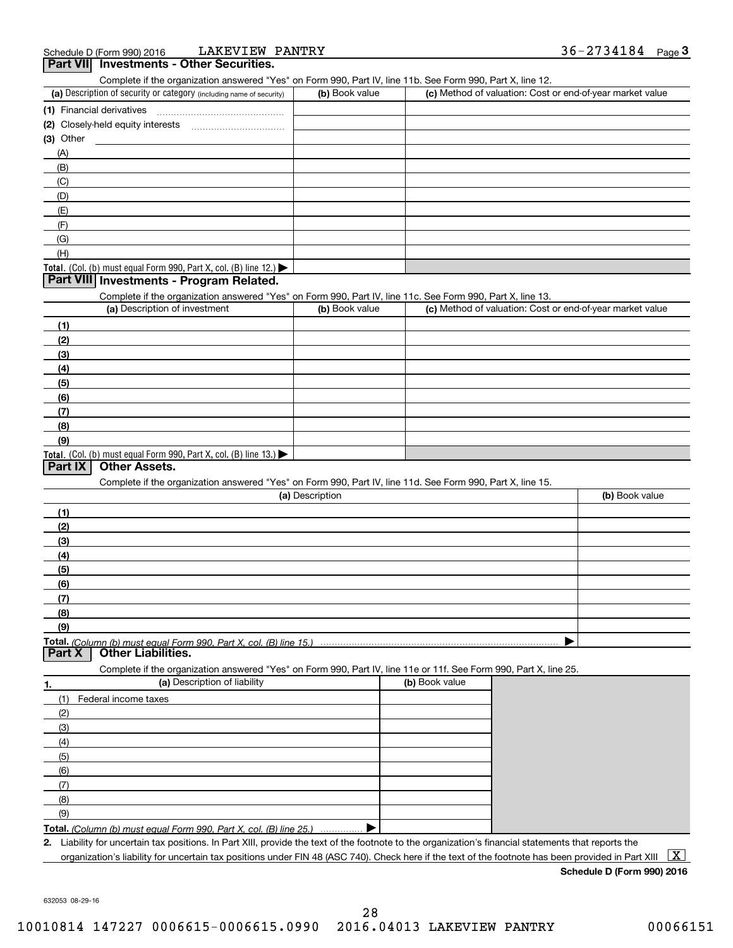| LAKEVIEW PANTRY<br>Schedule D (Form 990) 2016                                                                                                        |                 |                | $36 - 2734184$ Page 3                                     |                                                 |  |  |
|------------------------------------------------------------------------------------------------------------------------------------------------------|-----------------|----------------|-----------------------------------------------------------|-------------------------------------------------|--|--|
| Part VII Investments - Other Securities.                                                                                                             |                 |                |                                                           |                                                 |  |  |
| Complete if the organization answered "Yes" on Form 990, Part IV, line 11b. See Form 990, Part X, line 12.                                           |                 |                |                                                           |                                                 |  |  |
| (a) Description of security or category (including name of security)                                                                                 | (b) Book value  |                | (c) Method of valuation: Cost or end-of-year market value |                                                 |  |  |
| (1) Financial derivatives                                                                                                                            |                 |                |                                                           |                                                 |  |  |
|                                                                                                                                                      |                 |                |                                                           |                                                 |  |  |
| $(3)$ Other                                                                                                                                          |                 |                |                                                           |                                                 |  |  |
| (A)                                                                                                                                                  |                 |                |                                                           |                                                 |  |  |
| (B)                                                                                                                                                  |                 |                |                                                           |                                                 |  |  |
| (C)                                                                                                                                                  |                 |                |                                                           |                                                 |  |  |
| (D)                                                                                                                                                  |                 |                |                                                           |                                                 |  |  |
| (E)                                                                                                                                                  |                 |                |                                                           |                                                 |  |  |
| (F)                                                                                                                                                  |                 |                |                                                           |                                                 |  |  |
| (G)                                                                                                                                                  |                 |                |                                                           |                                                 |  |  |
| (H)                                                                                                                                                  |                 |                |                                                           |                                                 |  |  |
| <b>Total.</b> (Col. (b) must equal Form 990, Part X, col. (B) line 12.)                                                                              |                 |                |                                                           |                                                 |  |  |
| Part VIII Investments - Program Related.                                                                                                             |                 |                |                                                           |                                                 |  |  |
| Complete if the organization answered "Yes" on Form 990, Part IV, line 11c. See Form 990, Part X, line 13.                                           |                 |                |                                                           |                                                 |  |  |
| (a) Description of investment                                                                                                                        | (b) Book value  |                | (c) Method of valuation: Cost or end-of-year market value |                                                 |  |  |
| (1)                                                                                                                                                  |                 |                |                                                           |                                                 |  |  |
| (2)                                                                                                                                                  |                 |                |                                                           |                                                 |  |  |
| (3)                                                                                                                                                  |                 |                |                                                           |                                                 |  |  |
| (4)                                                                                                                                                  |                 |                |                                                           |                                                 |  |  |
| (5)                                                                                                                                                  |                 |                |                                                           |                                                 |  |  |
| (6)                                                                                                                                                  |                 |                |                                                           |                                                 |  |  |
| (7)                                                                                                                                                  |                 |                |                                                           |                                                 |  |  |
| (8)                                                                                                                                                  |                 |                |                                                           |                                                 |  |  |
| (9)                                                                                                                                                  |                 |                |                                                           |                                                 |  |  |
| <b>Total.</b> (Col. (b) must equal Form 990, Part X, col. (B) line 13.)<br><b>Other Assets.</b><br>Part IX                                           |                 |                |                                                           |                                                 |  |  |
| Complete if the organization answered "Yes" on Form 990, Part IV, line 11d. See Form 990, Part X, line 15.                                           |                 |                |                                                           |                                                 |  |  |
|                                                                                                                                                      | (a) Description |                | (b) Book value                                            |                                                 |  |  |
|                                                                                                                                                      |                 |                |                                                           |                                                 |  |  |
| (1)<br>(2)                                                                                                                                           |                 |                |                                                           |                                                 |  |  |
|                                                                                                                                                      |                 |                |                                                           |                                                 |  |  |
| (3)<br>(4)                                                                                                                                           |                 |                |                                                           |                                                 |  |  |
| (5)                                                                                                                                                  |                 |                |                                                           |                                                 |  |  |
| (6)                                                                                                                                                  |                 |                |                                                           |                                                 |  |  |
| (7)                                                                                                                                                  |                 |                |                                                           |                                                 |  |  |
| (8)                                                                                                                                                  |                 |                |                                                           |                                                 |  |  |
| (9)                                                                                                                                                  |                 |                |                                                           |                                                 |  |  |
| Total. (Column (b) must equal Form 990. Part X, col. (B) line 15.)                                                                                   |                 |                |                                                           |                                                 |  |  |
| <b>Other Liabilities.</b><br>Part X                                                                                                                  |                 |                |                                                           |                                                 |  |  |
| Complete if the organization answered "Yes" on Form 990, Part IV, line 11e or 11f. See Form 990, Part X, line 25.                                    |                 |                |                                                           |                                                 |  |  |
| (a) Description of liability<br>1.                                                                                                                   |                 | (b) Book value |                                                           |                                                 |  |  |
| (1)<br>Federal income taxes                                                                                                                          |                 |                |                                                           |                                                 |  |  |
| (2)                                                                                                                                                  |                 |                |                                                           |                                                 |  |  |
| (3)                                                                                                                                                  |                 |                |                                                           |                                                 |  |  |
| (4)                                                                                                                                                  |                 |                |                                                           |                                                 |  |  |
| (5)                                                                                                                                                  |                 |                |                                                           |                                                 |  |  |
| (6)                                                                                                                                                  |                 |                |                                                           |                                                 |  |  |
| (7)                                                                                                                                                  |                 |                |                                                           |                                                 |  |  |
| (8)                                                                                                                                                  |                 |                |                                                           |                                                 |  |  |
| (9)                                                                                                                                                  |                 |                |                                                           |                                                 |  |  |
| Total. (Column (b) must equal Form 990. Part X, col. (B) line 25.)                                                                                   |                 |                |                                                           |                                                 |  |  |
| 2. Liability for uncertain tax positions. In Part XIII, provide the text of the footnote to the organization's financial statements that reports the |                 |                |                                                           |                                                 |  |  |
| organization's liability for uncertain tax positions under FIN 48 (ASC 740). Check here if the text of the footnote has been provided in Part XIII   |                 |                |                                                           | $\overline{\mathbf{X}}$ $\overline{\mathbf{X}}$ |  |  |

**Schedule D (Form 990) 2016 Schedule D (Form 990) 2016**

632053 08-29-16 632053 08-29-16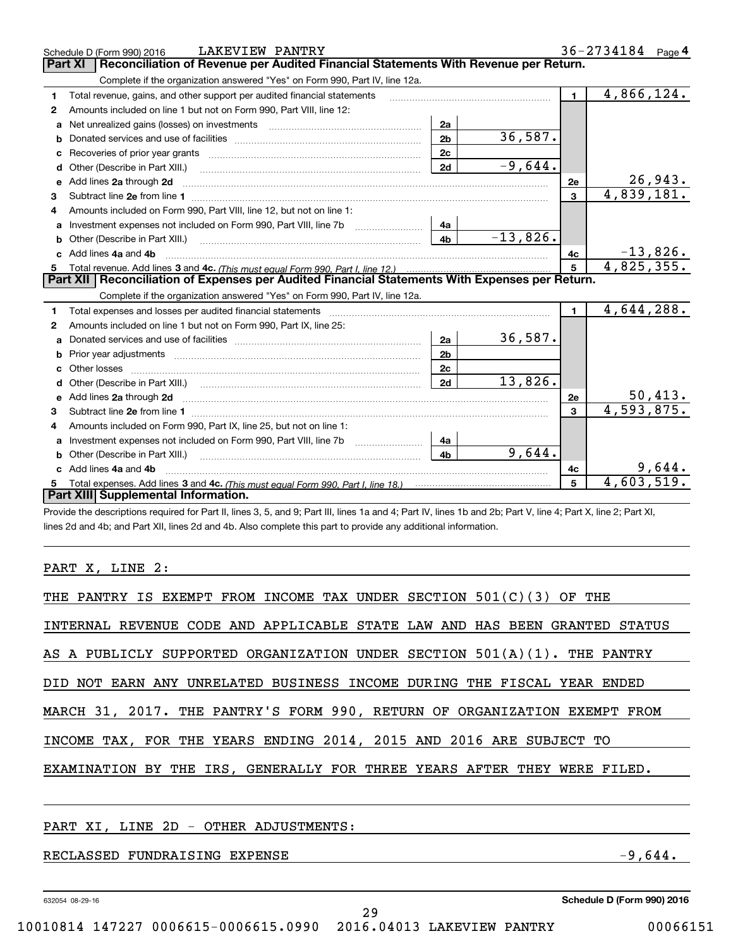| Reconciliation of Revenue per Audited Financial Statements With Revenue per Return.<br>Part XI<br>Complete if the organization answered "Yes" on Form 990, Part IV, line 12a.<br>$\blacksquare$<br>Total revenue, gains, and other support per audited financial statements<br>1<br>Amounts included on line 1 but not on Form 990, Part VIII, line 12:<br>$\mathbf{2}$<br>Net unrealized gains (losses) on investments [11] matter contracts and the unrealized gains (losses) on investments<br>2a<br>a<br>36,587.<br>2 <sub>b</sub><br>b<br>2c<br>c<br>$-9,644.$<br>2d<br>Other (Describe in Part XIII.)<br>d<br>Add lines 2a through 2d<br>2e<br>е<br>4,839,181.<br>3<br>3<br>Amounts included on Form 990, Part VIII, line 12, but not on line 1:<br>4<br>4a<br>$-13,826.$<br>4 <sub>b</sub><br>Other (Describe in Part XIII.) <b>Construction Contract Construction</b> Chemistry Chemistry Chemistry Chemistry Chemistry<br>b<br>Add lines 4a and 4b<br>4c<br>C.<br>4,825,355.<br>5<br>Part XII   Reconciliation of Expenses per Audited Financial Statements With Expenses per Return.<br>Complete if the organization answered "Yes" on Form 990, Part IV, line 12a.<br>$\mathbf 1$<br>Total expenses and losses per audited financial statements<br>1.<br>Amounts included on line 1 but not on Form 990, Part IX, line 25:<br>2<br>36,587.<br>2a<br>a<br>2 <sub>b</sub><br>b<br>2c<br>Other losses<br>13,826.<br>2d<br>d<br>$\frac{50,413.}{4,593,875.}$<br>Add lines 2a through 2d<br>2e<br>e<br>3<br>3<br>Amounts included on Form 990, Part IX, line 25, but not on line 1:<br>4 |   | LAKEVIEW PANTRY<br>Schedule D (Form 990) 2016 |    |  | $36 - 2734184$ Page 4 |
|------------------------------------------------------------------------------------------------------------------------------------------------------------------------------------------------------------------------------------------------------------------------------------------------------------------------------------------------------------------------------------------------------------------------------------------------------------------------------------------------------------------------------------------------------------------------------------------------------------------------------------------------------------------------------------------------------------------------------------------------------------------------------------------------------------------------------------------------------------------------------------------------------------------------------------------------------------------------------------------------------------------------------------------------------------------------------------------------------------------------------------------------------------------------------------------------------------------------------------------------------------------------------------------------------------------------------------------------------------------------------------------------------------------------------------------------------------------------------------------------------------------------------------------------------------------------------------------------|---|-----------------------------------------------|----|--|-----------------------|
|                                                                                                                                                                                                                                                                                                                                                                                                                                                                                                                                                                                                                                                                                                                                                                                                                                                                                                                                                                                                                                                                                                                                                                                                                                                                                                                                                                                                                                                                                                                                                                                                |   |                                               |    |  |                       |
|                                                                                                                                                                                                                                                                                                                                                                                                                                                                                                                                                                                                                                                                                                                                                                                                                                                                                                                                                                                                                                                                                                                                                                                                                                                                                                                                                                                                                                                                                                                                                                                                |   |                                               |    |  |                       |
|                                                                                                                                                                                                                                                                                                                                                                                                                                                                                                                                                                                                                                                                                                                                                                                                                                                                                                                                                                                                                                                                                                                                                                                                                                                                                                                                                                                                                                                                                                                                                                                                |   |                                               |    |  | 4,866,124.            |
|                                                                                                                                                                                                                                                                                                                                                                                                                                                                                                                                                                                                                                                                                                                                                                                                                                                                                                                                                                                                                                                                                                                                                                                                                                                                                                                                                                                                                                                                                                                                                                                                |   |                                               |    |  |                       |
|                                                                                                                                                                                                                                                                                                                                                                                                                                                                                                                                                                                                                                                                                                                                                                                                                                                                                                                                                                                                                                                                                                                                                                                                                                                                                                                                                                                                                                                                                                                                                                                                |   |                                               |    |  |                       |
|                                                                                                                                                                                                                                                                                                                                                                                                                                                                                                                                                                                                                                                                                                                                                                                                                                                                                                                                                                                                                                                                                                                                                                                                                                                                                                                                                                                                                                                                                                                                                                                                |   |                                               |    |  |                       |
|                                                                                                                                                                                                                                                                                                                                                                                                                                                                                                                                                                                                                                                                                                                                                                                                                                                                                                                                                                                                                                                                                                                                                                                                                                                                                                                                                                                                                                                                                                                                                                                                |   |                                               |    |  |                       |
|                                                                                                                                                                                                                                                                                                                                                                                                                                                                                                                                                                                                                                                                                                                                                                                                                                                                                                                                                                                                                                                                                                                                                                                                                                                                                                                                                                                                                                                                                                                                                                                                |   |                                               |    |  |                       |
|                                                                                                                                                                                                                                                                                                                                                                                                                                                                                                                                                                                                                                                                                                                                                                                                                                                                                                                                                                                                                                                                                                                                                                                                                                                                                                                                                                                                                                                                                                                                                                                                |   |                                               |    |  | 26,943.               |
|                                                                                                                                                                                                                                                                                                                                                                                                                                                                                                                                                                                                                                                                                                                                                                                                                                                                                                                                                                                                                                                                                                                                                                                                                                                                                                                                                                                                                                                                                                                                                                                                |   |                                               |    |  |                       |
|                                                                                                                                                                                                                                                                                                                                                                                                                                                                                                                                                                                                                                                                                                                                                                                                                                                                                                                                                                                                                                                                                                                                                                                                                                                                                                                                                                                                                                                                                                                                                                                                |   |                                               |    |  |                       |
|                                                                                                                                                                                                                                                                                                                                                                                                                                                                                                                                                                                                                                                                                                                                                                                                                                                                                                                                                                                                                                                                                                                                                                                                                                                                                                                                                                                                                                                                                                                                                                                                |   |                                               |    |  |                       |
|                                                                                                                                                                                                                                                                                                                                                                                                                                                                                                                                                                                                                                                                                                                                                                                                                                                                                                                                                                                                                                                                                                                                                                                                                                                                                                                                                                                                                                                                                                                                                                                                |   |                                               |    |  |                       |
|                                                                                                                                                                                                                                                                                                                                                                                                                                                                                                                                                                                                                                                                                                                                                                                                                                                                                                                                                                                                                                                                                                                                                                                                                                                                                                                                                                                                                                                                                                                                                                                                |   |                                               |    |  | $-13,826.$            |
|                                                                                                                                                                                                                                                                                                                                                                                                                                                                                                                                                                                                                                                                                                                                                                                                                                                                                                                                                                                                                                                                                                                                                                                                                                                                                                                                                                                                                                                                                                                                                                                                |   |                                               |    |  |                       |
|                                                                                                                                                                                                                                                                                                                                                                                                                                                                                                                                                                                                                                                                                                                                                                                                                                                                                                                                                                                                                                                                                                                                                                                                                                                                                                                                                                                                                                                                                                                                                                                                |   |                                               |    |  |                       |
|                                                                                                                                                                                                                                                                                                                                                                                                                                                                                                                                                                                                                                                                                                                                                                                                                                                                                                                                                                                                                                                                                                                                                                                                                                                                                                                                                                                                                                                                                                                                                                                                |   |                                               |    |  |                       |
|                                                                                                                                                                                                                                                                                                                                                                                                                                                                                                                                                                                                                                                                                                                                                                                                                                                                                                                                                                                                                                                                                                                                                                                                                                                                                                                                                                                                                                                                                                                                                                                                |   |                                               |    |  | 4,644,288.            |
|                                                                                                                                                                                                                                                                                                                                                                                                                                                                                                                                                                                                                                                                                                                                                                                                                                                                                                                                                                                                                                                                                                                                                                                                                                                                                                                                                                                                                                                                                                                                                                                                |   |                                               |    |  |                       |
|                                                                                                                                                                                                                                                                                                                                                                                                                                                                                                                                                                                                                                                                                                                                                                                                                                                                                                                                                                                                                                                                                                                                                                                                                                                                                                                                                                                                                                                                                                                                                                                                |   |                                               |    |  |                       |
|                                                                                                                                                                                                                                                                                                                                                                                                                                                                                                                                                                                                                                                                                                                                                                                                                                                                                                                                                                                                                                                                                                                                                                                                                                                                                                                                                                                                                                                                                                                                                                                                |   |                                               |    |  |                       |
|                                                                                                                                                                                                                                                                                                                                                                                                                                                                                                                                                                                                                                                                                                                                                                                                                                                                                                                                                                                                                                                                                                                                                                                                                                                                                                                                                                                                                                                                                                                                                                                                |   |                                               |    |  |                       |
|                                                                                                                                                                                                                                                                                                                                                                                                                                                                                                                                                                                                                                                                                                                                                                                                                                                                                                                                                                                                                                                                                                                                                                                                                                                                                                                                                                                                                                                                                                                                                                                                |   |                                               |    |  |                       |
|                                                                                                                                                                                                                                                                                                                                                                                                                                                                                                                                                                                                                                                                                                                                                                                                                                                                                                                                                                                                                                                                                                                                                                                                                                                                                                                                                                                                                                                                                                                                                                                                |   |                                               |    |  |                       |
|                                                                                                                                                                                                                                                                                                                                                                                                                                                                                                                                                                                                                                                                                                                                                                                                                                                                                                                                                                                                                                                                                                                                                                                                                                                                                                                                                                                                                                                                                                                                                                                                |   |                                               |    |  |                       |
|                                                                                                                                                                                                                                                                                                                                                                                                                                                                                                                                                                                                                                                                                                                                                                                                                                                                                                                                                                                                                                                                                                                                                                                                                                                                                                                                                                                                                                                                                                                                                                                                |   |                                               |    |  |                       |
|                                                                                                                                                                                                                                                                                                                                                                                                                                                                                                                                                                                                                                                                                                                                                                                                                                                                                                                                                                                                                                                                                                                                                                                                                                                                                                                                                                                                                                                                                                                                                                                                | a |                                               | 4a |  |                       |
| 9,644.<br>4 <sub>b</sub><br>Other (Describe in Part XIII.)                                                                                                                                                                                                                                                                                                                                                                                                                                                                                                                                                                                                                                                                                                                                                                                                                                                                                                                                                                                                                                                                                                                                                                                                                                                                                                                                                                                                                                                                                                                                     |   |                                               |    |  |                       |
| 9,644.<br>Add lines 4a and 4b<br>4c                                                                                                                                                                                                                                                                                                                                                                                                                                                                                                                                                                                                                                                                                                                                                                                                                                                                                                                                                                                                                                                                                                                                                                                                                                                                                                                                                                                                                                                                                                                                                            |   |                                               |    |  |                       |
| 5<br>5                                                                                                                                                                                                                                                                                                                                                                                                                                                                                                                                                                                                                                                                                                                                                                                                                                                                                                                                                                                                                                                                                                                                                                                                                                                                                                                                                                                                                                                                                                                                                                                         |   |                                               |    |  | 4,603,519.            |
| Part XIII Supplemental Information.                                                                                                                                                                                                                                                                                                                                                                                                                                                                                                                                                                                                                                                                                                                                                                                                                                                                                                                                                                                                                                                                                                                                                                                                                                                                                                                                                                                                                                                                                                                                                            |   |                                               |    |  |                       |

-<br>Provide the descriptions required for Part II, lines 3, 5, and 9; Part III, lines 1a and 4; Part IV, lines 1b and 2b; Part V, line 4; Part X, line 2; Part XI, lines 2d and 4b; and Part XII, lines 2d and 4b. Also complete this part to provide any additional information.

PART X, LINE 2:

| THE PANTRY IS EXEMPT FROM INCOME TAX UNDER SECTION $501(C)(3)$ OF THE       |
|-----------------------------------------------------------------------------|
| INTERNAL REVENUE CODE AND APPLICABLE STATE LAW AND HAS BEEN GRANTED STATUS  |
| AS A PUBLICLY SUPPORTED ORGANIZATION UNDER SECTION $501(A)(1)$ . THE PANTRY |
| DID NOT EARN ANY UNRELATED BUSINESS INCOME DURING THE FISCAL YEAR ENDED     |
| MARCH 31, 2017. THE PANTRY'S FORM 990, RETURN OF ORGANIZATION EXEMPT FROM   |
| INCOME TAX, FOR THE YEARS ENDING 2014, 2015 AND 2016 ARE SUBJECT TO         |
| EXAMINATION BY THE IRS, GENERALLY FOR THREE YEARS AFTER THEY WERE FILED.    |
|                                                                             |
|                                                                             |

#### PART XI , LINE 2D - OTHER ADJUSTMENTS: PART XI, LINE 2D - OTHER ADJUSTMENTS:

RECLASSED FUNDRAISING EXPENSE -9,644.

632054 08-29-16

632054 08-29-16 **Schedule D (Form 990) <sup>2016</sup> Schedule D (Form 990) 2016**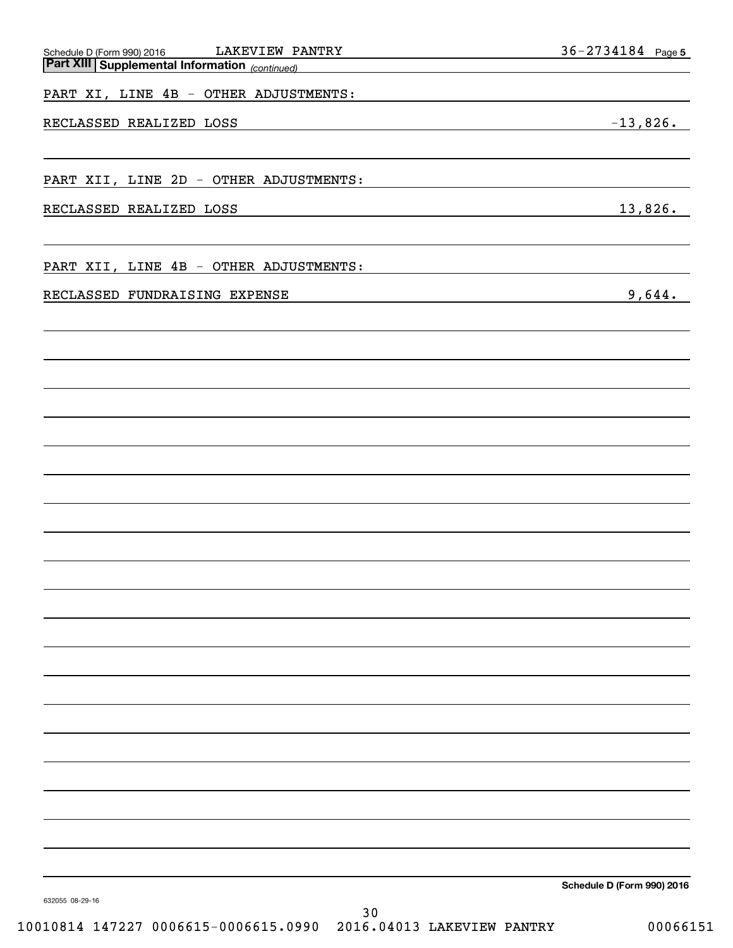| LAKEVIEW PANTRY                                                                          | 36-2734184 Page 5          |
|------------------------------------------------------------------------------------------|----------------------------|
| Schedule D (Form 990) 2016 LAKEVIEW P1<br>Part XIII Supplemental Information (continued) |                            |
| PART XI, LINE 4B - OTHER ADJUSTMENTS:                                                    |                            |
|                                                                                          |                            |
| RECLASSED REALIZED LOSS                                                                  | $-13,826.$                 |
|                                                                                          |                            |
| PART XII, LINE 2D - OTHER ADJUSTMENTS:                                                   |                            |
|                                                                                          |                            |
| RECLASSED REALIZED LOSS                                                                  | 13,826.                    |
|                                                                                          |                            |
|                                                                                          |                            |
| PART XII, LINE 4B - OTHER ADJUSTMENTS:                                                   |                            |
| RECLASSED FUNDRAISING EXPENSE                                                            | 9,644.                     |
|                                                                                          |                            |
|                                                                                          |                            |
|                                                                                          |                            |
|                                                                                          |                            |
|                                                                                          |                            |
|                                                                                          |                            |
|                                                                                          |                            |
|                                                                                          |                            |
|                                                                                          |                            |
|                                                                                          |                            |
|                                                                                          |                            |
|                                                                                          |                            |
|                                                                                          |                            |
|                                                                                          |                            |
|                                                                                          |                            |
|                                                                                          |                            |
|                                                                                          |                            |
|                                                                                          |                            |
|                                                                                          |                            |
|                                                                                          |                            |
|                                                                                          |                            |
|                                                                                          |                            |
|                                                                                          |                            |
|                                                                                          |                            |
|                                                                                          |                            |
|                                                                                          |                            |
|                                                                                          |                            |
|                                                                                          |                            |
| 632055 08-29-16                                                                          | Schedule D (Form 990) 2016 |

10010814 147227 0006615-0006615.0990 2016.04013 LAKEVIEW PANTRY 00066151 10010814 147227 0006615-0006615.0990 2016.04013 LAKEVIEW PANTRY 00066151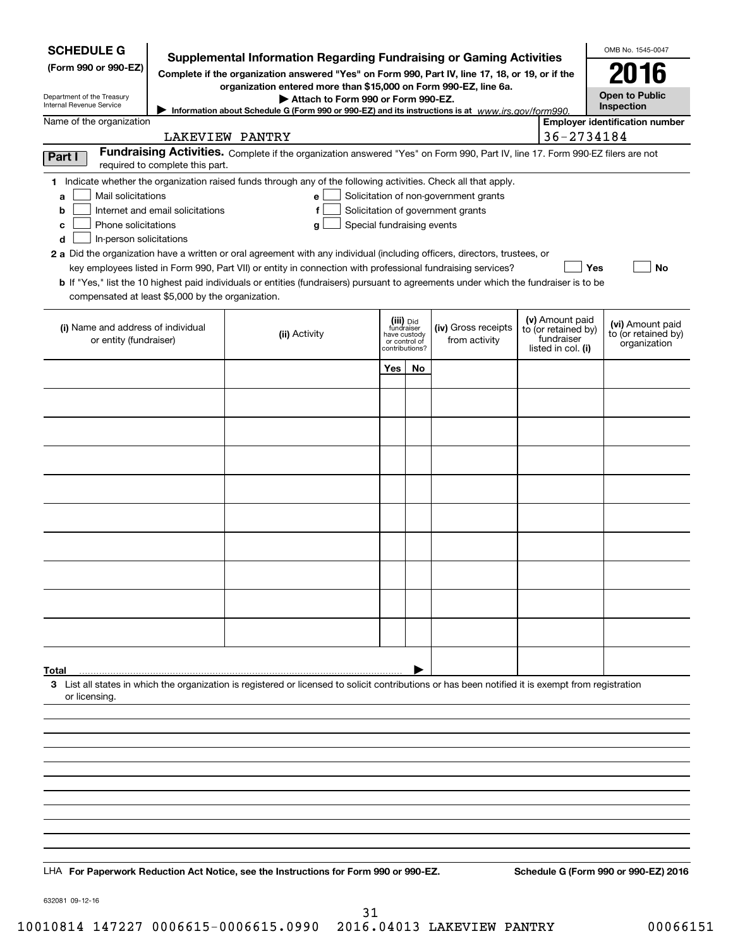| <b>SCHEDULE G</b><br>(Form 990 or 990-EZ)                                                                                                     |                                  | Supplemental Information Regarding Fundraising or Gaming Activities<br>Complete if the organization answered "Yes" on Form 990, Part IV, line 17, 18, or 19, or if the<br>organization entered more than \$15,000 on Form 990-EZ, line 6a.                                                                                                                                                                                                                                                                                                                |                                                                            |           |                                                                            |                                                                            | OMB No. 1545-0047<br>2016                               |
|-----------------------------------------------------------------------------------------------------------------------------------------------|----------------------------------|-----------------------------------------------------------------------------------------------------------------------------------------------------------------------------------------------------------------------------------------------------------------------------------------------------------------------------------------------------------------------------------------------------------------------------------------------------------------------------------------------------------------------------------------------------------|----------------------------------------------------------------------------|-----------|----------------------------------------------------------------------------|----------------------------------------------------------------------------|---------------------------------------------------------|
| Department of the Treasury<br>Internal Revenue Service                                                                                        |                                  | Attach to Form 990 or Form 990-EZ.<br>Information about Schedule G (Form 990 or 990-EZ) and its instructions is at $www.irs.gov/form990$ .                                                                                                                                                                                                                                                                                                                                                                                                                |                                                                            |           |                                                                            |                                                                            | <b>Open to Public</b><br>Inspection                     |
| Name of the organization                                                                                                                      |                                  |                                                                                                                                                                                                                                                                                                                                                                                                                                                                                                                                                           |                                                                            |           |                                                                            |                                                                            | <b>Employer identification number</b>                   |
|                                                                                                                                               |                                  | LAKEVIEW PANTRY                                                                                                                                                                                                                                                                                                                                                                                                                                                                                                                                           |                                                                            |           |                                                                            | 36-2734184                                                                 |                                                         |
| Part I                                                                                                                                        | required to complete this part.  | Fundraising Activities. Complete if the organization answered "Yes" on Form 990, Part IV, line 17. Form 990-EZ filers are not                                                                                                                                                                                                                                                                                                                                                                                                                             |                                                                            |           |                                                                            |                                                                            |                                                         |
| Mail solicitations<br>a<br>b<br>Phone solicitations<br>c<br>In-person solicitations<br>d<br>compensated at least \$5,000 by the organization. | Internet and email solicitations | 1 Indicate whether the organization raised funds through any of the following activities. Check all that apply.<br>е<br>f<br>Special fundraising events<br>g<br>2 a Did the organization have a written or oral agreement with any individual (including officers, directors, trustees, or<br>key employees listed in Form 990, Part VII) or entity in connection with professional fundraising services?<br><b>b</b> If "Yes," list the 10 highest paid individuals or entities (fundraisers) pursuant to agreements under which the fundraiser is to be |                                                                            |           | Solicitation of non-government grants<br>Solicitation of government grants | Yes                                                                        | <b>No</b>                                               |
| (i) Name and address of individual<br>or entity (fundraiser)                                                                                  |                                  | (ii) Activity                                                                                                                                                                                                                                                                                                                                                                                                                                                                                                                                             | (iii) Did<br>fundraiser<br>have custody<br>or control of<br>contributions? |           | (iv) Gross receipts<br>from activity                                       | (v) Amount paid<br>to (or retained by)<br>fundraiser<br>listed in col. (i) | (vi) Amount paid<br>to (or retained by)<br>organization |
|                                                                                                                                               |                                  |                                                                                                                                                                                                                                                                                                                                                                                                                                                                                                                                                           | Yes                                                                        | <b>No</b> |                                                                            |                                                                            |                                                         |
|                                                                                                                                               |                                  |                                                                                                                                                                                                                                                                                                                                                                                                                                                                                                                                                           |                                                                            |           |                                                                            |                                                                            |                                                         |
|                                                                                                                                               |                                  |                                                                                                                                                                                                                                                                                                                                                                                                                                                                                                                                                           |                                                                            |           |                                                                            |                                                                            |                                                         |
|                                                                                                                                               |                                  |                                                                                                                                                                                                                                                                                                                                                                                                                                                                                                                                                           |                                                                            |           |                                                                            |                                                                            |                                                         |
|                                                                                                                                               |                                  |                                                                                                                                                                                                                                                                                                                                                                                                                                                                                                                                                           |                                                                            |           |                                                                            |                                                                            |                                                         |
|                                                                                                                                               |                                  |                                                                                                                                                                                                                                                                                                                                                                                                                                                                                                                                                           |                                                                            |           |                                                                            |                                                                            |                                                         |
|                                                                                                                                               |                                  |                                                                                                                                                                                                                                                                                                                                                                                                                                                                                                                                                           |                                                                            |           |                                                                            |                                                                            |                                                         |
|                                                                                                                                               |                                  |                                                                                                                                                                                                                                                                                                                                                                                                                                                                                                                                                           |                                                                            |           |                                                                            |                                                                            |                                                         |
|                                                                                                                                               |                                  |                                                                                                                                                                                                                                                                                                                                                                                                                                                                                                                                                           |                                                                            |           |                                                                            |                                                                            |                                                         |
|                                                                                                                                               |                                  |                                                                                                                                                                                                                                                                                                                                                                                                                                                                                                                                                           |                                                                            |           |                                                                            |                                                                            |                                                         |
|                                                                                                                                               |                                  |                                                                                                                                                                                                                                                                                                                                                                                                                                                                                                                                                           |                                                                            |           |                                                                            |                                                                            |                                                         |
|                                                                                                                                               |                                  |                                                                                                                                                                                                                                                                                                                                                                                                                                                                                                                                                           |                                                                            |           |                                                                            |                                                                            |                                                         |
| Total                                                                                                                                         |                                  |                                                                                                                                                                                                                                                                                                                                                                                                                                                                                                                                                           |                                                                            |           |                                                                            |                                                                            |                                                         |
| or licensing.                                                                                                                                 |                                  | 3 List all states in which the organization is registered or licensed to solicit contributions or has been notified it is exempt from registration                                                                                                                                                                                                                                                                                                                                                                                                        |                                                                            |           |                                                                            |                                                                            |                                                         |
|                                                                                                                                               |                                  |                                                                                                                                                                                                                                                                                                                                                                                                                                                                                                                                                           |                                                                            |           |                                                                            |                                                                            |                                                         |
|                                                                                                                                               |                                  |                                                                                                                                                                                                                                                                                                                                                                                                                                                                                                                                                           |                                                                            |           |                                                                            |                                                                            |                                                         |
|                                                                                                                                               |                                  |                                                                                                                                                                                                                                                                                                                                                                                                                                                                                                                                                           |                                                                            |           |                                                                            |                                                                            |                                                         |
|                                                                                                                                               |                                  |                                                                                                                                                                                                                                                                                                                                                                                                                                                                                                                                                           |                                                                            |           |                                                                            |                                                                            |                                                         |
|                                                                                                                                               |                                  |                                                                                                                                                                                                                                                                                                                                                                                                                                                                                                                                                           |                                                                            |           |                                                                            |                                                                            |                                                         |
|                                                                                                                                               |                                  |                                                                                                                                                                                                                                                                                                                                                                                                                                                                                                                                                           |                                                                            |           |                                                                            |                                                                            |                                                         |
|                                                                                                                                               |                                  | LHA For Paperwork Reduction Act Notice, see the Instructions for Form 990 or 990-EZ.                                                                                                                                                                                                                                                                                                                                                                                                                                                                      |                                                                            |           |                                                                            |                                                                            | Schedule G (Form 990 or 990-EZ) 2016                    |
| 632081 09-12-16                                                                                                                               |                                  |                                                                                                                                                                                                                                                                                                                                                                                                                                                                                                                                                           |                                                                            |           |                                                                            |                                                                            |                                                         |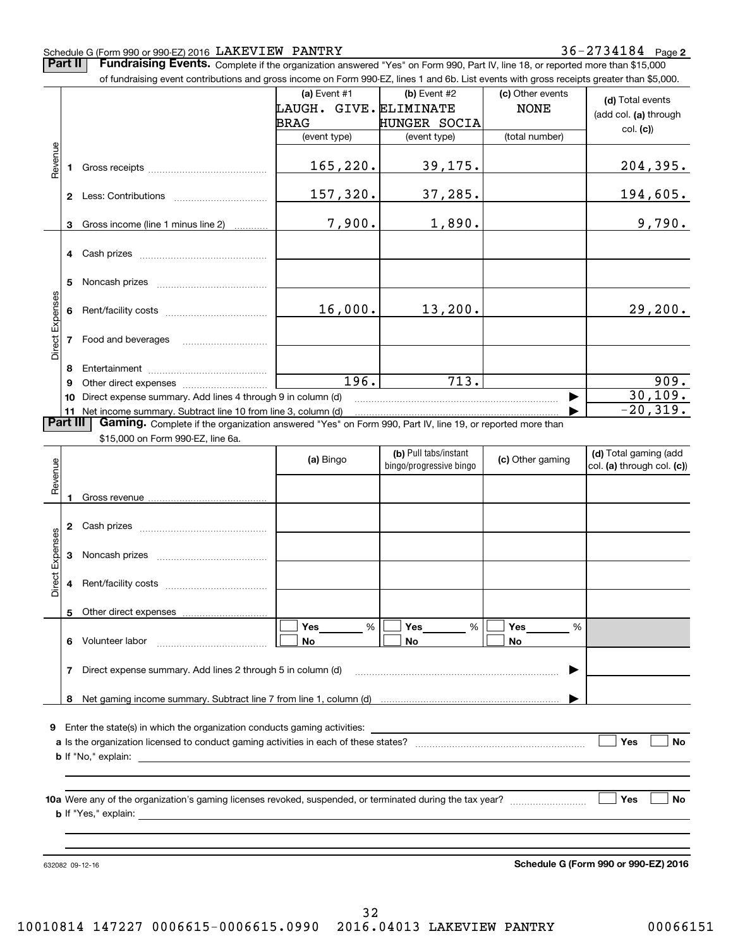### Schedule G (Form 990 or 990-EZ) 2016 LAKEVIEW PANTRY 36-2734184 Page

Page **2 2**

Part II Fundraising Events. Complete if the organization answered "Yes" on Form 990, Part IV, line 18, or reported more than \$15,000 000

|                 |          | of fundraising event contributions and gross income on Form 990-EZ, lines 1 and 6b. List events with gross receipts greater than \$5,000. |                                       |                                                  |                                 |                                                     |
|-----------------|----------|-------------------------------------------------------------------------------------------------------------------------------------------|---------------------------------------|--------------------------------------------------|---------------------------------|-----------------------------------------------------|
|                 |          |                                                                                                                                           | (a) Event #1<br>LAUGH. GIVE.ELIMINATE | $(b)$ Event #2                                   | (c) Other events<br><b>NONE</b> | (d) Total events<br>(add col. (a) through           |
|                 |          |                                                                                                                                           | BRAG<br>(event type)                  | <b>HUNGER SOCIA</b><br>(event type)              | (total number)                  | col. (c)                                            |
|                 |          |                                                                                                                                           |                                       |                                                  |                                 |                                                     |
| Revenue         | 1.       |                                                                                                                                           | 165, 220.                             | 39,175.                                          |                                 | 204,395.                                            |
|                 |          |                                                                                                                                           | 157,320.                              | 37,285.                                          |                                 | 194,605.                                            |
|                 | 3        | Gross income (line 1 minus line 2)                                                                                                        | 7,900.                                | 1,890.                                           |                                 | 9,790.                                              |
|                 |          |                                                                                                                                           |                                       |                                                  |                                 |                                                     |
|                 | 5        |                                                                                                                                           |                                       |                                                  |                                 |                                                     |
|                 | 6        |                                                                                                                                           | 16,000.                               | 13,200.                                          |                                 | 29,200.                                             |
| Direct Expenses | 7        | Food and beverages                                                                                                                        |                                       |                                                  |                                 |                                                     |
|                 | 8        |                                                                                                                                           |                                       |                                                  |                                 |                                                     |
|                 | 9        |                                                                                                                                           | 196.                                  | 713.                                             |                                 | 909.                                                |
|                 |          | 10 Direct expense summary. Add lines 4 through 9 in column (d)                                                                            |                                       |                                                  |                                 | 30, 109.                                            |
|                 |          | 11 Net income summary. Subtract line 10 from line 3, column (d)                                                                           |                                       |                                                  |                                 | $-20, 319.$                                         |
|                 | Part III | Gaming. Complete if the organization answered "Yes" on Form 990, Part IV, line 19, or reported more than                                  |                                       |                                                  |                                 |                                                     |
|                 |          | \$15,000 on Form 990-EZ, line 6a.                                                                                                         |                                       |                                                  |                                 |                                                     |
| Revenue         |          |                                                                                                                                           | (a) Bingo                             | (b) Pull tabs/instant<br>bingo/progressive bingo | (c) Other gaming                | (d) Total gaming (add<br>col. (a) through col. (c)) |
|                 | 1        |                                                                                                                                           |                                       |                                                  |                                 |                                                     |
|                 |          |                                                                                                                                           |                                       |                                                  |                                 |                                                     |
| Direct Expenses | 3        |                                                                                                                                           |                                       |                                                  |                                 |                                                     |
|                 | 4        |                                                                                                                                           |                                       |                                                  |                                 |                                                     |
|                 | 5        |                                                                                                                                           |                                       |                                                  |                                 |                                                     |
|                 |          |                                                                                                                                           | Yes<br>%                              | Yes<br>%                                         | Yes<br>%                        |                                                     |
|                 |          | 6 Volunteer labor                                                                                                                         | No                                    | No                                               | No                              |                                                     |
|                 |          | 7 Direct expense summary. Add lines 2 through 5 in column (d)                                                                             |                                       |                                                  |                                 |                                                     |
|                 |          |                                                                                                                                           |                                       |                                                  |                                 |                                                     |
|                 |          |                                                                                                                                           |                                       |                                                  |                                 |                                                     |
|                 |          | 9 Enter the state(s) in which the organization conducts gaming activities:                                                                |                                       |                                                  |                                 |                                                     |
|                 |          |                                                                                                                                           |                                       |                                                  |                                 | Yes<br>No                                           |
|                 |          |                                                                                                                                           |                                       |                                                  |                                 |                                                     |
|                 |          |                                                                                                                                           |                                       |                                                  |                                 |                                                     |
|                 |          |                                                                                                                                           |                                       |                                                  |                                 | <b>Yes</b><br>No                                    |
|                 |          |                                                                                                                                           |                                       |                                                  |                                 |                                                     |
|                 |          | 632082 09-12-16                                                                                                                           |                                       |                                                  |                                 | Schedule G (Form 990 or 990-EZ) 2016                |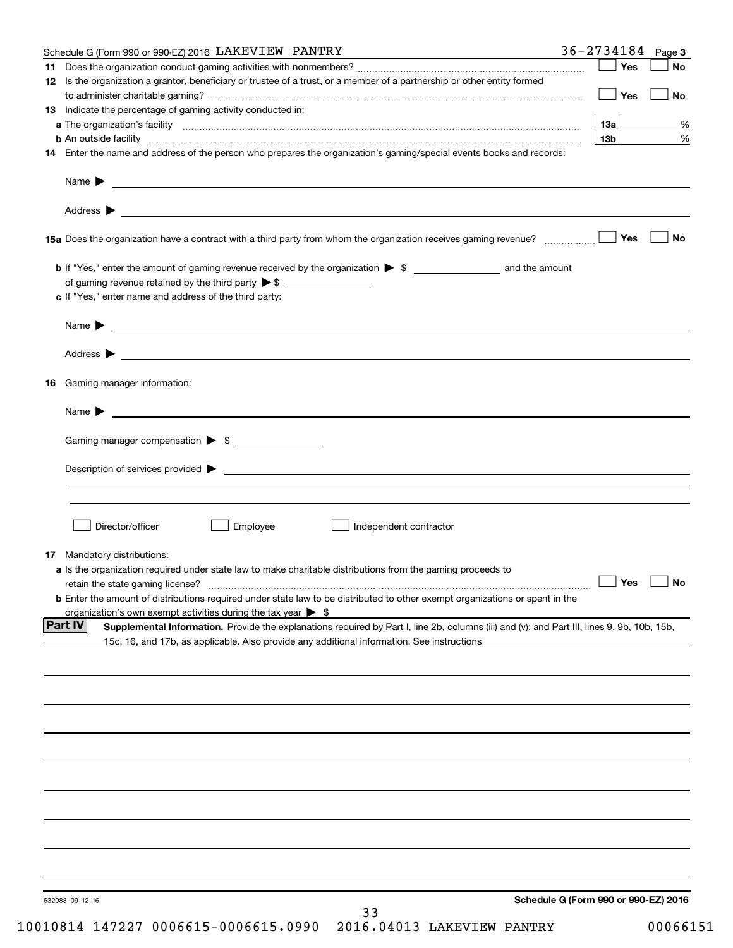| Schedule G (Form 990 or 990-EZ) 2016 LAKEVIEW PANTRY                                                                                                                                                                                                                                                                                                  | $36 - 2734184$ Page 3 |                 |               |
|-------------------------------------------------------------------------------------------------------------------------------------------------------------------------------------------------------------------------------------------------------------------------------------------------------------------------------------------------------|-----------------------|-----------------|---------------|
|                                                                                                                                                                                                                                                                                                                                                       |                       | Yes             | <b>No</b>     |
| 12 Is the organization a grantor, beneficiary or trustee of a trust, or a member of a partnership or other entity formed                                                                                                                                                                                                                              |                       |                 |               |
|                                                                                                                                                                                                                                                                                                                                                       |                       | Yes             | <b>No</b>     |
| <b>13</b> Indicate the percentage of gaming activity conducted in:                                                                                                                                                                                                                                                                                    |                       |                 |               |
|                                                                                                                                                                                                                                                                                                                                                       |                       | 13а             | $\frac{9}{6}$ |
|                                                                                                                                                                                                                                                                                                                                                       |                       | 13 <sub>b</sub> | %             |
| 14 Enter the name and address of the person who prepares the organization's gaming/special events books and records:                                                                                                                                                                                                                                  |                       |                 |               |
| Name > 2008 - 2008 - 2009 - 2009 - 2009 - 2009 - 2009 - 2009 - 2009 - 2009 - 2009 - 2009 - 2009 - 2009 - 2009 - 2009 - 2009 - 2009 - 2009 - 2009 - 2009 - 2009 - 2009 - 2009 - 2009 - 2009 - 2009 - 2009 - 2009 - 2009 - 2009                                                                                                                         |                       |                 |               |
|                                                                                                                                                                                                                                                                                                                                                       |                       |                 |               |
|                                                                                                                                                                                                                                                                                                                                                       |                       |                 |               |
| 15a Does the organization have a contract with a third party from whom the organization receives gaming revenue?                                                                                                                                                                                                                                      |                       | Yes             | No            |
|                                                                                                                                                                                                                                                                                                                                                       |                       |                 |               |
|                                                                                                                                                                                                                                                                                                                                                       |                       |                 |               |
| c If "Yes," enter name and address of the third party:                                                                                                                                                                                                                                                                                                |                       |                 |               |
| Name $\blacktriangleright$ $\ldots$ $\ldots$ $\ldots$ $\ldots$ $\ldots$ $\ldots$ $\ldots$ $\ldots$ $\ldots$ $\ldots$ $\ldots$ $\ldots$ $\ldots$ $\ldots$ $\ldots$ $\ldots$ $\ldots$ $\ldots$ $\ldots$ $\ldots$ $\ldots$ $\ldots$ $\ldots$ $\ldots$ $\ldots$ $\ldots$ $\ldots$ $\ldots$ $\ldots$ $\ldots$ $\ldots$ $\ldots$ $\ldots$ $\ldots$ $\ldots$ |                       |                 |               |
|                                                                                                                                                                                                                                                                                                                                                       |                       |                 |               |
| 16 Gaming manager information:                                                                                                                                                                                                                                                                                                                        |                       |                 |               |
|                                                                                                                                                                                                                                                                                                                                                       |                       |                 |               |
| Name $\blacktriangleright$ $\bot$                                                                                                                                                                                                                                                                                                                     |                       |                 |               |
| Gaming manager compensation > \$                                                                                                                                                                                                                                                                                                                      |                       |                 |               |
| Description of services provided $\blacktriangleright$ $\bot$                                                                                                                                                                                                                                                                                         |                       |                 |               |
|                                                                                                                                                                                                                                                                                                                                                       |                       |                 |               |
|                                                                                                                                                                                                                                                                                                                                                       |                       |                 |               |
|                                                                                                                                                                                                                                                                                                                                                       |                       |                 |               |
| Director/officer<br>Employee<br>Independent contractor                                                                                                                                                                                                                                                                                                |                       |                 |               |
|                                                                                                                                                                                                                                                                                                                                                       |                       |                 |               |
| 17 Mandatory distributions:                                                                                                                                                                                                                                                                                                                           |                       |                 |               |
| a Is the organization required under state law to make charitable distributions from the gaming proceeds to                                                                                                                                                                                                                                           |                       |                 |               |
| retain the state gaming license? <b>Motion of the Contract Contract Contract Contract Contract Contract Contract Contract Contract Contract Contract Contract Contract Contract Contract Contract Contract Contract Contract Con</b>                                                                                                                  |                       |                 |               |
| <b>b</b> Enter the amount of distributions required under state law to be distributed to other exempt organizations or spent in the                                                                                                                                                                                                                   |                       |                 |               |
| organization's own exempt activities during the tax year $\triangleright$ \$                                                                                                                                                                                                                                                                          |                       |                 |               |
| <b>Part IV</b><br>Supplemental Information. Provide the explanations required by Part I, line 2b, columns (iii) and (v); and Part III, lines 9, 9b, 10b, 15b,                                                                                                                                                                                         |                       |                 |               |
| 15c, 16, and 17b, as applicable. Also provide any additional information. See instructions                                                                                                                                                                                                                                                            |                       |                 |               |
|                                                                                                                                                                                                                                                                                                                                                       |                       |                 |               |
|                                                                                                                                                                                                                                                                                                                                                       |                       |                 |               |
|                                                                                                                                                                                                                                                                                                                                                       |                       |                 |               |
|                                                                                                                                                                                                                                                                                                                                                       |                       |                 |               |
|                                                                                                                                                                                                                                                                                                                                                       |                       |                 |               |
|                                                                                                                                                                                                                                                                                                                                                       |                       |                 |               |
|                                                                                                                                                                                                                                                                                                                                                       |                       |                 |               |
|                                                                                                                                                                                                                                                                                                                                                       |                       |                 |               |
|                                                                                                                                                                                                                                                                                                                                                       |                       |                 |               |
|                                                                                                                                                                                                                                                                                                                                                       |                       |                 |               |
|                                                                                                                                                                                                                                                                                                                                                       |                       |                 |               |
|                                                                                                                                                                                                                                                                                                                                                       |                       |                 |               |
|                                                                                                                                                                                                                                                                                                                                                       |                       |                 |               |
|                                                                                                                                                                                                                                                                                                                                                       |                       |                 |               |
|                                                                                                                                                                                                                                                                                                                                                       |                       |                 |               |
|                                                                                                                                                                                                                                                                                                                                                       |                       |                 |               |
|                                                                                                                                                                                                                                                                                                                                                       |                       |                 |               |
| Schedule G (Form 990 or 990-EZ) 2016<br>632083 09-12-16                                                                                                                                                                                                                                                                                               |                       |                 |               |
| 33                                                                                                                                                                                                                                                                                                                                                    |                       |                 |               |
| 10010814 147227 0006615-0006615.0990 2016.04013 LAKEVIEW PANTRY                                                                                                                                                                                                                                                                                       |                       |                 | 00066151      |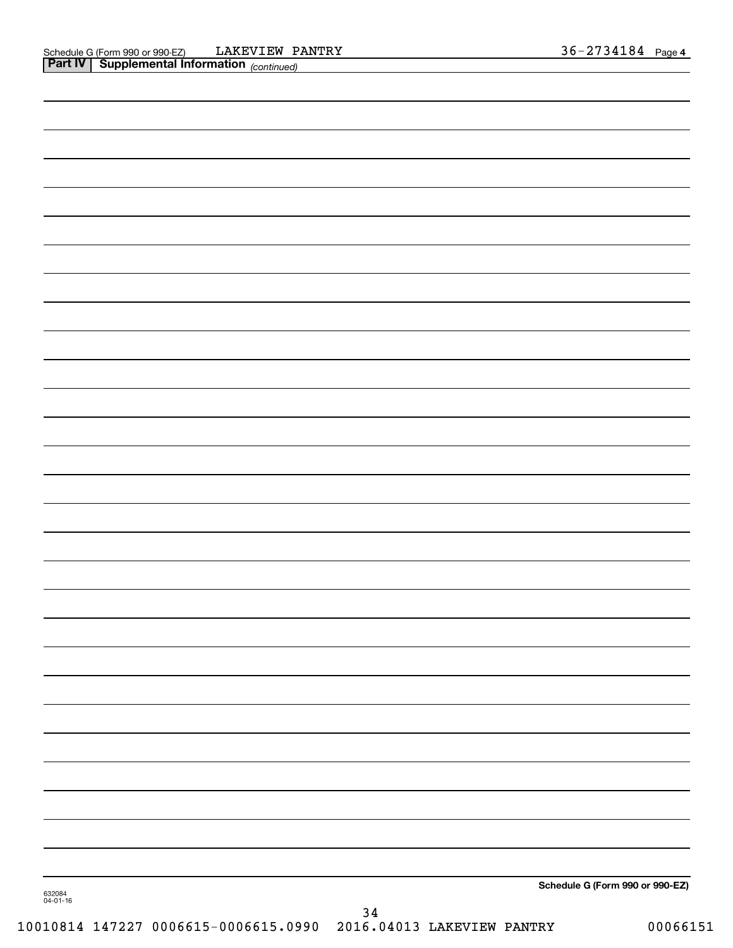|                    |        | Schedule G (Form 990 or 990-EZ) |
|--------------------|--------|---------------------------------|
| 632084<br>04-01-16 |        |                                 |
|                    | $3\,4$ |                                 |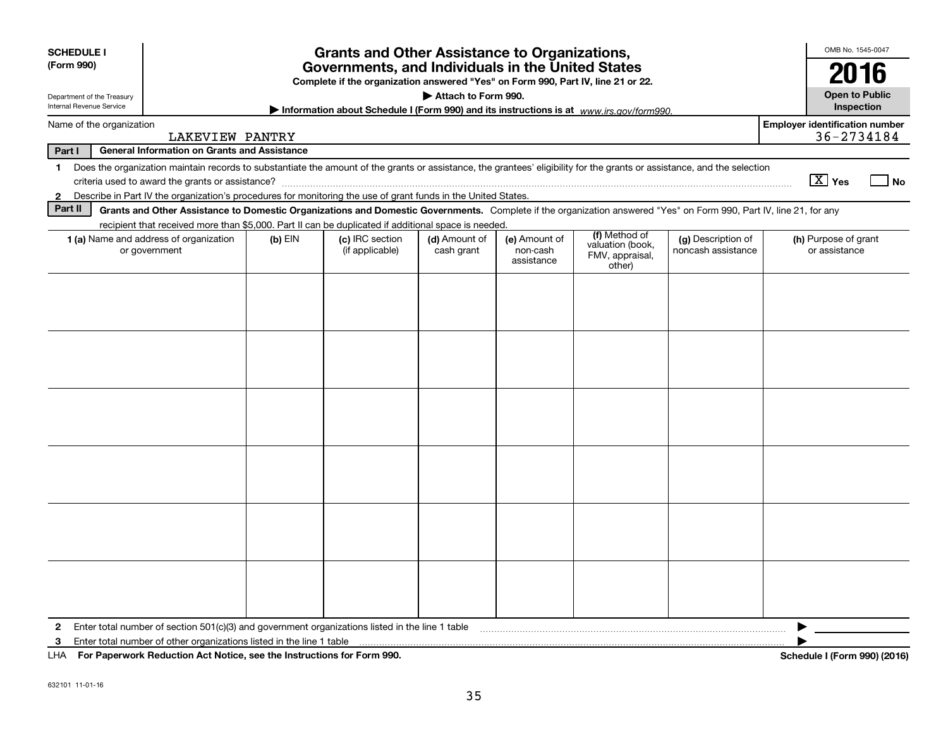| <b>SCHEDULE I</b>                                      | <b>Grants and Other Assistance to Organizations,</b>                                                                                                                     |           |                                                                                                                                       |                             |                                         | OMB No. 1545-0047                                              |                                          |                                                     |
|--------------------------------------------------------|--------------------------------------------------------------------------------------------------------------------------------------------------------------------------|-----------|---------------------------------------------------------------------------------------------------------------------------------------|-----------------------------|-----------------------------------------|----------------------------------------------------------------|------------------------------------------|-----------------------------------------------------|
| (Form 990)                                             |                                                                                                                                                                          |           | Governments, and Individuals in the United States<br>Complete if the organization answered "Yes" on Form 990, Part IV, line 21 or 22. |                             |                                         |                                                                |                                          | 2016                                                |
| Department of the Treasury<br>Internal Revenue Service |                                                                                                                                                                          |           | Information about Schedule I (Form 990) and its instructions is at $www.irs.gov/form990$ .                                            | Attach to Form 990.         |                                         |                                                                |                                          | <b>Open to Public</b><br>Inspection                 |
| Name of the organization                               | <b>LAKEVIEW PANTRY</b>                                                                                                                                                   |           |                                                                                                                                       |                             |                                         |                                                                |                                          | <b>Employer identification number</b><br>36-2734184 |
| Part I                                                 | <b>General Information on Grants and Assistance</b>                                                                                                                      |           |                                                                                                                                       |                             |                                         |                                                                |                                          |                                                     |
| $\mathbf 1$                                            | Does the organization maintain records to substantiate the amount of the grants or assistance, the grantees' eligibility for the grants or assistance, and the selection |           |                                                                                                                                       |                             |                                         |                                                                |                                          |                                                     |
|                                                        | criteria used to award the grants or assistance?                                                                                                                         |           |                                                                                                                                       |                             |                                         |                                                                |                                          | $\boxed{\text{X}}$ Yes<br>  No                      |
| $\mathbf{2}$                                           | Describe in Part IV the organization's procedures for monitoring the use of grant funds in the United States.                                                            |           |                                                                                                                                       |                             |                                         |                                                                |                                          |                                                     |
| Part II                                                | Grants and Other Assistance to Domestic Organizations and Domestic Governments. Complete if the organization answered "Yes" on Form 990, Part IV, line 21, for any       |           |                                                                                                                                       |                             |                                         |                                                                |                                          |                                                     |
|                                                        | recipient that received more than \$5,000. Part II can be duplicated if additional space is needed.                                                                      |           |                                                                                                                                       |                             |                                         |                                                                |                                          |                                                     |
|                                                        | 1 (a) Name and address of organization<br>or government                                                                                                                  | $(b)$ EIN | (c) IRC section<br>(if applicable)                                                                                                    | (d) Amount of<br>cash grant | (e) Amount of<br>non-cash<br>assistance | (f) Method of<br>valuation (book,<br>FMV, appraisal,<br>other) | (g) Description of<br>noncash assistance | (h) Purpose of grant<br>or assistance               |
|                                                        |                                                                                                                                                                          |           |                                                                                                                                       |                             |                                         |                                                                |                                          |                                                     |
|                                                        |                                                                                                                                                                          |           |                                                                                                                                       |                             |                                         |                                                                |                                          |                                                     |
|                                                        |                                                                                                                                                                          |           |                                                                                                                                       |                             |                                         |                                                                |                                          |                                                     |
|                                                        |                                                                                                                                                                          |           |                                                                                                                                       |                             |                                         |                                                                |                                          |                                                     |
|                                                        |                                                                                                                                                                          |           |                                                                                                                                       |                             |                                         |                                                                |                                          |                                                     |
|                                                        |                                                                                                                                                                          |           |                                                                                                                                       |                             |                                         |                                                                |                                          |                                                     |
|                                                        |                                                                                                                                                                          |           |                                                                                                                                       |                             |                                         |                                                                |                                          |                                                     |
|                                                        |                                                                                                                                                                          |           |                                                                                                                                       |                             |                                         |                                                                |                                          |                                                     |
| $\mathbf{2}$                                           | Enter total number of section $501(c)(3)$ and government organizations listed in the line 1 table                                                                        |           |                                                                                                                                       |                             |                                         |                                                                |                                          |                                                     |
| 3                                                      | Enter total number of other organizations listed in the line 1 table                                                                                                     |           |                                                                                                                                       |                             |                                         |                                                                |                                          |                                                     |
|                                                        | LHA For Paperwork Reduction Act Notice, see the Instructions for Form 990.                                                                                               |           |                                                                                                                                       |                             |                                         |                                                                |                                          | Schedule I (Form 990) (2016)                        |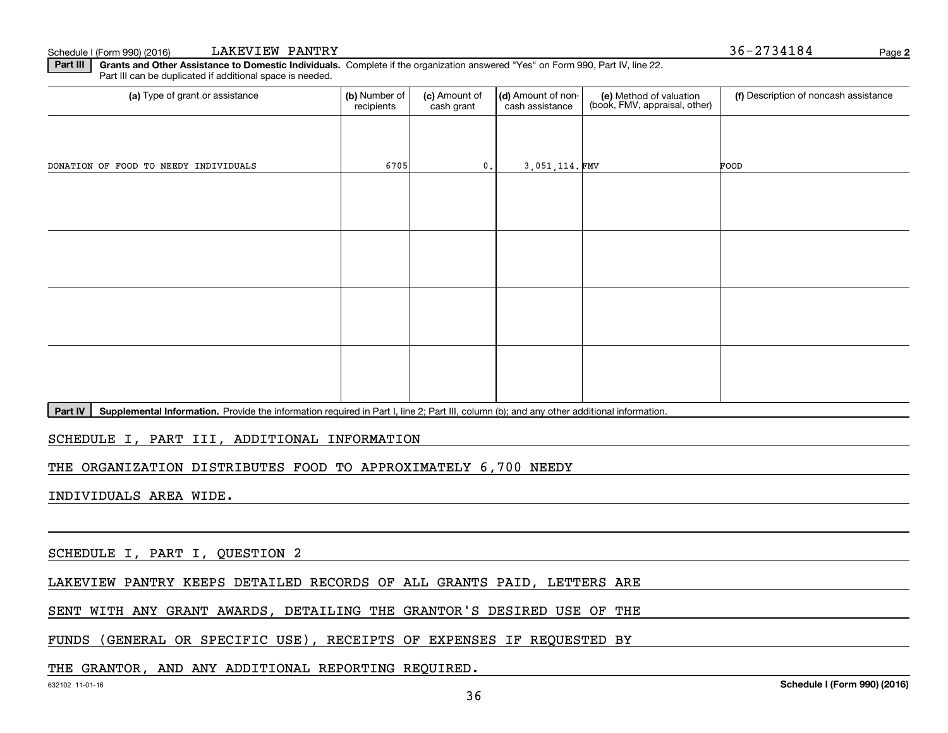Schedule I (Form 990) (2016) LAKEVIEW PANTRY NARRY STORES AND RESERVED BY A SAMPLE 2734184

| LAKEVIEW PANTRY<br>Schedule I (Form 990) (2016)                                                                                                                                                          |                             |                             |                                       |                                                          | 36-2734184<br>Page 2                  |
|----------------------------------------------------------------------------------------------------------------------------------------------------------------------------------------------------------|-----------------------------|-----------------------------|---------------------------------------|----------------------------------------------------------|---------------------------------------|
| Part III<br>Grants and Other Assistance to Domestic Individuals. Complete if the organization answered "Yes" on Form 990, Part IV, line 22.<br>Part III can be duplicated if additional space is needed. |                             |                             |                                       |                                                          |                                       |
| (a) Type of grant or assistance                                                                                                                                                                          | (b) Number of<br>recipients | (c) Amount of<br>cash grant | (d) Amount of non-<br>cash assistance | (e) Method of valuation<br>(book, FMV, appraisal, other) | (f) Description of noncash assistance |
|                                                                                                                                                                                                          |                             |                             |                                       |                                                          |                                       |
| DONATION OF FOOD TO NEEDY INDIVIDUALS                                                                                                                                                                    | 6705                        | $\mathbf{0}$ .              | 3,051,114.FMV                         |                                                          | FOOD                                  |
|                                                                                                                                                                                                          |                             |                             |                                       |                                                          |                                       |
|                                                                                                                                                                                                          |                             |                             |                                       |                                                          |                                       |
|                                                                                                                                                                                                          |                             |                             |                                       |                                                          |                                       |
|                                                                                                                                                                                                          |                             |                             |                                       |                                                          |                                       |
|                                                                                                                                                                                                          |                             |                             |                                       |                                                          |                                       |
|                                                                                                                                                                                                          |                             |                             |                                       |                                                          |                                       |
|                                                                                                                                                                                                          |                             |                             |                                       |                                                          |                                       |
|                                                                                                                                                                                                          |                             |                             |                                       |                                                          |                                       |
|                                                                                                                                                                                                          |                             |                             |                                       |                                                          |                                       |
|                                                                                                                                                                                                          |                             |                             |                                       |                                                          |                                       |
| Part IV<br>Supplemental Information. Provide the information required in Part I, line 2; Part III, column (b); and any other additional information.                                                     |                             |                             |                                       |                                                          |                                       |

#### SCHEDULE I, PART III, ADDITIONAL INFORMATION SCHEDULE I, PART III, ADDITIONAL INFORMATION

THE ORGANIZATION DISTRIBUTES FOOD TO APPROXIMATELY 6 ,700 NEEDY THE ORGANIZATION DISTRIBUTES FOOD TO APPROXIMATELY 6,700 NEEDY

INDIVIDUALS AREA WIDE. INDIVIDUALS AREA WIDE.

SCHEDULE I, PART I, QUESTION 2

LAKEVIEW PANTRY KEEPS DETAILED RECORDS OF ALL GRANTS PAID, LETTERS ARE LAKEVIEW PANTRY KEEPS DETAILED RECORDS OF ALL GRANTS PAID, LETTERS ARE

SENT WITH ANY GRANT AWARDS, DETAILING THE GRANTOR'S DESIRED USE OF THE SENT WITH ANY GRANT AWARDS, DETAILING THE GRANTOR'S DESIRED USE OF THE

FUNDS (GENERAL OR SPECIFIC USE) , RECEIPTS OF EXPENSES IF REQUESTED BY FUNDS (GENERAL OR SPECIFIC USE), RECEIPTS OF EXPENSES IF REQUESTED BY

#### THE GRANTOR, AND ANY ADDITIONAL REPORTING REQUIRED. THE GRANTOR, AND ANY ADDITIONAL REPORTING REQUIRED.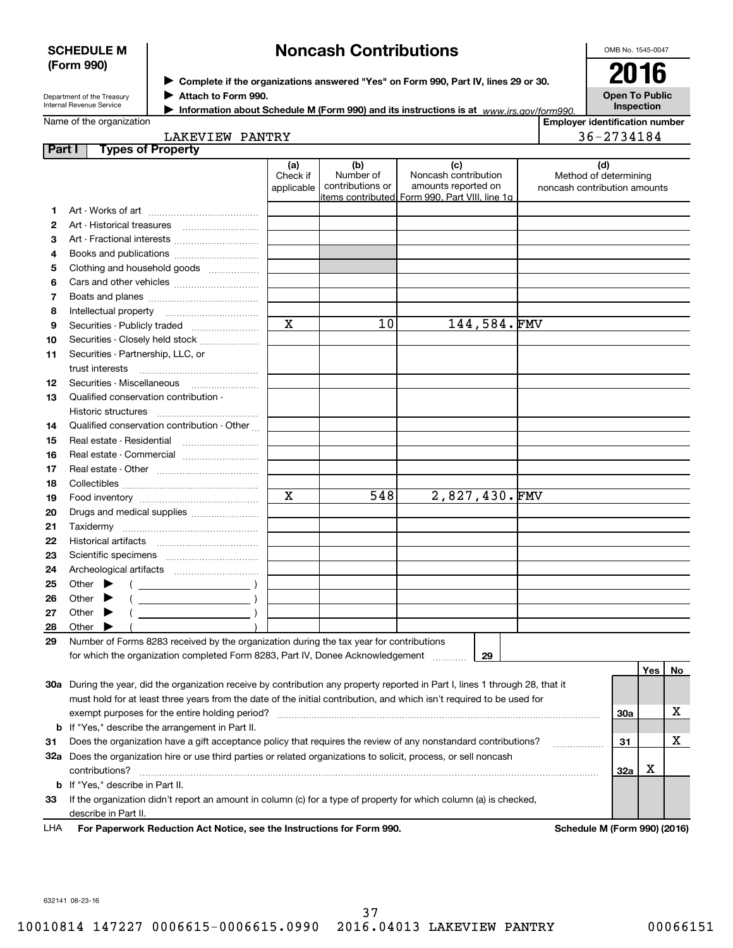#### **SCHEDULE M SCHEDULE M (Form 990) (Form 990)**

## **Noncash Contributions Noncash Contributions**

OMB No. 1545-0047 OMB No. 1545-0047

| Department of the Treasury      |
|---------------------------------|
| <b>Internal Revenue Service</b> |

 $\blacktriangleright$  Complete if the organizations answered "Yes" on Form 990, Part IV, lines 29 or 30. 2016 ■ **Complete in the orgal**<br>■ Attach to Form 990.

**2016 Open To Public Open To Public Inspection Inspection**

|  | Name of the organization |
|--|--------------------------|
|--|--------------------------|

▶ Attach to Form <del>990.</del><br>▶ Information about Schedule M (Form 990) and its instructions is at *www.irs.gov/form*990.

**Employer identification number Employer identification number**

| <b>PANTRY</b>  | しんし       |
|----------------|-----------|
| <b>LAKEVII</b> | $\Lambda$ |
| EW             | .84       |
|                |           |
|                |           |

| Part I | <b>Types of Property</b>                                                                                                       |                 |                  |                                                 |                              |     |         |    |
|--------|--------------------------------------------------------------------------------------------------------------------------------|-----------------|------------------|-------------------------------------------------|------------------------------|-----|---------|----|
|        |                                                                                                                                | (a)<br>Check if | (b)<br>Number of | (c)<br>Noncash contribution                     | (d)<br>Method of determining |     |         |    |
|        |                                                                                                                                | applicable      | contributions or | amounts reported on                             | noncash contribution amounts |     |         |    |
|        |                                                                                                                                |                 |                  | items contributed  Form 990, Part VIII, line 1g |                              |     |         |    |
| 1.     |                                                                                                                                |                 |                  |                                                 |                              |     |         |    |
| 2      |                                                                                                                                |                 |                  |                                                 |                              |     |         |    |
| з      | Art - Fractional interests                                                                                                     |                 |                  |                                                 |                              |     |         |    |
| 4      | Books and publications                                                                                                         |                 |                  |                                                 |                              |     |         |    |
| 5      | Clothing and household goods                                                                                                   |                 |                  |                                                 |                              |     |         |    |
| 6      |                                                                                                                                |                 |                  |                                                 |                              |     |         |    |
| 7      |                                                                                                                                |                 |                  |                                                 |                              |     |         |    |
| 8      | Intellectual property                                                                                                          |                 |                  |                                                 |                              |     |         |    |
| 9      | Securities - Publicly traded                                                                                                   | $\mathbf x$     | 10               | 144,584.FMV                                     |                              |     |         |    |
| 10     | Securities - Closely held stock                                                                                                |                 |                  |                                                 |                              |     |         |    |
| 11     | Securities - Partnership, LLC, or                                                                                              |                 |                  |                                                 |                              |     |         |    |
|        | trust interests                                                                                                                |                 |                  |                                                 |                              |     |         |    |
| 12     | Securities - Miscellaneous                                                                                                     |                 |                  |                                                 |                              |     |         |    |
| 13     | Qualified conservation contribution -                                                                                          |                 |                  |                                                 |                              |     |         |    |
|        | Historic structures                                                                                                            |                 |                  |                                                 |                              |     |         |    |
| 14     | Qualified conservation contribution - Other                                                                                    |                 |                  |                                                 |                              |     |         |    |
| 15     | Real estate - Residential                                                                                                      |                 |                  |                                                 |                              |     |         |    |
| 16     | Real estate - Commercial                                                                                                       |                 |                  |                                                 |                              |     |         |    |
| 17     |                                                                                                                                |                 |                  |                                                 |                              |     |         |    |
| 18     |                                                                                                                                |                 |                  |                                                 |                              |     |         |    |
| 19     |                                                                                                                                | X               | 548              | 2,827,430.FMV                                   |                              |     |         |    |
| 20     | Drugs and medical supplies                                                                                                     |                 |                  |                                                 |                              |     |         |    |
| 21     | Taxidermy                                                                                                                      |                 |                  |                                                 |                              |     |         |    |
| 22     |                                                                                                                                |                 |                  |                                                 |                              |     |         |    |
|        |                                                                                                                                |                 |                  |                                                 |                              |     |         |    |
| 23     |                                                                                                                                |                 |                  |                                                 |                              |     |         |    |
| 24     |                                                                                                                                |                 |                  |                                                 |                              |     |         |    |
| 25     | Other $\blacktriangleright$                                                                                                    |                 |                  |                                                 |                              |     |         |    |
| 26     | Other                                                                                                                          |                 |                  |                                                 |                              |     |         |    |
| 27     | Other $\blacktriangleright$                                                                                                    |                 |                  |                                                 |                              |     |         |    |
| 28     | Other                                                                                                                          |                 |                  |                                                 |                              |     |         |    |
| 29     | Number of Forms 8283 received by the organization during the tax year for contributions                                        |                 |                  |                                                 |                              |     |         |    |
|        | for which the organization completed Form 8283, Part IV, Donee Acknowledgement                                                 |                 |                  | 29                                              |                              |     |         |    |
|        |                                                                                                                                |                 |                  |                                                 |                              |     | Yes $ $ | No |
|        | 30a During the year, did the organization receive by contribution any property reported in Part I, lines 1 through 28, that it |                 |                  |                                                 |                              |     |         |    |
|        | must hold for at least three years from the date of the initial contribution, and which isn't required to be used for          |                 |                  |                                                 |                              |     |         |    |
|        | exempt purposes for the entire holding period?                                                                                 |                 |                  |                                                 |                              | 30a |         | х  |
| b      | If "Yes," describe the arrangement in Part II.                                                                                 |                 |                  |                                                 |                              |     |         |    |
| 31     | Does the organization have a gift acceptance policy that requires the review of any nonstandard contributions?                 |                 |                  |                                                 |                              | 31  |         | X  |
|        | 32a Does the organization hire or use third parties or related organizations to solicit, process, or sell noncash              |                 |                  |                                                 |                              |     |         |    |
|        | contributions?                                                                                                                 |                 |                  |                                                 |                              | 32a | X       |    |
| b      | If "Yes," describe in Part II.                                                                                                 |                 |                  |                                                 |                              |     |         |    |
| 33     | If the organization didn't report an amount in column (c) for a type of property for which column (a) is checked,              |                 |                  |                                                 |                              |     |         |    |
|        | describe in Part II.                                                                                                           |                 |                  |                                                 |                              |     |         |    |

LHA **For Paperwork Reduction Act Notice, see the Instructions for Form 990 For Paperwork Reduction Act Notice, see the Instructions for Form 990. Schedule M (Form 990) (2016)** LHA

**. Schedule M (Form 990) (2016)** 

632141 08-23-16 632141 08-23-16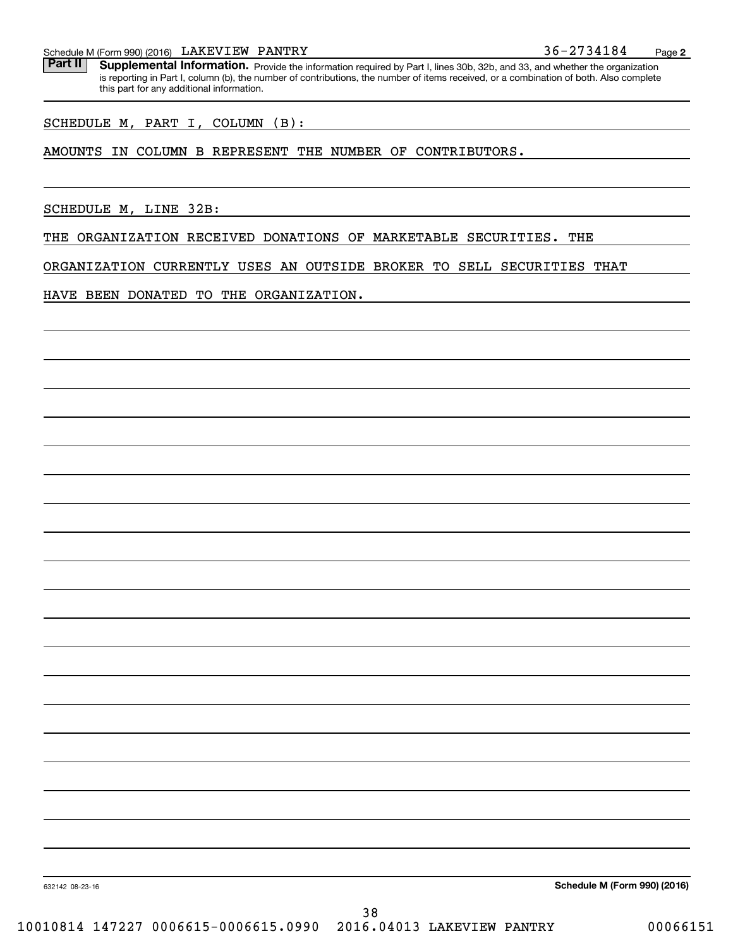Schedule M (Form 990) (2016) LAKEVI EW PANTRY 36-2734184 Page **2**  Schedule M (Form 990) (2016) Page LAKEVIEW PANTRY 36-2734184

**Part II** Supplemental Information. Provide the information required by Part I, lines 30b, 32b, and 33, and whether the organization is reporting in Part I, column (b), the number of contributions, the number of items received, or a combination of both. Also complete this part for any additional information. this part for any additional information.

SCHEDULE M, PART I, COLUMN (B) : SCHEDULE M, PART I, COLUMN (B):

#### AMOUNTS IN COLUMN B REPRESENT THE NUMBER OF CONTRIBUTORS. AMOUNTS IN COLUMN B REPRESENT THE NUMBER OF CONTRIBUTORS.

SCHEDULE M, LINE 32B: SCHEDULE M, LINE 32B:

THE ORGANIZATION RECEIVED DONATIONS OF MARKETABLE SECURITIES. THE THE ORGANIZATION RECEIVED DONATIONS OF MARKETABLE SECURITIES. THE

ORGANIZATION CURRENTLY USES AN OUTSIDE BROKER TO SELL SECURITIES THAT ORGANIZATION CURRENTLY USES AN OUTSIDE BROKER TO SELL SECURITIES THAT

HAVE BEEN DONATED TO THE ORGANIZATION. HAVE BEEN DONATED TO THE ORGANIZATION.

632142 08-23-16 **Schedule M (Form 990) (2016) Schedule M (Form 990) (2016)**

632142 08-23-16

38 38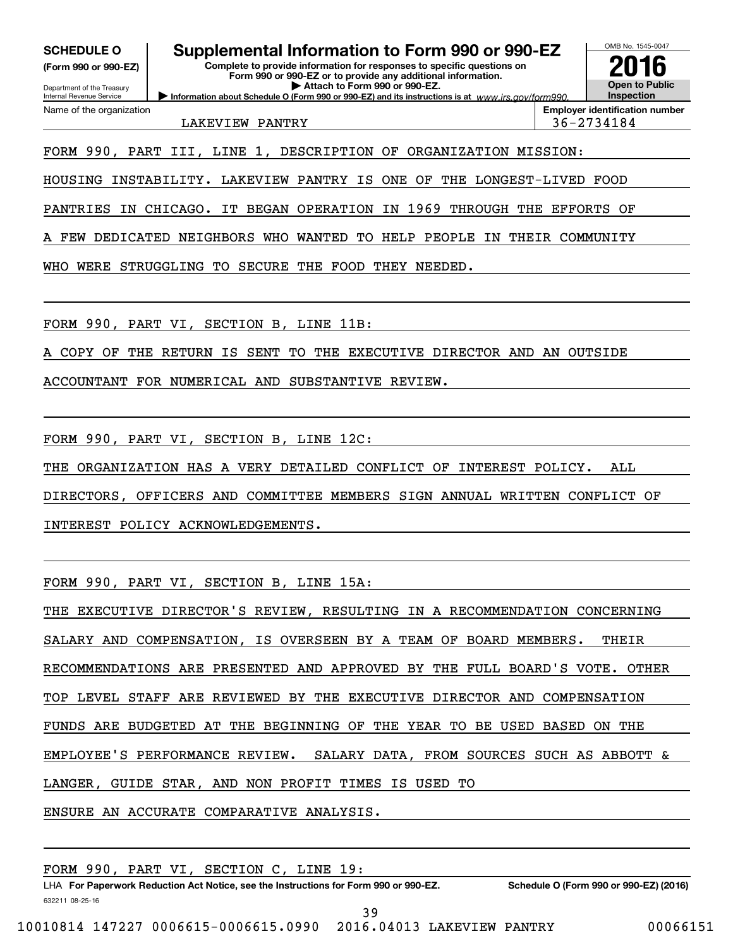**(Form 990 or 990-EZ)**

Department of the Treasury Internal Revenue Service Name of the organization

# **SCHEDULE O Supplemental Information to Form 990 or 990-EZ SCHEDULE O Supplemental Information to Form 990 or 990-EZ**

**(Form 990 or 990-EZ) Complete to provide information for responses to specific questions on Complete to provide information for responses to specific questions on Form 990 or 990-EZ or to provide any additional information. Form 990 or 990-EZ or to provide any additional information.** Department of the Treasury **and Construction Construction Construction b Attach to Form 990 or 990-EZ. Information about Schedule O (Form 990 or 990-EZ) and its instructions is at**  $www.irs.gov/form990.$ 



Name of the organization **Employer identification number Employer identification number** LAKEVIEW PANTRY 36 -27 34184 LAKEVIEW PANTRY 36-2734184

FORM 990, PART III, LINE 1, DESCRIPTION OF ORGANIZATION MISSION: FORM 990, PART III, LINE 1, DESCRIPTION OF ORGANIZATION MISSION:

HOUSING INSTABILITY. LAKEVIEW PANTRY IS ONE OF THE LONGEST-LIVED FOOD HOUSING INSTABILITY. LAKEVIEW PANTRY IS ONE OF THE LONGEST-LIVED FOOD

PANTRIES IN CHICAGO. IT BEGAN OPERATION IN 1969 THROUGH THE EFFORTS OF PANTRIES IN CHICAGO. IT BEGAN OPERATION IN 1969 THROUGH THE EFFORTS OF

A FEW DEDICATED NEIGHBORS WHO WANTED TO HELP PEOPLE IN THEIR COMMUNITY A FEW DEDICATED NEIGHBORS WHO WANTED TO HELP PEOPLE IN THEIR COMMUNITY

WHO WERE STRUGGLING TO SECURE THE FOOD THEY NEEDED. WHO WERE STRUGGLING TO SECURE THE FOOD THEY NEEDED.

FORM 990, PART VI , SECTION B, LINE 11B: FORM 990, PART VI, SECTION B, LINE 11B:

A COPY OF THE RETURN IS SENT TO THE EXECUTIVE DIRECTOR AND AN OUTSIDE A COPY OF THE RETURN IS SENT TO THE EXECUTIVE DIRECTOR AND AN OUTSIDE

ACCOUNTANT FOR NUMERICAL AND SUBSTANTIVE REVIEW. ACCOUNTANT FOR NUMERICAL AND SUBSTANTIVE REVIEW.

FORM 990, PART VI , SECTION B, LINE 12C: FORM 990, PART VI, SECTION B, LINE 12C:

THE ORGANIZATION HAS A VERY DETAILED CONFLICT OF INTEREST POLICY. ALL THE ORGANIZATION HAS A VERY DETAILED CONFLICT OF INTEREST POLICY. ALL

DIRECTORS, OFFICERS AND COMMITTEE MEMBERS SIGN ANNUAL WRITTEN CONFLICT OF DIRECTORS, OFFICERS AND COMMITTEE MEMBERS SIGN ANNUAL WRITTEN CONFLICT OF

INTEREST POLICY ACKNOWLEDGEMENTS. INTEREST POLICY ACKNOWLEDGEMENTS.

FORM 990, PART VI , SECTION B, LINE 15A: FORM 990, PART VI, SECTION B, LINE 15A:

THE EXECUTIVE DIRECTOR'S REVIEW, RESULTING IN A RECOMMENDATION CONCERNING THE EXECUTIVE DIRECTOR'S REVIEW, RESULTING IN A RECOMMENDATION CONCERNING SALARY AND COMPENSATION, IS OVERSEEN BY A TEAM OF BOARD MEMBERS. THEIR SALARY AND COMPENSATION, IS OVERSEEN BY A TEAM OF BOARD MEMBERS. THEIR RECOMMENDATIONS ARE PRESENTED AND APPROVED BY THE FULL BOARD'S VOTE. OTHER RECOMMENDATIONS ARE PRESENTED AND APPROVED BY THE FULL BOARD'S VOTE. OTHER TOP LEVEL STAFF ARE REVIEWED BY THE EXECUTIVE DIRECTOR AND COMPENSATION TOP LEVEL STAFF ARE REVIEWED BY THE EXECUTIVE DIRECTOR AND COMPENSATION FUNDS ARE BUDGETED AT THE BEGINNING OF THE YEAR TO BE USED BASED ON THE FUNDS ARE BUDGETED AT THE BEGINNING OF THE YEAR TO BE USED BASED ON THE EMPLOYEE'S PERFORMANCE REVIEW. SALARY DATA, FROM SOURCES SUCH AS ABBOTT & EMPLOYEE'S PERFORMANCE REVIEW. SALARY DATA, FROM SOURCES SUCH AS ABBOTT & LANGER, GUIDE STAR, AND NON PROFIT TIMES IS USED TO LANGER, GUIDE STAR, AND NON PROFIT TIMES IS USED TO

ENSURE AN ACCURATE COMPARATIVE ANALYSIS. ENSURE AN ACCURATE COMPARATIVE ANALYSIS.